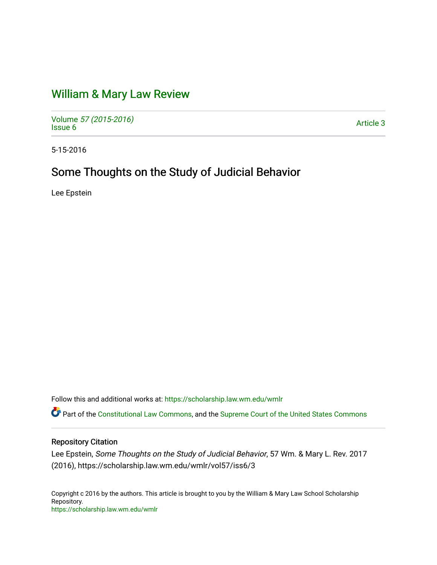## [William & Mary Law Review](https://scholarship.law.wm.edu/wmlr)

Volume [57 \(2015-2016\)](https://scholarship.law.wm.edu/wmlr/vol57)  volume 37 (2013-2010)<br>[Issue 6](https://scholarship.law.wm.edu/wmlr/vol57/iss6) Article 3

5-15-2016

# Some Thoughts on the Study of Judicial Behavior

Lee Epstein

Follow this and additional works at: [https://scholarship.law.wm.edu/wmlr](https://scholarship.law.wm.edu/wmlr?utm_source=scholarship.law.wm.edu%2Fwmlr%2Fvol57%2Fiss6%2F3&utm_medium=PDF&utm_campaign=PDFCoverPages)

Part of the [Constitutional Law Commons,](http://network.bepress.com/hgg/discipline/589?utm_source=scholarship.law.wm.edu%2Fwmlr%2Fvol57%2Fiss6%2F3&utm_medium=PDF&utm_campaign=PDFCoverPages) and the [Supreme Court of the United States Commons](http://network.bepress.com/hgg/discipline/1350?utm_source=scholarship.law.wm.edu%2Fwmlr%2Fvol57%2Fiss6%2F3&utm_medium=PDF&utm_campaign=PDFCoverPages)

## Repository Citation

Lee Epstein, Some Thoughts on the Study of Judicial Behavior, 57 Wm. & Mary L. Rev. 2017 (2016), https://scholarship.law.wm.edu/wmlr/vol57/iss6/3

Copyright c 2016 by the authors. This article is brought to you by the William & Mary Law School Scholarship Repository. <https://scholarship.law.wm.edu/wmlr>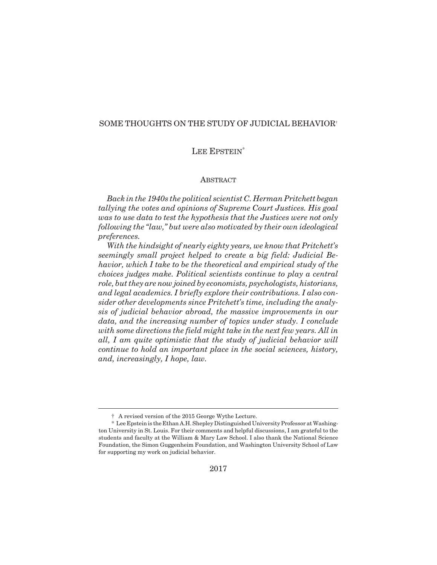## SOME THOUGHTS ON THE STUDY OF JUDICIAL BEHAVIOR†

## LEE EPSTEIN<sup>\*</sup>

## ABSTRACT

*Back in the 1940s the political scientist C. Herman Pritchett began tallying the votes and opinions of Supreme Court Justices. His goal was to use data to test the hypothesis that the Justices were not only following the "law," but were also motivated by their own ideological preferences.*

*With the hindsight of nearly eighty years, we know that Pritchett's seemingly small project helped to create a big field: Judicial Behavior, which I take to be the theoretical and empirical study of the choices judges make. Political scientists continue to play a central role, but they are now joined by economists, psychologists, historians, and legal academics. I briefly explore their contributions. I also consider other developments since Pritchett's time, including the analysis of judicial behavior abroad, the massive improvements in our data, and the increasing number of topics under study. I conclude with some directions the field might take in the next few years. All in all, I am quite optimistic that the study of judicial behavior will continue to hold an important place in the social sciences, history, and, increasingly, I hope, law.*

<sup>†</sup> A revised version of the 2015 George Wythe Lecture.

<sup>\*</sup> Lee Epstein is the Ethan A.H. Shepley Distinguished University Professor at Washington University in St. Louis. For their comments and helpful discussions, I am grateful to the students and faculty at the William & Mary Law School. I also thank the National Science Foundation, the Simon Guggenheim Foundation, and Washington University School of Law for supporting my work on judicial behavior.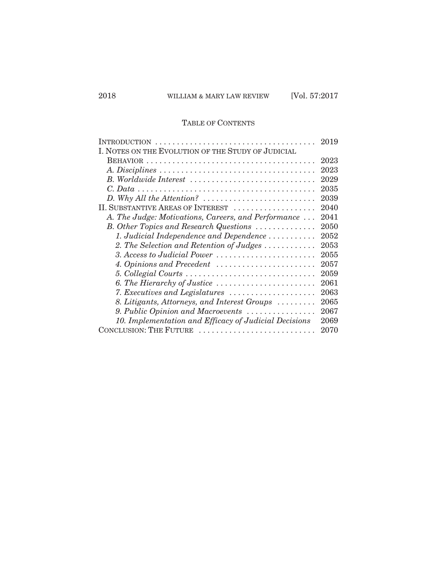## TABLE OF CONTENTS

| INTRODUCTION                                                                   | 2019 |
|--------------------------------------------------------------------------------|------|
| I. NOTES ON THE EVOLUTION OF THE STUDY OF JUDICIAL                             |      |
|                                                                                | 2023 |
|                                                                                | 2023 |
| B. Worldwide Interest                                                          | 2029 |
|                                                                                | 2035 |
| $D.$ Why All the Attention? $\ldots \ldots \ldots \ldots \ldots \ldots \ldots$ | 2039 |
| II. SUBSTANTIVE AREAS OF INTEREST                                              | 2040 |
| A. The Judge: Motivations, Careers, and Performance                            | 2041 |
| B. Other Topics and Research Questions                                         | 2050 |
| 1. Judicial Independence and Dependence $\dots\dots\dots\dots$                 | 2052 |
| 2. The Selection and Retention of Judges                                       | 2053 |
| 3. Access to Judicial Power                                                    | 2055 |
| 4. Opinions and Precedent $\ldots \ldots \ldots \ldots \ldots \ldots$          | 2057 |
| 5. Collegial Courts                                                            | 2059 |
| 6. The Hierarchy of Justice $\ldots \ldots \ldots \ldots \ldots \ldots \ldots$ | 2061 |
| 7. Executives and Legislatures $\ldots \ldots \ldots \ldots \ldots \ldots$     | 2063 |
| 8. Litigants, Attorneys, and Interest Groups                                   | 2065 |
| 9. Public Opinion and Macroevents                                              | 2067 |
| 10. Implementation and Efficacy of Judicial Decisions                          | 2069 |
| CONCLUSION: THE FUTURE                                                         | 2070 |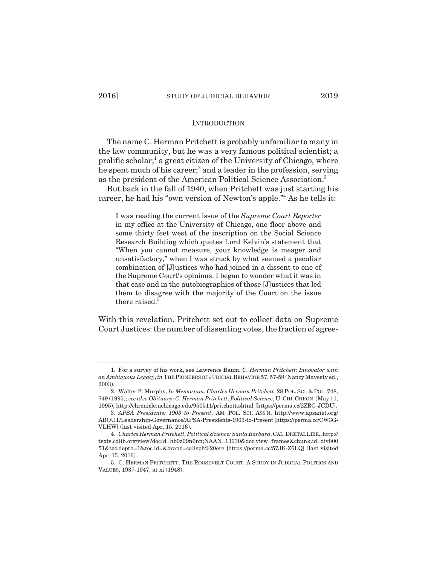#### **INTRODUCTION**

The name C. Herman Pritchett is probably unfamiliar to many in the law community, but he was a very famous political scientist; a prolific scholar;<sup>1</sup> a great citizen of the University of Chicago, where he spent much of his career;<sup>2</sup> and a leader in the profession, serving as the president of the American Political Science Association.3

But back in the fall of 1940, when Pritchett was just starting his career, he had his "own version of Newton's apple."4 As he tells it:

I was reading the current issue of the *Supreme Court Reporter* in my office at the University of Chicago, one floor above and some thirty feet west of the inscription on the Social Science Research Building which quotes Lord Kelvin's statement that "When you cannot measure, your knowledge is meager and unsatisfactory," when I was struck by what seemed a peculiar combination of [J]ustices who had joined in a dissent to one of the Supreme Court's opinions. I began to wonder what it was in that case and in the autobiographies of those [J]ustices that led them to disagree with the majority of the Court on the issue there raised.<sup>5</sup>

With this revelation, Pritchett set out to collect data on Supreme Court Justices: the number of dissenting votes, the fraction of agree-

<sup>1.</sup> For a survey of his work, see Lawrence Baum, *C. Herman Pritchett: Innovator with an Ambiguous Legacy*, *in* THE PIONEERS OF JUDICIAL BEHAVIOR 57, 57-59 (Nancy Maveety ed., 2003).

<sup>2.</sup> Walter F. Murphy, *In Memoriam: Charles Herman Pritchett*, 28 POL.SCI. & POL. 748, 749 (1995); *see also Obituary: C. Herman Pritchett, Political Science*, U.CHI. CHRON.(May 11, 1995), http://chronicle.uchicago.edu/950511/pritchett.shtml [https://perma.cc/2ZBG-JCDU].

<sup>3.</sup> *APSA Presidents: 1903 to Present*, AM. POL. SCI. ASS'N, http://www.apsanet.org/ ABOUT/Leadership-Governance/APSA-Presidents-1903-to-Present [https://perma.cc/CW3G-VLHW] (last visited Apr. 15, 2016).

<sup>4.</sup> *Charles Herman Pritchett, Political Science: Santa Barbara*, CAL.DIGITAL LIBR.,http:// texts.cdlib.org/view?docId=hb0z09n6nn;NAAN=13030&doc.view=frames&chunk.id=div000 51&toc.depth=1&toc.id=&brand=calisph%20ere [https://perma.cc/57JK-Z6LQ] (last visited Apr. 15, 2016).

<sup>5.</sup> C. HERMAN PRITCHETT, THE ROOSEVELT COURT: A STUDY IN JUDICIAL POLITICS AND VALUES, 1937-1947, at xi (1948).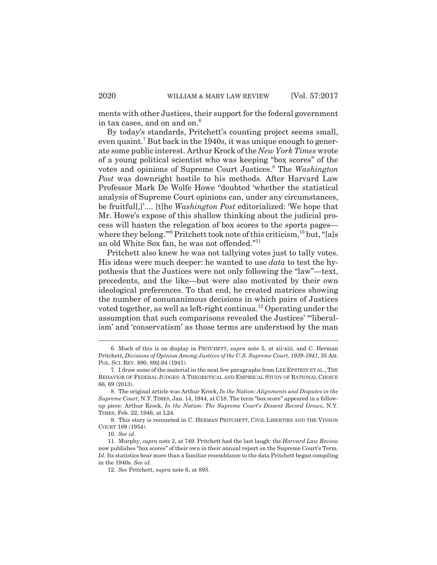ments with other Justices, their support for the federal government in tax cases, and on and on.<sup>6</sup>

By today's standards, Pritchett's counting project seems small, even quaint.<sup>7</sup> But back in the 1940s, it was unique enough to generate some public interest. Arthur Krock of the *New York Times* wrote of a young political scientist who was keeping "box scores" of the votes and opinions of Supreme Court Justices.<sup>8</sup> The *Washington Post* was downright hostile to his methods. After Harvard Law Professor Mark De Wolfe Howe "doubted 'whether the statistical analysis of Supreme Court opinions can, under any circumstances, be fruitful[,]'.... [t]he *Washington Post* editorialized: 'We hope that Mr. Howe's expose of this shallow thinking about the judicial process will hasten the relegation of box scores to the sports pages where they belong."<sup>9</sup> Pritchett took note of this criticism,<sup>10</sup> but, "[a]s an old White Sox fan, he was not offended."11

Pritchett also knew he was not tallying votes just to tally votes. His ideas were much deeper: he wanted to use *data* to test the hypothesis that the Justices were not only following the "law"—text, precedents, and the like—but were also motivated by their own ideological preferences. To that end, he created matrices showing the number of nonunanimous decisions in which pairs of Justices voted together, as well as left-right continua.12 Operating under the assumption that such comparisons revealed the Justices' "'liberalism' and 'conservatism' as those terms are understood by the man

9. This story is recounted in C. HERMAN PRITCHETT, CIVIL LIBERTIES AND THE VINSON COURT 189 (1954).

<sup>6.</sup> Much of this is on display in PRITCHETT, *supra* note 5, at xii-xiii, and C. Herman Pritchett, *Divisions of Opinion Among Justices of the U.S. Supreme Court, 1939-1941*, 35 AM. POL. SCI. REV. 890, 892-94 (1941).

<sup>7.</sup> I draw some of the material in the next few paragraphs from LEE EPSTEIN ET AL.,THE BEHAVIOR OF FEDERAL JUDGES: A THEORETICAL AND EMPIRICAL STUDY OF RATIONAL CHOICE 66, 69 (2013).

<sup>8.</sup> The original article was Arthur Krock, *In the Nation: Alignments and Disputes in the Supreme Court*, N.Y.TIMES, Jan. 14, 1944, at C18. The term "box score" appeared in a followup piece: Arthur Krock, *In the Nation: The Supreme Court's Dissent Record Grows*, N.Y. TIMES, Feb. 22, 1946, at L24.

<sup>10.</sup> *See id.*

<sup>11.</sup> Murphy, *supra* note 2, at 749. Pritchett had the last laugh: the *Harvard Law Review* now publishes "box scores" of their own in their annual report on the Supreme Court's Term. Id. Its statistics bear more than a familiar resemblance to the data Pritchett began compiling in the 1940s. *See id.*

<sup>12.</sup> *See* Pritchett, *supra* note 6, at 893.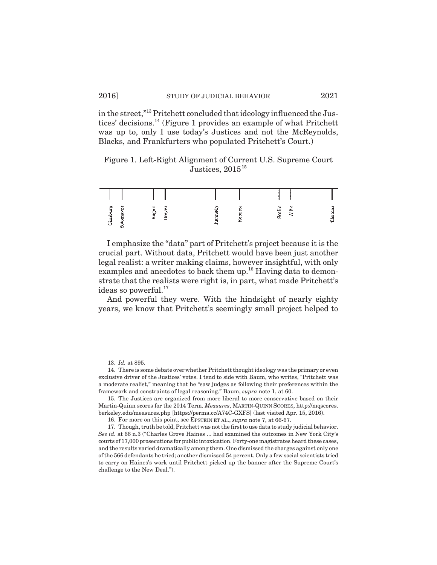in the street,"13 Pritchett concluded that ideology influenced the Justices' decisions.14 (Figure 1 provides an example of what Pritchett was up to, only I use today's Justices and not the McReynolds, Blacks, and Frankfurters who populated Pritchett's Court.)

Figure 1. Left-Right Alignment of Current U.S. Supreme Court Justices,  $2015^{15}$ 

| Ыŋ<br>께 |  | œ<br>E,<br><br>₩ | - |  | ``<br><br>c<br>m |  |
|---------|--|------------------|---|--|------------------|--|

I emphasize the "data" part of Pritchett's project because it is the crucial part. Without data, Pritchett would have been just another legal realist: a writer making claims, however insightful, with only examples and anecdotes to back them up.<sup>16</sup> Having data to demonstrate that the realists were right is, in part, what made Pritchett's ideas so powerful. $17$ 

And powerful they were. With the hindsight of nearly eighty years, we know that Pritchett's seemingly small project helped to

<sup>13.</sup> *Id.* at 895.

<sup>14.</sup> There is some debate over whether Pritchett thought ideology was the primary or even exclusive driver of the Justices' votes. I tend to side with Baum, who writes, "Pritchett was a moderate realist," meaning that he "saw judges as following their preferences within the framework and constraints of legal reasoning." Baum, *supra* note 1, at 60.

<sup>15.</sup> The Justices are organized from more liberal to more conservative based on their Martin-Quinn scores for the 2014 Term. *Measures*, MARTIN-QUINN SCORES, http://mqscores. berkeley.edu/measures.php [https://perma.cc/A74C-GXFS] (last visited Apr. 15, 2016).

<sup>16.</sup> For more on this point, see EPSTEIN ET AL., *supra* note 7, at 66-67.

<sup>17.</sup> Though, truth be told, Pritchett was not the first to use data to study judicial behavior. *See id.* at 66 n.3 ("Charles Grove Haines ... had examined the outcomes in New York City's courts of 17,000 prosecutions for public intoxication. Forty-one magistrates heard these cases, and the results varied dramatically among them. One dismissed the charges against only one of the 566 defendants he tried; another dismissed 54 percent. Only a few social scientists tried to carry on Haines's work until Pritchett picked up the banner after the Supreme Court's challenge to the New Deal.").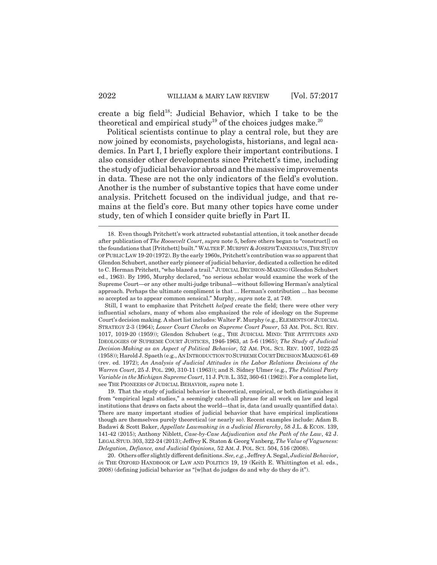create a big field<sup>18</sup>: Judicial Behavior, which I take to be the theoretical and empirical study<sup>19</sup> of the choices judges make.<sup>20</sup>

Political scientists continue to play a central role, but they are now joined by economists, psychologists, historians, and legal academics. In Part I, I briefly explore their important contributions. I also consider other developments since Pritchett's time, including the study of judicial behavior abroad and the massive improvements in data. These are not the only indicators of the field's evolution. Another is the number of substantive topics that have come under analysis. Pritchett focused on the individual judge, and that remains at the field's core. But many other topics have come under study, ten of which I consider quite briefly in Part II.

<sup>18.</sup> Even though Pritchett's work attracted substantial attention, it took another decade after publication of *The Roosevelt Court*, *supra* note 5, before others began to "construct[] on the foundations that [Pritchett] built." WALTER F.MURPHY &JOSEPH TANENHAUS,THE STUDY OF PUBLIC LAW 19-20 (1972). By the early 1960s, Pritchett's contribution was so apparent that Glendon Schubert, another early pioneer of judicial behavior, dedicated a collection he edited to C. Herman Pritchett, "who blazed a trail." JUDICIAL DECISION-MAKING (Glendon Schubert ed., 1963). By 1995, Murphy declared, "no serious scholar would examine the work of the Supreme Court—or any other multi-judge tribunal—without following Herman's analytical approach. Perhaps the ultimate compliment is that ... Herman's contribution ... has become so accepted as to appear common sensical." Murphy, *supra* note 2, at 749.

Still, I want to emphasize that Pritchett *helped* create the field; there were other very influential scholars, many of whom also emphasized the role of ideology on the Supreme Court's decision making. A short list includes: Walter F. Murphy (e.g., ELEMENTS OF JUDICIAL STRATEGY 2-3 (1964); *Lower Court Checks on Supreme Court Power*, 53 AM. POL. SCI. REV. 1017, 1019-20 (1959)); Glendon Schubert (e.g., THE JUDICIAL MIND: THE ATTITUDES AND IDEOLOGIES OF SUPREME COURT JUSTICES, 1946-1963, at 5-6 (1965); *The Study of Judicial Decision-Making as an Aspect of Political Behavior*, 52 AM. POL. SCI. REV. 1007, 1022-25 (1958)); Harold J. Spaeth (e.g., AN INTRODUCTION TO SUPREME COURT DECISION MAKING 61-69 (rev. ed. 1972); *An Analysis of Judicial Attitudes in the Labor Relations Decisions of the Warren Court*, 25 J. POL. 290, 310-11 (1963)); and S. Sidney Ulmer (e.g., *The Political Party Variable in the Michigan Supreme Court*, 11 J.PUB.L.352, 360-61 (1962)). For a complete list, see THE PIONEERS OF JUDICIAL BEHAVIOR, *supra* note 1.

<sup>19.</sup> That the study of judicial behavior is theoretical, empirical, or both distinguishes it from "empirical legal studies," a seemingly catch-all phrase for all work on law and legal institutions that draws on facts about the world—that is, data (and usually quantified data). There are many important studies of judicial behavior that have empirical implications though are themselves purely theoretical (or nearly so). Recent examples include: Adam B. Badawi & Scott Baker, *Appellate Lawmaking in a Judicial Hierarchy*, 58 J.L. & ECON. 139, 141-42 (2015); Anthony Niblett, *Case-by-Case Adjudication and the Path of the Law*, 42 J. LEGAL STUD. 303, 322-24 (2013); Jeffrey K. Staton & Georg Vanberg, *The Value of Vagueness: Delegation, Defiance, and Judicial Opinions,* 52 AM. J. POL. SCI. 504, 516 (2008).

<sup>20.</sup> Others offer slightly different definitions. *See, e.g.*, Jeffrey A. Segal, *Judicial Behavior*, *in* THE OXFORD HANDBOOK OF LAW AND POLITICS 19, 19 (Keith E. Whittington et al. eds., 2008) (defining judicial behavior as "[w]hat do judges do and why do they do it").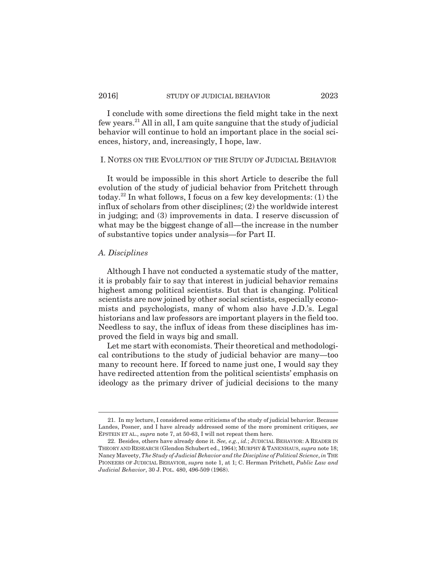I conclude with some directions the field might take in the next few years.21 All in all, I am quite sanguine that the study of judicial behavior will continue to hold an important place in the social sciences, history, and, increasingly, I hope, law.

### I. NOTES ON THE EVOLUTION OF THE STUDY OF JUDICIAL BEHAVIOR

It would be impossible in this short Article to describe the full evolution of the study of judicial behavior from Pritchett through today.<sup>22</sup> In what follows, I focus on a few key developments: (1) the influx of scholars from other disciplines; (2) the worldwide interest in judging; and (3) improvements in data. I reserve discussion of what may be the biggest change of all—the increase in the number of substantive topics under analysis—for Part II.

## *A. Disciplines*

Although I have not conducted a systematic study of the matter, it is probably fair to say that interest in judicial behavior remains highest among political scientists. But that is changing. Political scientists are now joined by other social scientists, especially economists and psychologists, many of whom also have J.D.'s. Legal historians and law professors are important players in the field too. Needless to say, the influx of ideas from these disciplines has improved the field in ways big and small.

Let me start with economists. Their theoretical and methodological contributions to the study of judicial behavior are many—too many to recount here. If forced to name just one, I would say they have redirected attention from the political scientists' emphasis on ideology as the primary driver of judicial decisions to the many

<sup>21.</sup> In my lecture, I considered some criticisms of the study of judicial behavior. Because Landes, Posner, and I have already addressed some of the more prominent critiques, *see* EPSTEIN ET AL., *supra* note 7, at 50-63, I will not repeat them here.

<sup>22.</sup> Besides, others have already done it. *See, e.g.*, *id.*; JUDICIAL BEHAVIOR: A READER IN THEORY AND RESEARCH (Glendon Schubert ed., 1964); MURPHY & TANENHAUS, *supra* note 18; Nancy Maveety, *The Study of Judicial Behavior and the Discipline of Political Science*, *in* THE PIONEERS OF JUDICIAL BEHAVIOR, *supra* note 1, at 1; C. Herman Pritchett, *Public Law and Judicial Behavior*, 30 J. POL. 480, 496-509 (1968).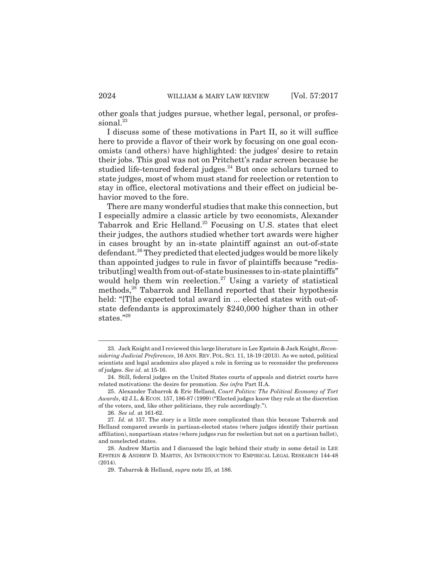other goals that judges pursue, whether legal, personal, or professional.<sup>23</sup>

I discuss some of these motivations in Part II, so it will suffice here to provide a flavor of their work by focusing on one goal economists (and others) have highlighted: the judges' desire to retain their jobs. This goal was not on Pritchett's radar screen because he studied life-tenured federal judges. $24$  But once scholars turned to state judges, most of whom must stand for reelection or retention to stay in office, electoral motivations and their effect on judicial behavior moved to the fore.

There are many wonderful studies that make this connection, but I especially admire a classic article by two economists, Alexander Tabarrok and Eric Helland.<sup>25</sup> Focusing on U.S. states that elect their judges, the authors studied whether tort awards were higher in cases brought by an in-state plaintiff against an out-of-state defendant.<sup>26</sup> They predicted that elected judges would be more likely than appointed judges to rule in favor of plaintiffs because "redistribut[ing] wealth from out-of-state businesses to in-state plaintiffs" would help them win reelection.<sup>27</sup> Using a variety of statistical methods,<sup>28</sup> Tabarrok and Helland reported that their hypothesis held: "[T]he expected total award in ... elected states with out-ofstate defendants is approximately \$240,000 higher than in other states."29

<sup>23.</sup> Jack Knight and I reviewed this large literature in Lee Epstein & Jack Knight, *Reconsidering Judicial Preferences*, 16 ANN. REV. POL. SCI. 11, 18-19 (2013). As we noted, political scientists and legal academics also played a role in forcing us to reconsider the preferences of judges. *See id.* at 15-16.

<sup>24.</sup> Still, federal judges on the United States courts of appeals and district courts have related motivations: the desire for promotion. *See infra* Part II.A.

<sup>25.</sup> Alexander Tabarrok & Eric Helland, *Court Politics: The Political Economy of Tort Awards*, 42 J.L. & ECON. 157, 186-87 (1999) ("Elected judges know they rule at the discretion of the voters, and, like other politicians, they rule accordingly.").

<sup>26.</sup> *See id.* at 161-62.

<sup>27.</sup> *Id.* at 157. The story is a little more complicated than this because Tabarrok and Helland compared awards in partisan-elected states (where judges identify their partisan affiliation), nonpartisan states (where judges run for reelection but not on a partisan ballot), and nonelected states.

<sup>28.</sup> Andrew Martin and I discussed the logic behind their study in some detail in LEE EPSTEIN & ANDREW D. MARTIN, AN INTRODUCTION TO EMPIRICAL LEGAL RESEARCH 144-48 (2014).

<sup>29.</sup> Tabarrok & Helland, *supra* note 25, at 186.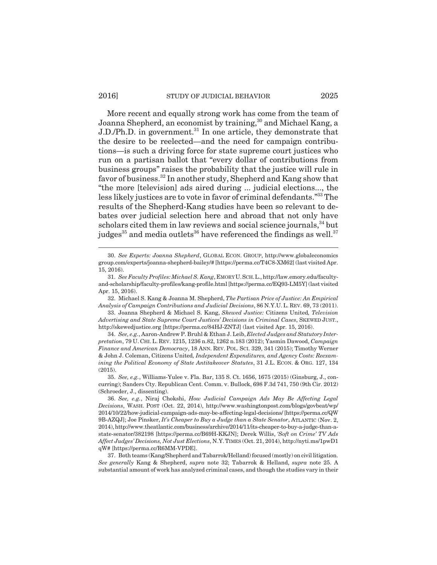#### 2016] STUDY OF JUDICIAL BEHAVIOR 2025

More recent and equally strong work has come from the team of Joanna Shepherd, an economist by training,<sup>30</sup> and Michael Kang, a J.D./Ph.D. in government.<sup>31</sup> In one article, they demonstrate that the desire to be reelected—and the need for campaign contributions—is such a driving force for state supreme court justices who run on a partisan ballot that "every dollar of contributions from business groups" raises the probability that the justice will rule in favor of business.32 In another study, Shepherd and Kang show that "the more [television] ads aired during ... judicial elections..., the less likely justices are to vote in favor of criminal defendants."33 The results of the Shepherd-Kang studies have been so relevant to debates over judicial selection here and abroad that not only have scholars cited them in law reviews and social science journals,<sup>34</sup> but judges<sup>35</sup> and media outlets<sup>36</sup> have referenced the findings as well.<sup>37</sup>

32. Michael S. Kang & Joanna M. Shepherd, *The Partisan Price of Justice: An Empirical Analysis of Campaign Contributions and Judicial Decisions*, 86 N.Y.U.L. REV. 69, 73 (2011).

33. Joanna Shepherd & Michael S. Kang, *Skewed Justice:* Citizens United*, Television Advertising and State Supreme Court Justices' Decisions in Criminal Cases*, SKEWED JUST., http://skewedjustice.org [https://perma.cc/84HJ-ZNTJ] (last visited Apr. 15, 2016).

34. *See, e.g.*, Aaron-Andrew P. Bruhl & Ethan J. Leib, *Elected Judges and Statutory Interpretation*, 79 U. CHI. L. REV. 1215, 1236 n.82, 1262 n.183 (2012); Yasmin Dawood, *Campaign Finance and American Democracy*, 18 ANN. REV. POL. SCI. 329, 341 (2015); Timothy Werner & John J. Coleman, Citizens United*, Independent Expenditures, and Agency Costs: Reexamining the Political Economy of State Antitakeover Statutes*, 31 J.L. ECON. & ORG. 127, 134 (2015).

37. Both teams (Kang/Shepherd and Tabarrok/Helland) focused (mostly) on civil litigation. *See generally* Kang & Shepherd, *supra* note 32; Tabarrok & Helland, *supra* note 25. A substantial amount of work has analyzed criminal cases, and though the studies vary in their

<sup>30.</sup> *See Experts: Joanna Shepherd*, GLOBAL ECON. GROUP, http://www.globaleconomics group.com/experts/joanna-shepherd-bailey/# [https://perma.cc/T4C8-XM62] (last visited Apr. 15, 2016).

<sup>31.</sup> *See Faculty Profiles: Michael S. Kang*, EMORY U.SCH.L., http://law.emory.edu/facultyand-scholarship/faculty-profiles/kang-profile.html [https://perma.cc/EQ93-LM5Y] (last visited Apr. 15, 2016).

<sup>35.</sup> *See, e.g.*, Williams-Yulee v. Fla. Bar, 135 S. Ct. 1656, 1675 (2015) (Ginsburg, J., concurring); Sanders Cty. Republican Cent. Comm. v. Bullock, 698 F.3d 741, 750 (9th Cir. 2012) (Schroeder, J., dissenting).

<sup>36.</sup> *See, e.g.*, Niraj Chokshi, *How Judicial Campaign Ads May Be Affecting Legal Decisions*, WASH. POST (Oct. 22, 2014), http://www.washingtonpost.com/blogs/govbeat/wp/ 2014/10/22/how-judicial-campaign-ads-may-be-affecting-legal-decisions/ [https://perma.cc/QW 9B-AZQJ]; Joe Pinsker, *It's Cheaper to Buy a Judge than a State Senator*, ATLANTIC (Nov. 2, 2014), http://www.theatlantic.com/business/archive/2014/11/its-cheaper-to-buy-a-judge-than-astate-senator/382198 [https://perma.cc/B69H-KKJN]; Derek Willis, *'Soft on Crime' TV Ads Affect Judges' Decisions, Not Just Elections*, N.Y.TIMES (Oct. 21, 2014), http://nyti.ms/1pwD1 qW# [https://perma.cc/R6MM-VPDE].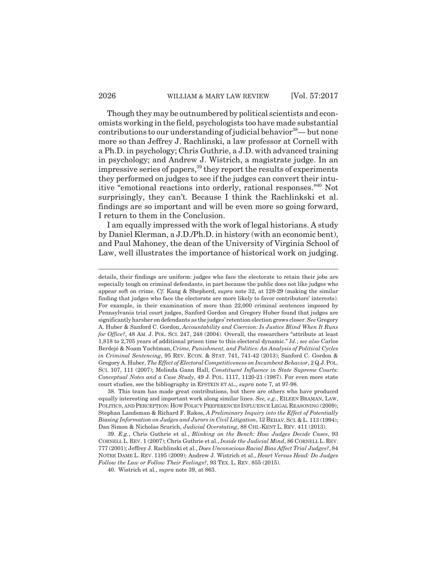Though they may be outnumbered by political scientists and economists working in the field, psychologists too have made substantial contributions to our understanding of judicial behavior  $38$ — but none more so than Jeffrey J. Rachlinski, a law professor at Cornell with a Ph.D. in psychology; Chris Guthrie, a J.D. with advanced training in psychology; and Andrew J. Wistrich, a magistrate judge. In an impressive series of papers,39 they report the results of experiments they performed on judges to see if the judges can convert their intuitive "emotional reactions into orderly, rational responses."40 Not surprisingly, they can't. Because I think the Rachlinkski et al. findings are so important and will be even more so going forward, I return to them in the Conclusion.

I am equally impressed with the work of legal historians. A study by Daniel Klerman, a J.D./Ph.D. in history (with an economic bent), and Paul Mahoney, the dean of the University of Virginia School of Law, well illustrates the importance of historical work on judging.

details, their findings are uniform: judges who face the electorate to retain their jobs are especially tough on criminal defendants, in part because the public does not like judges who appear soft on crime. *Cf.* Kang & Shepherd, *supra* note 32, at 128-29 (making the similar finding that judges who face the electorate are more likely to favor contributors' interests). For example, in their examination of more than 22,000 criminal sentences imposed by Pennsylvania trial court judges, Sanford Gordon and Gregory Huber found that judges are significantly harsher on defendants as the judges' retention election grows closer. *See* Gregory A. Huber & Sanford C. Gordon, *Accountability and Coercion: Is Justice Blind When It Runs for Office?*, 48 AM. J. POL. SCI. 247, 248 (2004). Overall, the researchers "attribute at least 1,818 to 2,705 years of additional prison time to this electoral dynamic." *Id.*; *see also* Carlos Berdejó & Noam Yuchtman, *Crime, Punishment, and Politics: An Analysis of Political Cycles in Criminal Sentencing*, 95 REV. ECON. & STAT. 741, 741-42 (2013); Sanford C. Gordon & Gregory A. Huber, *The Effect of Electoral Competitiveness on Incumbent Behavior*, 2 Q.J.POL. SCI. 107, 111 (2007); Melinda Gann Hall, *Constituent Influence in State Supreme Courts: Conceptual Notes and a Case Study*, 49 J. POL. 1117, 1120-21 (1987). For even more state court studies, see the bibliography in EPSTEIN ET AL., *supra* note 7, at 97-98.

<sup>38.</sup> This team has made great contributions, but there are others who have produced equally interesting and important work along similar lines. *See, e.g.*, EILEEN BRAMAN, LAW, POLITICS, AND PERCEPTION: HOW POLICY PREFERENCES INFLUENCE LEGAL REASONING (2009); Stephan Landsman & Richard F. Rakos, *A Preliminary Inquiry into the Effect of Potentially Biasing Information on Judges and Jurors in Civil Litigation*, 12 BEHAV.SCI. & L. 113 (1994); Dan Simon & Nicholas Scurich, *Judicial Overstating*, 88 CHI.-KENT L. REV. 411 (2013).

<sup>39.</sup> *E.g.*, Chris Guthrie et al., *Blinking on the Bench: How Judges Decide Cases*, 93 CORNELL L. REV. 1 (2007); Chris Guthrie et al., *Inside the Judicial Mind*, 86 CORNELL L. REV. 777 (2001); Jeffrey J. Rachlinski et al., *Does Unconscious Racial Bias Affect Trial Judges?*, 84 NOTRE DAME L. REV. 1195 (2009); Andrew J. Wistrich et al., *Heart Versus Head: Do Judges Follow the Law or Follow Their Feelings?*, 93 TEX. L. REV. 855 (2015).

<sup>40.</sup> Wistrich et al., *supra* note 39, at 863.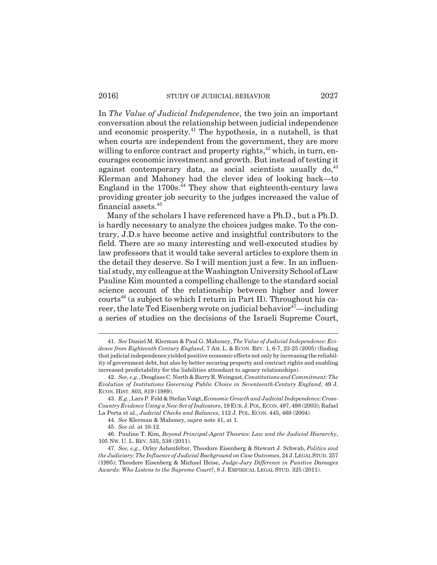In *The Value of Judicial Independence*, the two join an important conversation about the relationship between judicial independence and economic prosperity.<sup>41</sup> The hypothesis, in a nutshell, is that when courts are independent from the government, they are more willing to enforce contract and property rights,<sup>42</sup> which, in turn, encourages economic investment and growth. But instead of testing it against contemporary data, as social scientists usually  $do<sub>1</sub><sup>43</sup>$ Klerman and Mahoney had the clever idea of looking back—to England in the  $1700s$ .<sup>44</sup> They show that eighteenth-century laws providing greater job security to the judges increased the value of financial assets.45

Many of the scholars I have referenced have a Ph.D., but a Ph.D. is hardly necessary to analyze the choices judges make. To the contrary, J.D.s have become active and insightful contributors to the field. There are so many interesting and well-executed studies by law professors that it would take several articles to explore them in the detail they deserve. So I will mention just a few. In an influential study, my colleague at the Washington University School of Law Pauline Kim mounted a compelling challenge to the standard social science account of the relationship between higher and lower courts<sup>46</sup> (a subject to which I return in Part II). Throughout his career, the late Ted Eisenberg wrote on judicial behavior $47$ —including a series of studies on the decisions of the Israeli Supreme Court,

<sup>41.</sup> *See* Daniel M. Klerman & Paul G. Mahoney, *The Value of Judicial Independence: Evidence from Eighteenth Century England*, 7 AM. L. & ECON. REV. 1, 6-7, 23-25 (2005) (finding that judicial independence yielded positive economic effects not only by increasing the reliability of government debt, but also by better securing property and contract rights and enabling increased predictability for the liabilities attendant to agency relationships).

<sup>42.</sup> *See, e.g.*, Douglass C. North & Barry R. Weingast, *Constitutions and Commitment: The Evolution of Institutions Governing Public Choice in Seventeenth-Century England*, 49 J. ECON. HIST. 803, 819 (1989).

<sup>43.</sup> *E.g.*, Lars P. Feld & Stefan Voigt, *Economic Growth and Judicial Independence: Cross-Country Evidence Using a New Set of Indicators*, 19 EUR.J.POL.ECON. 497, 498 (2003); Rafael La Porta et al., *Judicial Checks and Balances*, 112 J. POL. ECON. 445, 468 (2004).

<sup>44.</sup> *See* Klerman & Mahoney, *supra* note 41, at 1.

<sup>45.</sup> *See id.* at 10-12.

<sup>46.</sup> Pauline T. Kim, *Beyond Principal-Agent Theories: Law and the Judicial Hierarchy*, 105 NW. U. L. REV. 535, 538 (2011).

<sup>47.</sup> *See, e.g.*, Orley Ashenfelter, Theodore Eisenberg & Stewart J. Schwab, *Politics and the Judiciary: The Influence of Judicial Background on Case Outcomes*, 24 J.LEGAL STUD. 257 (1995); Theodore Eisenberg & Michael Heise, *Judge-Jury Difference in Punitive Damages Awards: Who Listens to the Supreme Court?*, 8 J. EMPIRICAL LEGAL STUD. 325 (2011).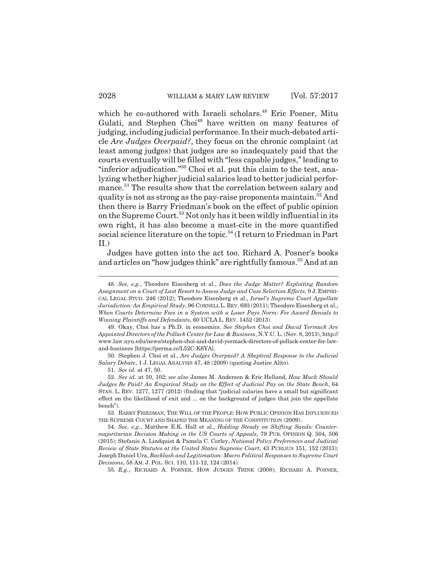which he co-authored with Israeli scholars.<sup>48</sup> Eric Posner, Mitu Gulati, and Stephen Choi<sup>49</sup> have written on many features of judging, including judicial performance. In their much-debated article *Are Judges Overpaid?*, they focus on the chronic complaint (at least among judges) that judges are so inadequately paid that the courts eventually will be filled with "less capable judges," leading to "inferior adjudication."<sup>50</sup> Choi et al. put this claim to the test, analyzing whether higher judicial salaries lead to better judicial performance.<sup>51</sup> The results show that the correlation between salary and quality is not as strong as the pay-raise proponents maintain.<sup>52</sup> And then there is Barry Friedman's book on the effect of public opinion on the Supreme Court.<sup>53</sup> Not only has it been wildly influential in its own right, it has also become a must-cite in the more quantified social science literature on the topic.<sup>54</sup> (I return to Friedman in Part II.)

Judges have gotten into the act too. Richard A. Posner's books and articles on "how judges think" are rightfully famous.<sup>55</sup> And at an

50. Stephen J. Choi et al., *Are Judges Overpaid? A Skeptical Response to the Judicial Salary Debate*, 1 J. LEGAL ANALYSIS 47, 48 (2009) (quoting Justice Alito).

51. *See id.* at 47, 50.

55. *E.g.*, RICHARD A. POSNER, HOW JUDGES THINK (2008); RICHARD A. POSNER,

<sup>48.</sup> *See, e.g.*, Theodore Eisenberg et al., *Does the Judge Matter? Exploiting Random Assignment on a Court of Last Resort to Assess Judge and Case Selection Effects*, 9 J. EMPIRI-CAL LEGAL STUD. 246 (2012); Theodore Eisenberg et al., *Israel's Supreme Court Appellate Jurisdiction: An Empirical Study*, 96 CORNELL L. REV. 693 (2011); Theodore Eisenberg et al., *When Courts Determine Fees in a System with a Loser Pays Norm: Fee Award Denials to Winning Plaintiffs and Defendants*, 60 UCLA L. REV. 1452 (2013).

<sup>49.</sup> Okay, Choi has a Ph.D. in economics. *See Stephen Choi and David Yermack Are Appointed Directors of the Pollack Center for Law & Business*, N.Y.U. L. (Nov. 8, 2013), http:// www.law.nyu.edu/news/stephen-choi-and-david-yermack-directors-of-pollack-center-for-lawand-business [https://perma.cc/L52C-K6YA].

<sup>52.</sup> *See id.* at 50, 102; *see also* James M. Anderson & Eric Helland, *How Much Should Judges Be Paid? An Empirical Study on the Effect of Judicial Pay on the State Bench*, 64 STAN. L. REV. 1277, 1277 (2012) (finding that "judicial salaries have a small but significant effect on the likelihood of exit and ... on the background of judges that join the appellate bench").

<sup>53.</sup> BARRY FRIEDMAN, THE WILL OF THE PEOPLE: HOW PUBLIC OPINION HAS INFLUENCED THE SUPREME COURT AND SHAPED THE MEANING OF THE CONSTITUTION (2009).

<sup>54.</sup> *See, e.g.*, Matthew E.K. Hall et al., *Holding Steady on Shifting Sands: Countermajoritarian Decision Making in the US Courts of Appeals*, 79 PUB. OPINION Q. 504, 506 (2015); Stefanie A. Lindquist & Pamela C. Corley, *National Policy Preferences and Judicial Review of State Statutes at the United States Supreme Court*, 43 PUBLIUS 151, 152 (2013); Joseph Daniel Ura, *Backlash and Legitimation: Macro Political Responses to Supreme Court Decisions*, 58 AM. J. POL. SCI. 110, 111-12, 124 (2014).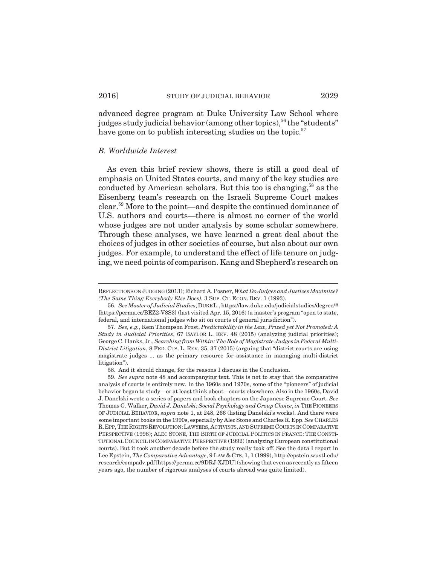advanced degree program at Duke University Law School where judges study judicial behavior (among other topics),  $56$  the "students" have gone on to publish interesting studies on the topic.<sup>57</sup>

## *B. Worldwide Interest*

As even this brief review shows, there is still a good deal of emphasis on United States courts, and many of the key studies are conducted by American scholars. But this too is changing,<sup>58</sup> as the Eisenberg team's research on the Israeli Supreme Court makes clear.59 More to the point—and despite the continued dominance of U.S. authors and courts—there is almost no corner of the world whose judges are not under analysis by some scholar somewhere. Through these analyses, we have learned a great deal about the choices of judges in other societies of course, but also about our own judges. For example, to understand the effect of life tenure on judging, we need points of comparison. Kang and Shepherd's research on

REFLECTIONS ON JUDGING (2013); Richard A. Posner, *What Do Judges and Justices Maximize? (The Same Thing Everybody Else Does)*, 3 SUP. CT. ECON. REV. 1 (1993).

<sup>56.</sup> *See Master of Judicial Studies*, DUKE L., https://law.duke.edu/judicialstudies/degree/# [https://perma.cc/BEZ2-V8S3] (last visited Apr. 15, 2016) (a master's program "open to state, federal, and international judges who sit on courts of general jurisdiction").

<sup>57.</sup> *See, e.g.*, Kem Thompson Frost, *Predictability in the Law, Prized yet Not Promoted: A Study in Judicial Priorities*, 67 BAYLOR L. REV. 48 (2015) (analyzing judicial priorities); George C. Hanks, Jr., *Searching from Within: The Role of Magistrate Judges in Federal Multi-District Litigation*, 8 FED. CTS. L. REV. 35, 37 (2015) (arguing that "district courts are using magistrate judges ... as the primary resource for assistance in managing multi-district litigation").

<sup>58.</sup> And it should change, for the reasons I discuss in the Conclusion.

<sup>59.</sup> *See supra* note 48 and accompanying text. This is not to stay that the comparative analysis of courts is entirely new. In the 1960s and 1970s, some of the "pioneers" of judicial behavior began to study—or at least think about—courts elsewhere. Also in the 1960s, David J. Danelski wrote a series of papers and book chapters on the Japanese Supreme Court. *See* Thomas G. Walker, *David J. Danelski: Social Psychology and Group Choice*, *in* THE PIONEERS OF JUDICIAL BEHAVIOR, *supra* note 1, at 248, 266 (listing Danelski's works). And there were some important books in the 1990s, especially by Alec Stone and Charles R. Epp. *See* CHARLES R.EPP, THE RIGHTS REVOLUTION:LAWYERS,ACTIVISTS, AND SUPREME COURTS IN COMPARATIVE PERSPECTIVE (1998); ALEC STONE, THE BIRTH OF JUDICIAL POLITICS IN FRANCE: THE CONSTI-TUTIONAL COUNCIL IN COMPARATIVE PERSPECTIVE (1992) (analyzing European constitutional courts). But it took another decade before the study really took off. See the data I report in Lee Epstein, *The Comparative Advantage*, 9 LAW & CTS. 1, 1 (1999), http://epstein.wustl.edu/ research/compadv.pdf [https://perma.cc/9DRJ-XJDU] (showing that even as recently as fifteen years ago, the number of rigorous analyses of courts abroad was quite limited).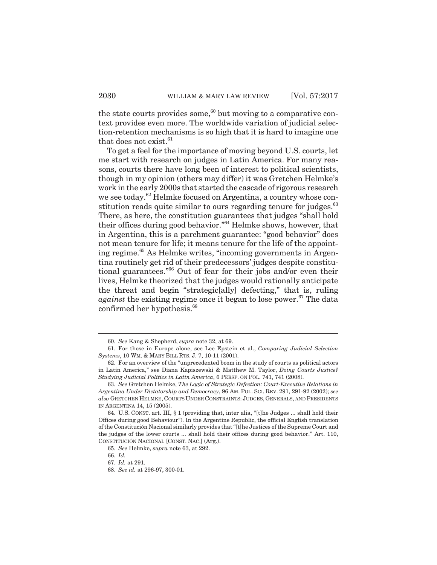the state courts provides some, $60$  but moving to a comparative context provides even more. The worldwide variation of judicial selection-retention mechanisms is so high that it is hard to imagine one that does not exist. $61$ 

To get a feel for the importance of moving beyond U.S. courts, let me start with research on judges in Latin America. For many reasons, courts there have long been of interest to political scientists, though in my opinion (others may differ) it was Gretchen Helmke's work in the early 2000s that started the cascade of rigorous research we see today.<sup>62</sup> Helmke focused on Argentina, a country whose constitution reads quite similar to ours regarding tenure for judges.<sup>63</sup> There, as here, the constitution guarantees that judges "shall hold their offices during good behavior."64 Helmke shows, however, that in Argentina, this is a parchment guarantee: "good behavior" does not mean tenure for life; it means tenure for the life of the appointing regime.65 As Helmke writes, "incoming governments in Argentina routinely get rid of their predecessors' judges despite constitutional guarantees."66 Out of fear for their jobs and/or even their lives, Helmke theorized that the judges would rationally anticipate the threat and begin "strategic[ally] defecting," that is, ruling *against* the existing regime once it began to lose power.<sup>67</sup> The data confirmed her hypothesis.<sup>68</sup>

<sup>60.</sup> *See* Kang & Shepherd, *supra* note 32, at 69.

<sup>61.</sup> For those in Europe alone, see Lee Epstein et al., *Comparing Judicial Selection Systems*, 10 WM. & MARY BILL RTS. J. 7, 10-11 (2001).

<sup>62.</sup> For an overview of the "unprecedented boom in the study of courts as political actors in Latin America," see Diana Kapiszewski & Matthew M. Taylor, *Doing Courts Justice? Studying Judicial Politics in Latin America*, 6 PERSP. ON POL. 741, 741 (2008).

<sup>63.</sup> *See* Gretchen Helmke, *The Logic of Strategic Defection: Court-Executive Relations in Argentina Under Dictatorship and Democracy*, 96 AM. POL. SCI. REV. 291, 291-92 (2002); *see also* GRETCHEN HELMKE, COURTS UNDER CONSTRAINTS: JUDGES, GENERALS, AND PRESIDENTS IN ARGENTINA 14, 15 (2005).

<sup>64.</sup> U.S. CONST. art. III, § 1 (providing that, inter alia, "[t]he Judges ... shall hold their Offices during good Behaviour"). In the Argentine Republic, the official English translation of the Constitución Nacional similarly provides that "[t]he Justices of the Supreme Court and the judges of the lower courts ... shall hold their offices during good behavior." Art. 110, CONSTITUCIÓN NACIONAL [CONST. NAC.] (Arg.).

<sup>65.</sup> *See* Helmke, *supra* note 63, at 292.

<sup>66.</sup> *Id.*

<sup>67.</sup> *Id.* at 291.

<sup>68.</sup> *See id.* at 296-97, 300-01.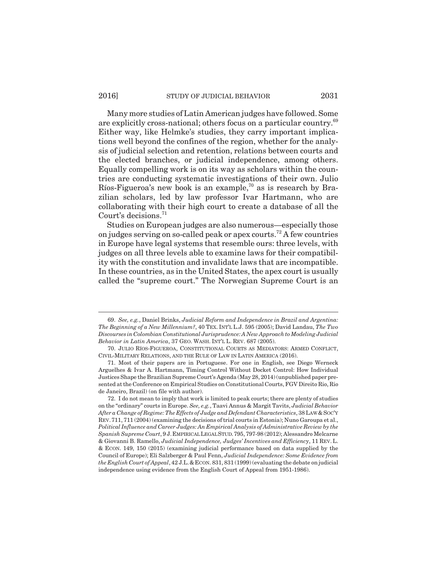## 2016] STUDY OF JUDICIAL BEHAVIOR 2031

Many more studies of Latin American judges have followed. Some are explicitly cross-national; others focus on a particular country.<sup>69</sup> Either way, like Helmke's studies, they carry important implications well beyond the confines of the region, whether for the analysis of judicial selection and retention, relations between courts and the elected branches, or judicial independence, among others. Equally compelling work is on its way as scholars within the countries are conducting systematic investigations of their own. Julio Ríos-Figueroa's new book is an example,<sup>70</sup> as is research by Brazilian scholars, led by law professor Ivar Hartmann, who are collaborating with their high court to create a database of all the Court's decisions.<sup>71</sup>

Studies on European judges are also numerous—especially those on judges serving on so-called peak or apex courts.<sup>72</sup> A few countries in Europe have legal systems that resemble ours: three levels, with judges on all three levels able to examine laws for their compatibility with the constitution and invalidate laws that are incompatible. In these countries, as in the United States, the apex court is usually called the "supreme court." The Norwegian Supreme Court is an

<sup>69.</sup> *See, e.g.*, Daniel Brinks, *Judicial Reform and Independence in Brazil and Argentina: The Beginning of a New Millennium?*, 40 TEX. INT'L L.J. 595 (2005); David Landau, *The Two Discourses in Colombian Constitutional Jurisprudence: A New Approach to Modeling Judicial Behavior in Latin America*, 37 GEO. WASH. INT'L L. REV. 687 (2005).

<sup>70.</sup> JULIO RÍOS-FIGUEROA, CONSTITUTIONAL COURTS AS MEDIATORS: ARMED CONFLICT, CIVIL-MILITARY RELATIONS, AND THE RULE OF LAW IN LATIN AMERICA (2016).

<sup>71.</sup> Most of their papers are in Portuguese. For one in English, see Diego Werneck Arguelhes & Ivar A. Hartmann, Timing Control Without Docket Control: How Individual Justices Shape the Brazilian Supreme Court's Agenda (May 28, 2014) (unpublished paper presented at the Conference on Empirical Studies on Constitutional Courts, FGV Direito Rio, Rio de Janeiro, Brazil) (on file with author).

<sup>72.</sup> I do not mean to imply that work is limited to peak courts; there are plenty of studies on the "ordinary" courts in Europe. *See, e.g.*, Taavi Annus & Margit Tavits, *Judicial Behavior After a Change of Regime: The Effects of Judge and Defendant Characteristics*, 38 LAW &SOC'Y REV.711, 711 (2004) (examining the decisions of trial courts in Estonia); Nuno Garoupa et al., *Political Influence and Career Judges: An Empirical Analysis of Administrative Review by the Spanish Supreme Court*, 9 J.EMPIRICAL LEGAL STUD.795, 797-98 (2012); Alessandro Melcarne & Giovanni B. Ramello, *Judicial Independence, Judges' Incentives and Efficienc*y, 11 REV. L. & ECON. 149, 150 (2015) (examining judicial performance based on data supplied by the Council of Europe); Eli Salzberger & Paul Fenn, *Judicial Independence: Some Evidence from the English Court of Appeal*, 42 J.L.&ECON. 831, 831 (1999) (evaluating the debate on judicial independence using evidence from the English Court of Appeal from 1951-1986).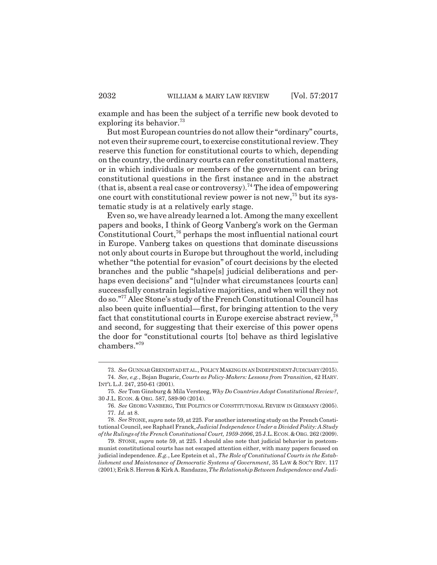example and has been the subject of a terrific new book devoted to exploring its behavior.<sup>73</sup>

But most European countries do not allow their "ordinary" courts, not even their supreme court, to exercise constitutional review. They reserve this function for constitutional courts to which, depending on the country, the ordinary courts can refer constitutional matters, or in which individuals or members of the government can bring constitutional questions in the first instance and in the abstract (that is, absent a real case or controversy).<sup>74</sup> The idea of empowering one court with constitutional review power is not new,<sup>75</sup> but its systematic study is at a relatively early stage.

Even so, we have already learned a lot. Among the many excellent papers and books, I think of Georg Vanberg's work on the German Constitutional Court,<sup>76</sup> perhaps the most influential national court in Europe. Vanberg takes on questions that dominate discussions not only about courts in Europe but throughout the world, including whether "the potential for evasion" of court decisions by the elected branches and the public "shape[s] judicial deliberations and perhaps even decisions" and "[u]nder what circumstances [courts can] successfully constrain legislative majorities, and when will they not do so."77 Alec Stone's study of the French Constitutional Council has also been quite influential—first, for bringing attention to the very fact that constitutional courts in Europe exercise abstract review,78 and second, for suggesting that their exercise of this power opens the door for "constitutional courts [to] behave as third legislative chambers."79

<sup>73.</sup> *See* GUNNAR GRENDSTAD ET AL., POLICY MAKING IN AN INDEPENDENT JUDICIARY (2015).

<sup>74.</sup> *See, e.g.*, Bojan Bugaric, *Courts as Policy-Makers: Lessons from Transition*, 42 HARV. INT'L L.J. 247, 250-61 (2001).

<sup>75.</sup> *See* Tom Ginsburg & Mila Versteeg, *Why Do Countries Adopt Constitutional Review?*, 30 J.L. ECON. & ORG. 587, 589-90 (2014).

<sup>76.</sup> *See* GEORG VANBERG, THE POLITICS OF CONSTITUTIONAL REVIEW IN GERMANY (2005). 77. *Id.* at 8.

<sup>78.</sup> *See* STONE, *supra* note 59, at 225. For another interesting study on the French Constitutional Council, see Raphaël Franck, *Judicial Independence Under a Divided Polity: A Study of the Rulings of the French Constitutional Court, 1959-2006*, 25 J.L.ECON.&ORG. 262 (2009).

<sup>79.</sup> STONE, *supra* note 59, at 225. I should also note that judicial behavior in postcommunist constitutional courts has not escaped attention either, with many papers focused on judicial independence. *E.g.*, Lee Epstein et al., *The Role of Constitutional Courts in the Establishment and Maintenance of Democratic Systems of Government*, 35 LAW & SOC'Y REV. 117 (2001); Erik S. Herron & Kirk A. Randazzo, *The Relationship Between Independence and Judi-*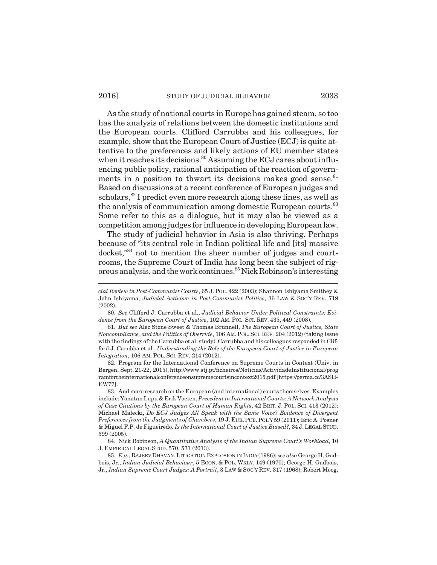#### 2016] STUDY OF JUDICIAL BEHAVIOR 2033

As the study of national courts in Europe has gained steam, so too has the analysis of relations between the domestic institutions and the European courts. Clifford Carrubba and his colleagues, for example, show that the European Court of Justice (ECJ) is quite attentive to the preferences and likely actions of EU member states when it reaches its decisions.<sup>80</sup> Assuming the ECJ cares about influencing public policy, rational anticipation of the reaction of governments in a position to thwart its decisions makes good sense. $81$ Based on discussions at a recent conference of European judges and scholars,<sup>82</sup> I predict even more research along these lines, as well as the analysis of communication among domestic European courts.<sup>83</sup> Some refer to this as a dialogue, but it may also be viewed as a competition among judges for influence in developing European law.

The study of judicial behavior in Asia is also thriving. Perhaps because of "its central role in Indian political life and [its] massive docket,"84 not to mention the sheer number of judges and courtrooms, the Supreme Court of India has long been the subject of rigorous analysis, and the work continues.85 Nick Robinson's interesting

*cial Review in Post-Communist Courts*, 65 J. POL. 422 (2003); Shannon Ishiyama Smithey & John Ishiyama, *Judicial Activism in Post-Communist Politics*, 36 LAW & SOC'Y REV. 719 (2002).

<sup>80.</sup> *See* Clifford J. Carrubba et al., *Judicial Behavior Under Political Constraints: Evidence from the European Court of Justice*, 102 AM. POL. SCI. REV. 435, 449 (2008).

<sup>81.</sup> *But see* Alec Stone Sweet & Thomas Brunnell, *The European Court of Justice, State Noncompliance, and the Politics of Override*, 106 AM. POL. SCI. REV*.* 204 (2012) (taking issue with the findings of the Carrubba et al. study). Carrubba and his colleagues responded in Clifford J. Carubba et al., *Understanding the Role of the European Court of Justice in European Integration*, 106 AM. POL. SCI. REV. 214 (2012).

<sup>82.</sup> Program for the International Conference on Supreme Courts in Context (Univ. in Bergen, Sept. 21-22, 2015), http://www.stj.pt/ficheiros/Noticias/ActividadeInstitucional/prog ramfortheinternationalconferenceonsupremecourtsincontext2015.pdf [https://perma.cc/3ASH-EW77].

<sup>83.</sup> And more research on the European (and international) courts themselves. Examples include: Yonatan Lupu & Erik Voeten, *Precedent in International Courts: A Network Analysis of Case Citations by the European Court of Human Rights*, 42 BRIT. J. POL. SCI. 413 (2012); Michael Malecki, *Do ECJ Judges All Speak with the Same Voice? Evidence of Divergent Preferences from the Judgments of Chambers*, 19 J. EUR.PUB.POL'Y 59 (2011); Eric A. Posner & Miguel F.P. de Figueiredo*, Is the International Court of Justice Biased?*, 34 J. LEGAL STUD. 599 (2005).

<sup>84.</sup> Nick Robinson, *A Quantitative Analysis of the Indian Supreme Court's Workload*, 10 J. EMPIRICAL LEGAL STUD. 570, 571 (2013).

<sup>85.</sup> *E.g.*, RAJEEV DHAVAN,LITIGATION EXPLOSION IN INDIA (1986); *see also* George H. Gadbois, Jr., *Indian Judicial Behaviour*, 5 ECON. & POL. WKLY. 149 (1970); George H. Gadbois, Jr., *Indian Supreme Court Judges: A Portrait*, 3 LAW & SOC'Y REV. 317 (1968); Robert Moog,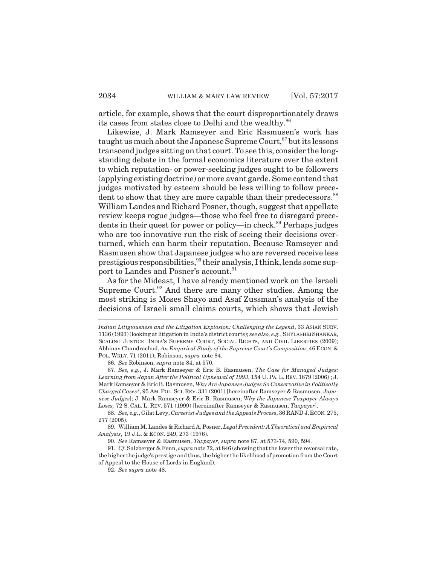article, for example, shows that the court disproportionately draws its cases from states close to Delhi and the wealthy.<sup>86</sup>

Likewise, J. Mark Ramseyer and Eric Rasmusen's work has taught us much about the Japanese Supreme Court,  $87$  but its lessons transcend judges sitting on that court. To see this, consider the longstanding debate in the formal economics literature over the extent to which reputation- or power-seeking judges ought to be followers (applying existing doctrine) or more avant garde. Some contend that judges motivated by esteem should be less willing to follow precedent to show that they are more capable than their predecessors.<sup>88</sup> William Landes and Richard Posner, though, suggest that appellate review keeps rogue judges—those who feel free to disregard precedents in their quest for power or policy—in check.<sup>89</sup> Perhaps judges who are too innovative run the risk of seeing their decisions overturned, which can harm their reputation. Because Ramseyer and Rasmusen show that Japanese judges who are reversed receive less prestigious responsibilities,  $90$  their analysis, I think, lends some support to Landes and Posner's account.<sup>91</sup>

As for the Mideast, I have already mentioned work on the Israeli Supreme Court. $92$  And there are many other studies. Among the most striking is Moses Shayo and Asaf Zussman's analysis of the decisions of Israeli small claims courts, which shows that Jewish

87. *See, e.g.*, J. Mark Ramseyer & Eric B. Rasmusen, *The Case for Managed Judges: Learning from Japan After the Political Upheaval of 1993*, 154 U. PA. L. REV. 1879 (2006) ; J. Mark Ramseyer & Eric B. Rasmusen, *Why Are Japanese Judges So Conservative in Politically Charged Cases?*, 95 AM.POL. SCI. REV. 331 (2001) [hereinafter Ramseyer & Rasmusen, *Japanese Judges*]; J. Mark Ramseyer & Eric B. Rasmusen, *Why the Japanese Taxpayer Always Loses,* 72 S. CAL. L. REV. 571 (1999) [hereinafter Ramseyer & Rasmusen, *Taxpayer*].

89. William M. Landes & Richard A. Posner, *Legal Precedent: A Theoretical and Empirical Analysis*, 19 J.L. & ECON. 249, 273 (1976).

90. *See* Ramseyer & Rasmusen, *Taxpayer*, *supra* note 87, at 573-74, 590, 594.

91. *Cf.* Salzberger & Fenn, *supra* note 72, at 846 (showing that the lower the reversal rate, the higher the judge's prestige and thus, the higher the likelihood of promotion from the Court of Appeal to the House of Lords in England).

92. *See supra* note 48.

*Indian Litigiousness and the Litigation Explosion: Challenging the Legend*, 33 ASIAN SURV. 1136 (1993) (looking at litigation in India's district courts); *see also, e.g.*, SHYLASHRI SHANKAR, SCALING JUSTICE: INDIA'S SUPREME COURT, SOCIAL RIGHTS, AND CIVIL LIBERTIES (2009); Abhinav Chandrachud, *An Empirical Study of the Supreme Court's Composition*, 46 ECON. & POL. WKLY. 71 (2011); Robinson, *supra* note 84.

<sup>86.</sup> *See* Robinson, *supra* note 84, at 570.

<sup>88.</sup> *See, e.g.*, Gilat Levy, *Careerist Judges and the Appeals Process*, 36 RAND J.ECON*.* 275, 277 (2005).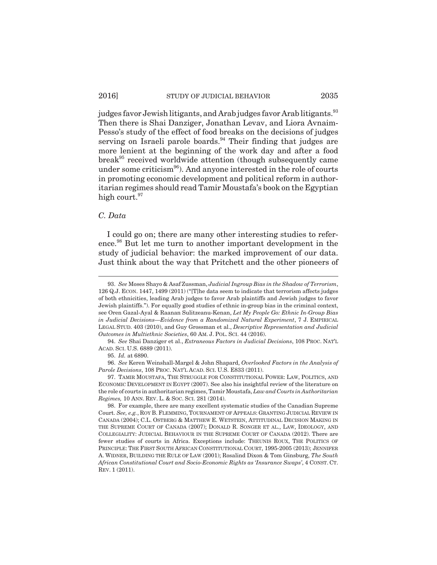judges favor Jewish litigants, and Arab judges favor Arab litigants.<sup>93</sup> Then there is Shai Danziger, Jonathan Levav, and Liora Avnaim-Pesso's study of the effect of food breaks on the decisions of judges serving on Israeli parole boards.<sup>94</sup> Their finding that judges are more lenient at the beginning of the work day and after a food break<sup>95</sup> received worldwide attention (though subsequently came under some criticism<sup>96</sup>). And anyone interested in the role of courts in promoting economic development and political reform in authoritarian regimes should read Tamir Moustafa's book on the Egyptian high court.<sup>97</sup>

## *C. Data*

I could go on; there are many other interesting studies to reference.98 But let me turn to another important development in the study of judicial behavior: the marked improvement of our data. Just think about the way that Pritchett and the other pioneers of

<sup>93.</sup> *See* Moses Shayo & Asaf Zussman, *Judicial Ingroup Bias in the Shadow of Terrorism*, 126 Q.J. ECON. 1447, 1499 (2011) ("[T]he data seem to indicate that terrorism affects judges of both ethnicities, leading Arab judges to favor Arab plaintiffs and Jewish judges to favor Jewish plaintiffs."). For equally good studies of ethnic in-group bias in the criminal context, see Oren Gazal-Ayal & Raanan Sulitzeanu-Kenan, *Let My People Go: Ethnic In-Group Bias in Judicial Decisions—Evidence from a Randomized Natural Experiment*, 7 J. EMPIRICAL LEGAL STUD. 403 (2010), and Guy Grossman et al., *Descriptive Representation and Judicial Outcomes in Multiethnic Societies*, 60 AM. J. POL. SCI. 44 (2016).

<sup>94.</sup> *See* Shai Danziger et al., *Extraneous Factors in Judicial Decisions*, 108 PROC. NAT'L ACAD. SCI. U.S. 6889 (2011).

<sup>95.</sup> *Id.* at 6890.

<sup>96.</sup> *See* Keren Weinshall-Margel & John Shapard, *Overlooked Factors in the Analysis of Parole Decisions*, 108 PROC. NAT'L ACAD. SCI. U.S. E833 (2011).

<sup>97.</sup> TAMIR MOUSTAFA, THE STRUGGLE FOR CONSTITUTIONAL POWER: LAW, POLITICS, AND ECONOMIC DEVELOPMENT IN EGYPT (2007). See also his insightful review of the literature on the role of courts in authoritarian regimes, Tamir Moustafa, *Law and Courts in Authoritarian Regimes,* 10 ANN. REV. L. & SOC. SCI. 281 (2014).

<sup>98.</sup> For example, there are many excellent systematic studies of the Canadian Supreme Court. *See, e.g.*, ROY B. FLEMMING, TOURNAMENT OF APPEALS: GRANTING JUDICIAL REVIEW IN CANADA (2004); C.L. OSTBERG & MATTHEW E. WETSTEIN, ATTITUDINAL DECISION MAKING IN THE SUPREME COURT OF CANADA (2007); DONALD R. SONGER ET AL., LAW, IDEOLOGY, AND COLLEGIALITY: JUDICIAL BEHAVIOUR IN THE SUPREME COURT OF CANADA (2012). There are fewer studies of courts in Africa. Exceptions include: THEUNIS ROUX, THE POLITICS OF PRINCIPLE: THE FIRST SOUTH AFRICAN CONSTITUTIONAL COURT, 1995-2005 (2013); JENNIFER A. WIDNER, BUILDING THE RULE OF LAW (2001); Rosalind Dixon & Tom Ginsburg, *The South African Constitutional Court and Socio-Economic Rights as 'Insurance Swaps'*, 4 CONST. CT. REV. 1 (2011).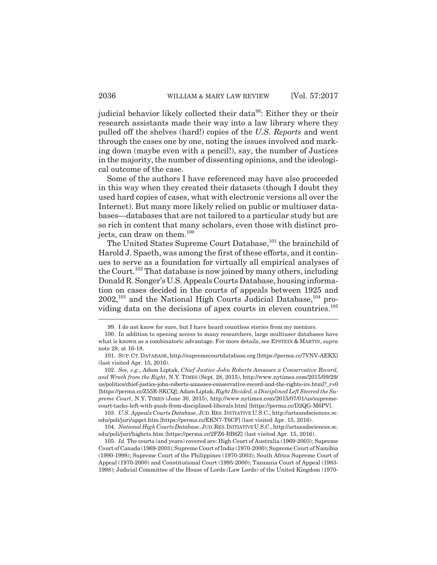judicial behavior likely collected their data<sup>99</sup>: Either they or their research assistants made their way into a law library where they pulled off the shelves (hard!) copies of the *U.S. Reports* and went through the cases one by one, noting the issues involved and marking down (maybe even with a pencil!), say, the number of Justices in the majority, the number of dissenting opinions, and the ideological outcome of the case.

Some of the authors I have referenced may have also proceeded in this way when they created their datasets (though I doubt they used hard copies of cases, what with electronic versions all over the Internet). But many more likely relied on public or multiuser databases—databases that are not tailored to a particular study but are so rich in content that many scholars, even those with distinct projects, can draw on them.<sup>100</sup>

The United States Supreme Court Database,<sup>101</sup> the brainchild of Harold J. Spaeth, was among the first of these efforts, and it continues to serve as a foundation for virtually all empirical analyses of the Court.<sup>102</sup> That database is now joined by many others, including Donald R. Songer's U.S. Appeals Courts Database, housing information on cases decided in the courts of appeals between 1925 and  $2002$ ,<sup>103</sup> and the National High Courts Judicial Database,<sup>104</sup> providing data on the decisions of apex courts in eleven countries.<sup>105</sup>

102. *See, e.g.*, Adam Liptak, *Chief Justice John Roberts Amasses a Conservative Record, and Wrath from the Right*, N.Y. TIMES (Sept. 28, 2015), http://www.nytimes.com/2015/09/29/ us/politics/chief-justice-john-roberts-amasses-conservative-record-and-the-rights-ire.html?\_r=0 [https://perma.cc/Z55R-SKCQ]; Adam Liptak, *Right Divided, a Disciplined Left Steered the Supreme Court*, N.Y. TIMES (June 30, 2015), http://www.nytimes.com/2015/07/01/us/supremecourt-tacks-left-with-push-from-disciplined-liberals.html [https://perma.cc/D2QG-M6PV].

103. *U.S. Appeals Courts Database*, JUD.RES. INITIATIVE U.S.C., http://artsandsciences.sc. edu/poli/juri/appct.htm [https://perma.cc/EKN7-T6CF] (last visited Apr. 15, 2016).

104. *National High Courts Database*, JUD.RES. INITIATIVE U.S.C.,http://artsandsciences.sc. edu/poli/juri/highcts.htm [https://perma.cc/2FZ6-BB6Z] (last visited Apr. 15, 2016).

105. *Id.* The courts (and years) covered are: High Court of Australia (1969-2003); Supreme Court of Canada (1969-2003); Supreme Court of India (1970-2000); Supreme Court of Namibia (1990-1998); Supreme Court of the Philippines (1970-2003); South Africa Supreme Court of Appeal (1970-2000) and Constitutional Court (1995-2000); Tanzania Court of Appeal (1983- 1998); Judicial Committee of the House of Lords (Law Lords) of the United Kingdom (1970-

<sup>99.</sup> I do not know for sure, but I have heard countless stories from my mentors.

<sup>100.</sup> In addition to opening access to many researchers, large multiuser databases have what is known as a combinatoric advantage. For more details, see EPSTEIN & MARTIN, *supra* note 28, at 16-18.

<sup>101.</sup> SUP.CT.DATABASE, http://supremecourtdatabase.org [https://perma.cc/7VNV-AEKX] (last visited Apr. 15, 2016).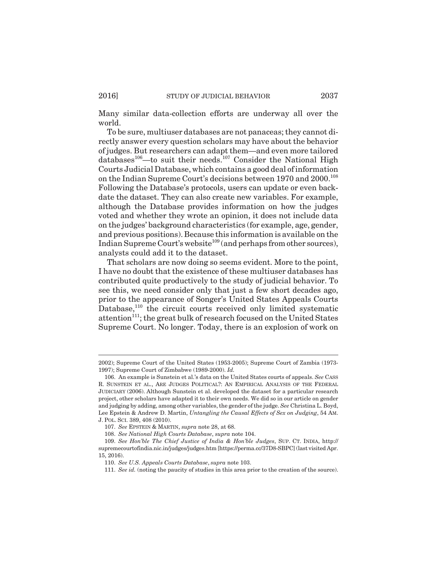Many similar data-collection efforts are underway all over the world.

To be sure, multiuser databases are not panaceas; they cannot directly answer every question scholars may have about the behavior of judges. But researchers can adapt them—and even more tailored databases<sup>106</sup>—to suit their needs.<sup>107</sup> Consider the National High Courts Judicial Database, which contains a good deal of information on the Indian Supreme Court's decisions between 1970 and 2000.<sup>108</sup> Following the Database's protocols, users can update or even backdate the dataset. They can also create new variables. For example, although the Database provides information on how the judges voted and whether they wrote an opinion, it does not include data on the judges' background characteristics (for example, age, gender, and previous positions). Because this information is available on the Indian Supreme Court's website<sup>109</sup> (and perhaps from other sources), analysts could add it to the dataset.

That scholars are now doing so seems evident. More to the point, I have no doubt that the existence of these multiuser databases has contributed quite productively to the study of judicial behavior. To see this, we need consider only that just a few short decades ago, prior to the appearance of Songer's United States Appeals Courts Database,<sup>110</sup> the circuit courts received only limited systematic attention<sup>111</sup>; the great bulk of research focused on the United States Supreme Court. No longer. Today, there is an explosion of work on

<sup>2002);</sup> Supreme Court of the United States (1953-2005); Supreme Court of Zambia (1973- 1997); Supreme Court of Zimbabwe (1989-2000). *Id.*

<sup>106.</sup> An example is Sunstein et al.'s data on the United States courts of appeals. *See* CASS R. SUNSTEIN ET AL., ARE JUDGES POLITICAL?: AN EMPIRICAL ANALYSIS OF THE FEDERAL JUDICIARY (2006). Although Sunstein et al. developed the dataset for a particular research project, other scholars have adapted it to their own needs. We did so in our article on gender and judging by adding, among other variables, the gender of the judge. *See* Christina L. Boyd, Lee Epstein & Andrew D. Martin, *Untangling the Causal Effects of Sex on Judging*, 54 AM. J. POL. SCI. 389, 408 (2010).

<sup>107.</sup> *See* EPSTEIN & MARTIN, *supra* note 28, at 68.

<sup>108.</sup> *See National High Courts Database*, *supra* note 104.

<sup>109.</sup> *See Hon'ble The Chief Justice of India & Hon'ble Judges*, SUP. CT. INDIA, http:// supremecourtofindia.nic.in/judges/judges.htm [https://perma.cc/37D8-SBPC] (last visited Apr. 15, 2016).

<sup>110.</sup> *See U.S. Appeals Courts Database*, *supra* note 103.

<sup>111.</sup> *See id.* (noting the paucity of studies in this area prior to the creation of the source).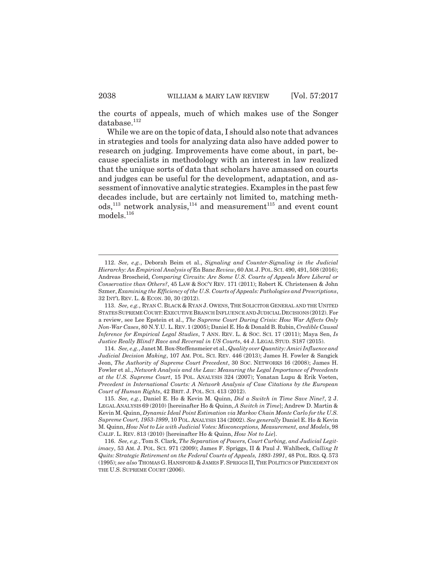the courts of appeals, much of which makes use of the Songer database.<sup>112</sup>

While we are on the topic of data, I should also note that advances in strategies and tools for analyzing data also have added power to research on judging. Improvements have come about, in part, because specialists in methodology with an interest in law realized that the unique sorts of data that scholars have amassed on courts and judges can be useful for the development, adaptation, and assessment of innovative analytic strategies. Examples in the past few decades include, but are certainly not limited to, matching meth $ods$ ,<sup>113</sup> network analysis,<sup>114</sup> and measurement<sup>115</sup> and event count models.<sup>116</sup>

<sup>112.</sup> *See, e.g.*, Deborah Beim et al., *Signaling and Counter-Signaling in the Judicial Hierarchy: An Empirical Analysis of* En Banc *Review*, 60 AM.J.POL.SCI. 490, 491, 508 (2016); Andreas Broscheid, *Comparing Circuits: Are Some U.S. Courts of Appeals More Liberal or Conservative than Others?*, 45 LAW & SOC'Y REV. 171 (2011); Robert K. Christensen & John Szmer, *Examining the Efficiency of the U.S. Courts of Appeals: Pathologies and Prescriptions*, 32 INT'L REV. L. & ECON. 30, 30 (2012).

<sup>113.</sup> *See, e.g.*, RYAN C. BLACK & RYAN J. OWENS, THE SOLICITOR GENERAL AND THE UNITED STATES SUPREME COURT: EXECUTIVE BRANCH INFLUENCE AND JUDICIAL DECISIONS (2012). For a review, see Lee Epstein et al., *The Supreme Court During Crisis: How War Affects Only Non-War Cases*, 80 N.Y.U. L.REV.1 (2005); Daniel E. Ho & Donald B. Rubin, *Credible Causal Inference for Empirical Legal Studies*, 7 ANN. REV. L. & SOC. SCI. 17 (2011); Maya Sen, *Is Justice Really Blind? Race and Reversal in US Courts*, 44 J. LEGAL STUD. S187 (2015).

<sup>114.</sup> *See, e.g.*, Janet M. Box-Steffensmeier et al., *Quality over Quantity: Amici Influence and Judicial Decision Making*, 107 AM. POL. SCI. REV. 446 (2013); James H. Fowler & Sangick Jeon, *The Authority of Supreme Court Precedent*, 30 SOC. NETWORKS 16 (2008); James H. Fowler et al., *Network Analysis and the Law: Measuring the Legal Importance of Precedents at the U.S. Supreme Court*, 15 POL. ANALYSIS 324 (2007); Yonatan Lupu & Erik Voeten, *Precedent in International Courts: A Network Analysis of Case Citations by the European Court of Human Rights*, 42 BRIT. J. POL. SCI. 413 (2012).

<sup>115.</sup> *See, e.g.*, Daniel E. Ho & Kevin M. Quinn, *Did a Switch in Time Save Nine?*, 2 J. LEGAL ANALYSIS 69 (2010) [hereinafter Ho & Quinn, *A Switch in Time*]; Andrew D. Martin & Kevin M. Quinn, *Dynamic Ideal Point Estimation via Markov Chain Monte Carlo for the U.S. Supreme Court, 1953-1999*, 10 POL. ANALYSIS 134 (2002). *See generally* Daniel E. Ho & Kevin M. Quinn, *How Not to Lie with Judicial Votes: Misconceptions, Measurement, and Models*, 98 CALIF. L. REV. 813 (2010) [hereinafter Ho & Quinn, *How Not to Lie*].

<sup>116.</sup> *See, e.g.*, Tom S. Clark, *The Separation of Powers, Court Curbing, and Judicial Legitimacy*, 53 AM. J. POL. SCI. 971 (2009); James F. Spriggs, II & Paul J. Wahlbeck, *Calling It Quits: Strategic Retirement on the Federal Courts of Appeals, 1893-1991*, 48 POL. RES. Q. 573 (1995); *see also* THOMAS G. HANSFORD & JAMES F. SPRIGGS II,THE POLITICS OF PRECEDENT ON THE U.S. SUPREME COURT (2006).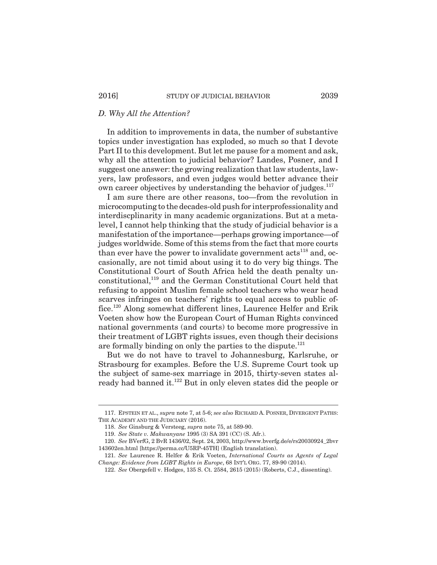## *D. Why All the Attention?*

In addition to improvements in data, the number of substantive topics under investigation has exploded, so much so that I devote Part II to this development. But let me pause for a moment and ask, why all the attention to judicial behavior? Landes, Posner, and I suggest one answer: the growing realization that law students, lawyers, law professors, and even judges would better advance their own career objectives by understanding the behavior of judges.<sup>117</sup>

I am sure there are other reasons, too—from the revolution in microcomputing to the decades-old push for interprofessionality and interdiscplinarity in many academic organizations. But at a metalevel, I cannot help thinking that the study of judicial behavior is a manifestation of the importance—perhaps growing importance—of judges worldwide. Some of this stems from the fact that more courts than ever have the power to invalidate government  $\arctan^{118}$  and, occasionally, are not timid about using it to do very big things. The Constitutional Court of South Africa held the death penalty unconstitutional,<sup>119</sup> and the German Constitutional Court held that refusing to appoint Muslim female school teachers who wear head scarves infringes on teachers' rights to equal access to public office.120 Along somewhat different lines, Laurence Helfer and Erik Voeten show how the European Court of Human Rights convinced national governments (and courts) to become more progressive in their treatment of LGBT rights issues, even though their decisions are formally binding on only the parties to the dispute.<sup>121</sup>

But we do not have to travel to Johannesburg, Karlsruhe, or Strasbourg for examples. Before the U.S. Supreme Court took up the subject of same-sex marriage in 2015, thirty-seven states already had banned it.122 But in only eleven states did the people or

<sup>117.</sup> EPSTEIN ET AL., *supra* note 7, at 5-6; *see also* RICHARD A. POSNER, DIVERGENT PATHS: THE ACADEMY AND THE JUDICIARY (2016).

<sup>118.</sup> *See* Ginsburg & Versteeg, *supra* note 75, at 589-90.

<sup>119.</sup> *See State v. Makwanyane* 1995 (3) SA 391 (CC) (S. Afr.).

<sup>120.</sup> *See* BVerfG, 2 BvR 1436/02, Sept. 24, 2003, http://www.bverfg.de/e/rs20030924\_2bvr 143602en.html [https://perma.cc/U5RP-45TH] (English translation).

<sup>121.</sup> *See* Laurence R. Helfer & Erik Voeten, *International Courts as Agents of Legal Change: Evidence from LGBT Rights in Europe*, 68 INT'L ORG. 77, 89-90 (2014).

<sup>122.</sup> *See* Obergefell v. Hodges, 135 S. Ct. 2584, 2615 (2015) (Roberts, C.J., dissenting).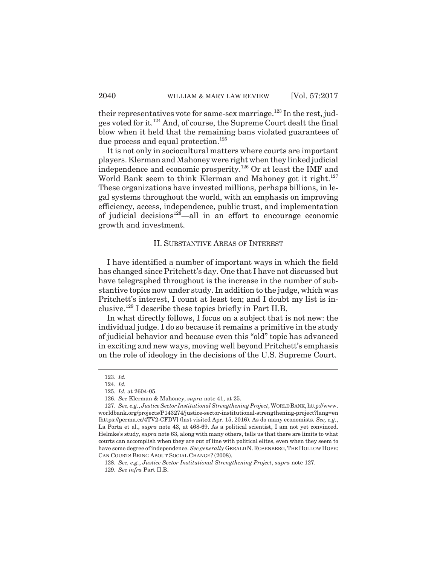their representatives vote for same-sex marriage.<sup>123</sup> In the rest, judges voted for it.124 And, of course, the Supreme Court dealt the final blow when it held that the remaining bans violated guarantees of due process and equal protection.<sup>125</sup>

It is not only in sociocultural matters where courts are important players. Klerman and Mahoney were right when they linked judicial independence and economic prosperity.126 Or at least the IMF and World Bank seem to think Klerman and Mahoney got it right.<sup>127</sup> These organizations have invested millions, perhaps billions, in legal systems throughout the world, with an emphasis on improving efficiency, access, independence, public trust, and implementation of judicial decisions<sup>128</sup>—all in an effort to encourage economic growth and investment.

## II. SUBSTANTIVE AREAS OF INTEREST

I have identified a number of important ways in which the field has changed since Pritchett's day. One that I have not discussed but have telegraphed throughout is the increase in the number of substantive topics now under study. In addition to the judge, which was Pritchett's interest, I count at least ten; and I doubt my list is inclusive.129 I describe these topics briefly in Part II.B.

In what directly follows, I focus on a subject that is not new: the individual judge. I do so because it remains a primitive in the study of judicial behavior and because even this "old" topic has advanced in exciting and new ways, moving well beyond Pritchett's emphasis on the role of ideology in the decisions of the U.S. Supreme Court.

<sup>123.</sup> *Id.*

<sup>124.</sup> *Id.*

<sup>125.</sup> *Id.* at 2604-05.

<sup>126.</sup> *See* Klerman & Mahoney, *supra* note 41, at 25.

<sup>127.</sup> *See, e.g.*, *Justice Sector Institutional Strengthening Project*, WORLD BANK, http://www. worldbank.org/projects/P143274/justice-sector-institutional-strengthening-project?lang=en [https://perma.cc/4TV2-CFDV] (last visited Apr. 15, 2016). As do many economists. *See, e.g.*, La Porta et al., *supra* note 43, at 468-69. As a political scientist, I am not yet convinced. Helmke's study, *supra* note 63, along with many others, tells us that there are limits to what courts can accomplish when they are out of line with political elites, even when they seem to have some degree of independence. *See generally* GERALD N.ROSENBERG,THE HOLLOW HOPE: CAN COURTS BRING ABOUT SOCIAL CHANGE? (2008).

<sup>128.</sup> *See, e.g.*, *Justice Sector Institutional Strengthening Project*, *supra* note 127. 129. *See infra* Part II.B.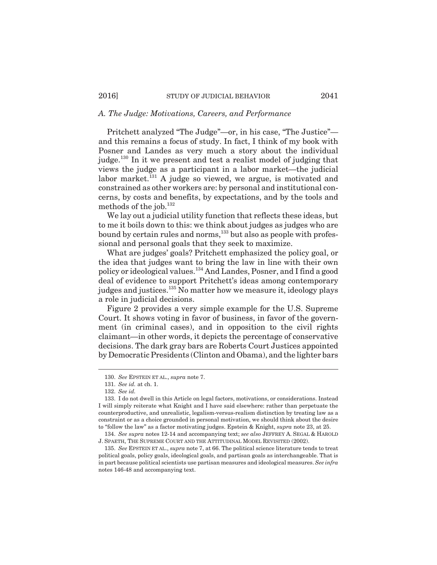## *A. The Judge: Motivations, Careers, and Performance*

Pritchett analyzed "The Judge"—or, in his case, "The Justice" and this remains a focus of study. In fact, I think of my book with Posner and Landes as very much a story about the individual judge.<sup>130</sup> In it we present and test a realist model of judging that views the judge as a participant in a labor market—the judicial labor market. $^{131}$  A judge so viewed, we argue, is motivated and constrained as other workers are: by personal and institutional concerns, by costs and benefits, by expectations, and by the tools and methods of the job. $^{132}$ 

We lay out a judicial utility function that reflects these ideas, but to me it boils down to this: we think about judges as judges who are bound by certain rules and norms,<sup>133</sup> but also as people with professional and personal goals that they seek to maximize.

What are judges' goals? Pritchett emphasized the policy goal, or the idea that judges want to bring the law in line with their own policy or ideological values.134 And Landes, Posner, and I find a good deal of evidence to support Pritchett's ideas among contemporary judges and justices.<sup>135</sup> No matter how we measure it, ideology plays a role in judicial decisions.

Figure 2 provides a very simple example for the U.S. Supreme Court. It shows voting in favor of business, in favor of the government (in criminal cases), and in opposition to the civil rights claimant—in other words, it depicts the percentage of conservative decisions. The dark gray bars are Roberts Court Justices appointed by Democratic Presidents (Clinton and Obama), and the lighter bars

<sup>130.</sup> *See* EPSTEIN ET AL., *supra* note 7.

<sup>131.</sup> *See id.* at ch. 1.

<sup>132.</sup> *See id.*

<sup>133.</sup> I do not dwell in this Article on legal factors, motivations, or considerations. Instead I will simply reiterate what Knight and I have said elsewhere: rather than perpetuate the counterproductive, and unrealistic, legalism-versus-realism distinction by treating law as a constraint or as a choice grounded in personal motivation, we should think about the desire to "follow the law" as a factor motivating judges. Epstein & Knight, *supra* note 23, at 25.

<sup>134.</sup> *See supra* notes 12-14 and accompanying text; *see also* JEFFREY A. SEGAL & HAROLD J. SPAETH, THE SUPREME COURT AND THE ATTITUDINAL MODEL REVISITED (2002).

<sup>135.</sup> *See* EPSTEIN ET AL., *supra* note 7, at 66. The political science literature tends to treat political goals, policy goals, ideological goals, and partisan goals as interchangeable. That is in part because political scientists use partisan measures and ideological measures. *See infra* notes 146-48 and accompanying text.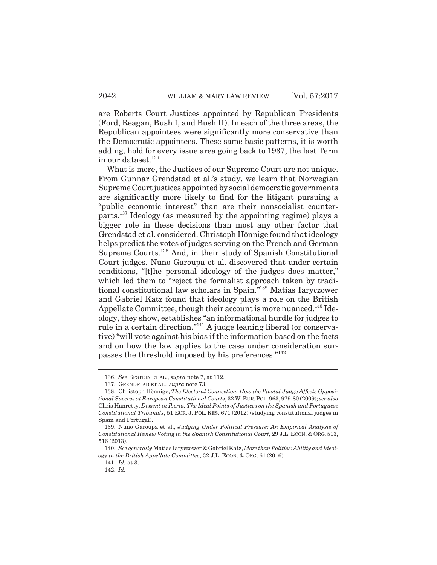are Roberts Court Justices appointed by Republican Presidents (Ford, Reagan, Bush I, and Bush II). In each of the three areas, the Republican appointees were significantly more conservative than the Democratic appointees. These same basic patterns, it is worth adding, hold for every issue area going back to 1937, the last Term in our dataset. $136$ 

What is more, the Justices of our Supreme Court are not unique. From Gunnar Grendstad et al.'s study, we learn that Norwegian Supreme Court justices appointed by social democratic governments are significantly more likely to find for the litigant pursuing a "public economic interest" than are their nonsocialist counterparts.137 Ideology (as measured by the appointing regime) plays a bigger role in these decisions than most any other factor that Grendstad et al. considered. Christoph Hönnige found that ideology helps predict the votes of judges serving on the French and German Supreme Courts.138 And, in their study of Spanish Constitutional Court judges, Nuno Garoupa et al. discovered that under certain conditions, "[t]he personal ideology of the judges does matter," which led them to "reject the formalist approach taken by traditional constitutional law scholars in Spain."139 Matias Iaryczower and Gabriel Katz found that ideology plays a role on the British Appellate Committee, though their account is more nuanced.<sup>140</sup> Ideology, they show, establishes "an informational hurdle for judges to rule in a certain direction."141 A judge leaning liberal (or conservative) "will vote against his bias if the information based on the facts and on how the law applies to the case under consideration surpasses the threshold imposed by his preferences."<sup>142</sup>

<sup>136.</sup> *See* EPSTEIN ET AL., *supra* note 7, at 112.

<sup>137.</sup> GRENDSTAD ET AL., *supra* note 73.

<sup>138.</sup> Christoph Hönnige, *The Electoral Connection: How the Pivotal Judge Affects Oppositional Success at European Constitutional Courts*, 32 W.EUR.POL. 963, 979-80 (2009); *see also* Chris Hanretty, *Dissent in Iberia: The Ideal Points of Justices on the Spanish and Portuguese Constitutional Tribunals*, 51 EUR. J. POL. RES. 671 (2012) (studying constitutional judges in Spain and Portugal).

<sup>139.</sup> Nuno Garoupa et al., *Judging Under Political Pressure: An Empirical Analysis of Constitutional Review Voting in the Spanish Constitutional Court,* 29 J.L. ECON. & ORG. 513, 516 (2013).

<sup>140.</sup> *See generally* Matias Iaryczower & Gabriel Katz, *More than Politics: Ability and Ideology in the British Appellate Committee*, 32 J.L. ECON. & ORG. 61 (2016).

<sup>141.</sup> *Id.* at 3.

<sup>142.</sup> *Id.*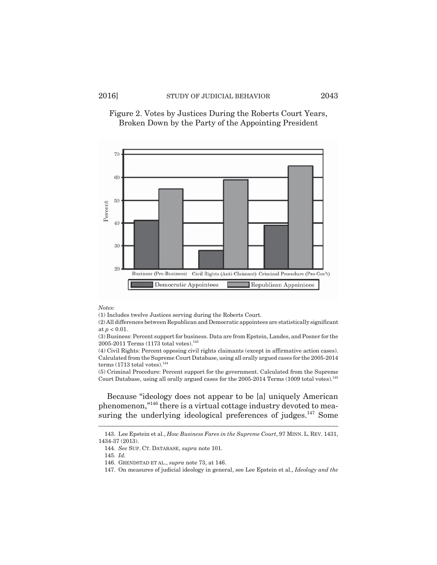

Figure 2. Votes by Justices During the Roberts Court Years, Broken Down by the Party of the Appointing President

#### *Notes:*

(1) Includes twelve Justices serving during the Roberts Court.

(2) All differences between Republican and Democratic appointees are statistically significant at *p* < 0.01.

(3) Business: Percent support for business. Data are from Epstein, Landes, and Posner for the 2005-2011 Terms (1173 total votes).<sup>143</sup>

(4) Civil Rights: Percent opposing civil rights claimants (except in affirmative action cases). Calculated from the Supreme Court Database, using all orally argued cases for the 2005-2014 terms (1713 total votes). $144$ 

(5) Criminal Procedure: Percent support for the government. Calculated from the Supreme Court Database, using all orally argued cases for the 2005-2014 Terms (1009 total votes).145

Because "ideology does not appear to be [a] uniquely American phenomenon,"146 there is a virtual cottage industry devoted to measuring the underlying ideological preferences of judges.<sup>147</sup> Some

<sup>143.</sup> Lee Epstein et al., *How Business Fares in the Supreme Court*, 97 MINN. L. REV. 1431, 1434-37 (2013).

<sup>144.</sup> *See* SUP. CT. DATABASE, *supra* note 101.

<sup>145.</sup> *Id.*

<sup>146.</sup> GRENDSTAD ET AL., *supra* note 73, at 146.

<sup>147.</sup> On measures of judicial ideology in general, see Lee Epstein et al., *Ideology and the*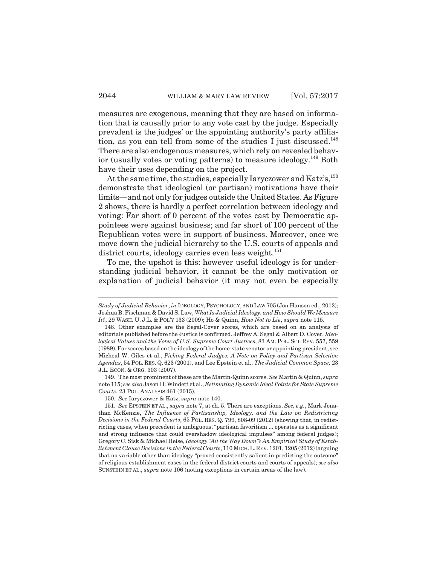measures are exogenous, meaning that they are based on information that is causally prior to any vote cast by the judge. Especially prevalent is the judges' or the appointing authority's party affiliation, as you can tell from some of the studies I just discussed.<sup>148</sup> There are also endogenous measures, which rely on revealed behavior (usually votes or voting patterns) to measure ideology.149 Both have their uses depending on the project.

At the same time, the studies, especially Iaryczower and Katz's, 150 demonstrate that ideological (or partisan) motivations have their limits—and not only for judges outside the United States. As Figure 2 shows, there is hardly a perfect correlation between ideology and voting: Far short of 0 percent of the votes cast by Democratic appointees were against business; and far short of 100 percent of the Republican votes were in support of business. Moreover, once we move down the judicial hierarchy to the U.S. courts of appeals and district courts, ideology carries even less weight.<sup>151</sup>

To me, the upshot is this: however useful ideology is for understanding judicial behavior, it cannot be the only motivation or explanation of judicial behavior (it may not even be especially

149. The most prominent of these are the Martin-Quinn scores. *See* Martin & Quinn, *supra* note 115; *see also* Jason H. Windett et al., *Estimating Dynamic Ideal Points for State Supreme Courts*, 23 POL. ANALYSIS 461 (2015).

150. *See* Iaryczower & Katz, *supra* note 140.

*Study of Judicial Behavior*, *in* IDEOLOGY, PSYCHOLOGY, AND LAW 705 (Jon Hanson ed., 2012); Joshua B. Fischman & David S. Law, *What Is Judicial Ideology, and How Should We Measure It?*, 29 WASH. U. J.L. & POL'Y 133 (2009); Ho & Quinn, *How Not to Lie*, *supra* note 115.

<sup>148.</sup> Other examples are the Segal-Cover scores, which are based on an analysis of editorials published before the Justice is confirmed. Jeffrey A. Segal & Albert D. Cover, *Ideological Values and the Votes of U.S. Supreme Court Justices*, 83 AM. POL. SCI. REV. 557, 559 (1989). For scores based on the ideology of the home-state senator or appointing president, see Micheal W. Giles et al., *Picking Federal Judges: A Note on Policy and Partisan Selection Agendas*, 54 POL. RES. Q. 623 (2001), and Lee Epstein et al., *The Judicial Common Space,* 23 J.L. ECON. & ORG. 303 (2007).

<sup>151.</sup> *See* EPSTEIN ET AL., *supra* note 7, at ch. 5. There are exceptions. *See, e.g.*, Mark Jonathan McKenzie, *The Influence of Partisanship, Ideology, and the Law on Redistricting Decisions in the Federal Courts*, 65 POL. RES. Q. 799, 808-09 (2012) (showing that, in redistricting cases, when precedent is ambiguous, "partisan favoritism ... operates as a significant and strong influence that could overshadow ideological impulses" among federal judges); Gregory C. Sisk & Michael Heise, *Ideology "All the Way Down"? An Empirical Study of Establishment Clause Decisions in the Federal Courts*, 110 MICH.L.REV. 1201, 1205 (2012) (arguing that no variable other than ideology "proved consistently salient in predicting the outcome" of religious establishment cases in the federal district courts and courts of appeals); *see also* SUNSTEIN ET AL., *supra* note 106 (noting exceptions in certain areas of the law).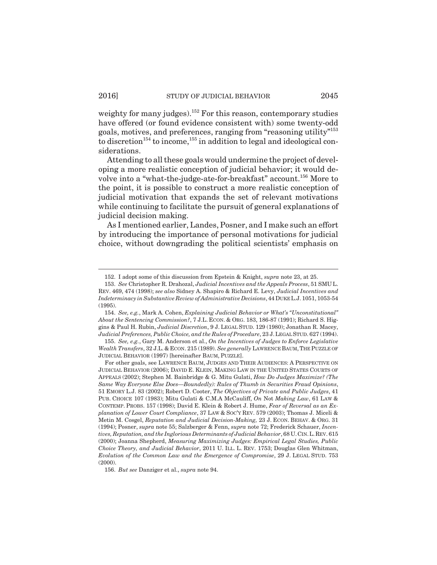weighty for many judges).<sup>152</sup> For this reason, contemporary studies have offered (or found evidence consistent with) some twenty-odd goals, motives, and preferences, ranging from "reasoning utility"153 to discretion<sup>154</sup> to income,<sup>155</sup> in addition to legal and ideological considerations.

Attending to all these goals would undermine the project of developing a more realistic conception of judicial behavior; it would devolve into a "what-the-judge-ate-for-breakfast" account.<sup>156</sup> More to the point, it is possible to construct a more realistic conception of judicial motivation that expands the set of relevant motivations while continuing to facilitate the pursuit of general explanations of judicial decision making.

As I mentioned earlier, Landes, Posner, and I make such an effort by introducing the importance of personal motivations for judicial choice, without downgrading the political scientists' emphasis on

<sup>152.</sup> I adopt some of this discussion from Epstein & Knight, *supra* note 23, at 25.

<sup>153.</sup> *See* Christopher R. Drahozal, *Judicial Incentives and the Appeals Process*, 51 SMU L. REV. 469, 474 (1998); *see also* Sidney A. Shapiro & Richard E. Levy, *Judicial Incentives and Indeterminacy in Substantive Review of Administrative Decisions*, 44 DUKE L.J. 1051, 1053-54 (1995).

<sup>154.</sup> *See, e.g.*, Mark A. Cohen, *Explaining Judicial Behavior or What's "Unconstitutional" About the Sentencing Commission?*, 7 J.L. ECON. & ORG. 183, 186-87 (1991); Richard S. Higgins & Paul H. Rubin, *Judicial Discretion*, 9 J. LEGAL STUD. 129 (1980); Jonathan R. Macey, *Judicial Preferences, Public Choice, and the Rules of Procedure*, 23 J.LEGAL STUD. 627 (1994).

<sup>155.</sup> *See, e.g.*, Gary M. Anderson et al., *On the Incentives of Judges to Enforce Legislative Wealth Transfers*, 32 J.L. & ECON. 215 (1989). *See generally* LAWRENCE BAUM,THE PUZZLE OF JUDICIAL BEHAVIOR (1997) [hereinafter BAUM, PUZZLE].

For other goals, see LAWRENCE BAUM, JUDGES AND THEIR AUDIENCES: A PERSPECTIVE ON JUDICIAL BEHAVIOR (2006); DAVID E. KLEIN, MAKING LAW IN THE UNITED STATES COURTS OF APPEALS (2002); Stephen M. Bainbridge & G. Mitu Gulati, *How Do Judges Maximize? (The Same Way Everyone Else Does—Boundedly): Rules of Thumb in Securities Fraud Opinions*, 51 EMORY L.J. 83 (2002); Robert D. Cooter, *The Objectives of Private and Public Judges*, 41 PUB. CHOICE 107 (1983); Mitu Gulati & C.M.A McCauliff, *On* Not *Making Law*, 61 LAW & CONTEMP. PROBS. 157 (1998); David E. Klein & Robert J. Hume, *Fear of Reversal as an Explanation of Lower Court Compliance*, 37 LAW & SOC'Y REV. 579 (2003); Thomas J. Miceli & Metin M. Cosgel, *Reputation and Judicial Decision-Making,* 23 J. ECON. BEHAV. & ORG. 31 (1994); Posner, *supra* note 55; Salzberger & Fenn, *supra* note 72; Frederick Schauer, *Incentives, Reputation, and the Inglorious Determinants of Judicial Behavior*, 68 U.CIN.L.REV. 615 (2000); Joanna Shepherd, *Measuring Maximizing Judges: Empirical Legal Studies, Public Choice Theory, and Judicial Behavior*, 2011 U. ILL. L. REV. 1753; Douglas Glen Whitman, *Evolution of the Common Law and the Emergence of Compromise*, 29 J. LEGAL STUD. 753  $(2000)$ .

<sup>156.</sup> *But see* Danziger et al., *supra* note 94.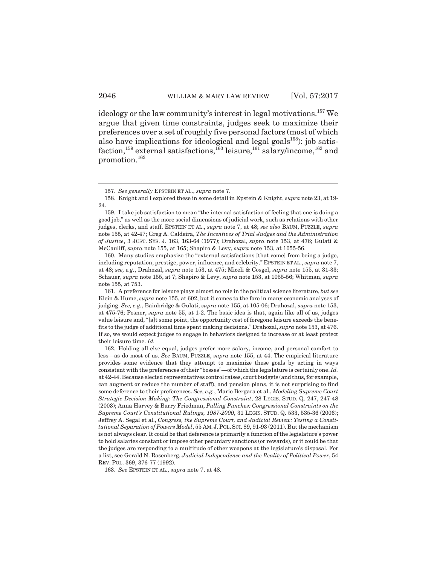ideology or the law community's interest in legal motivations.<sup>157</sup> We argue that given time constraints, judges seek to maximize their preferences over a set of roughly five personal factors (most of which also have implications for ideological and legal goals $^{158}$ ): job satisfaction,<sup>159</sup> external satisfactions,<sup>160</sup> leisure,<sup>161</sup> salary/income,<sup>162</sup> and promotion.163

160. Many studies emphasize the "external satisfactions [that come] from being a judge, including reputation, prestige, power, influence, and celebrity." EPSTEIN ET AL., *supra* note 7, at 48; *see, e.g.*, Drahozal, *supra* note 153, at 475; Miceli & Cosgel, *supra* note 155, at 31-33; Schauer, *supra* note 155, at 7; Shapiro & Levy, *supra* note 153, at 1055-56; Whitman, *supra* note 155, at 753.

161. A preference for leisure plays almost no role in the political science literature, *but see* Klein & Hume, *supra* note 155, at 602, but it comes to the fore in many economic analyses of judging. *See, e.g.*, Bainbridge & Gulati, *supra* note 155, at 105-06; Drahozal, *supra* note 153, at 475-76; Posner, *supra* note 55, at 1-2. The basic idea is that, again like all of us, judges value leisure and, "[a]t some point, the opportunity cost of foregone leisure exceeds the benefits to the judge of additional time spent making decisions." Drahozal, *supra* note 153, at 476. If so, we would expect judges to engage in behaviors designed to increase or at least protect their leisure time. *Id.*

162. Holding all else equal, judges prefer more salary, income, and personal comfort to less—as do most of us. *See* BAUM, PUZZLE, *supra* note 155, at 44. The empirical literature provides some evidence that they attempt to maximize these goals by acting in ways consistent with the preferences of their "bosses"—of which the legislature is certainly one. *Id.* at 42-44. Because elected representatives control raises, court budgets (and thus, for example, can augment or reduce the number of staff), and pension plans, it is not surprising to find some deference to their preferences. *See, e.g.*, Mario Bergara et al., *Modeling Supreme Court Strategic Decision Making: The Congressional Constraint*, 28 LEGIS. STUD. Q. 247, 247-48 (2003); Anna Harvey & Barry Friedman, *Pulling Punches: Congressional Constraints on the Supreme Court's Constitutional Rulings, 1987-2000*, 31 LEGIS. STUD. Q. 533, 535-36 (2006); Jeffrey A. Segal et al., *Congress, the Supreme Court, and Judicial Review: Testing a Constitutional Separation of Powers Model*, 55 AM. J.POL.SCI. 89, 91-93 (2011). But the mechanism is not always clear. It could be that deference is primarily a function of the legislature's power to hold salaries constant or impose other pecuniary sanctions (or rewards), or it could be that the judges are responding to a multitude of other weapons at the legislature's disposal. For a list, see Gerald N. Rosenberg, *Judicial Independence and the Reality of Political Power*, 54 REV. POL. 369, 376-77 (1992).

163. *See* EPSTEIN ET AL., *supra* note 7, at 48.

<sup>157.</sup> *See generally* EPSTEIN ET AL., *supra* note 7.

<sup>158.</sup> Knight and I explored these in some detail in Epstein & Knight, *supra* note 23, at 19- 24.

<sup>159.</sup> I take job satisfaction to mean "the internal satisfaction of feeling that one is doing a good job," as well as the more social dimensions of judicial work, such as relations with other judges, clerks, and staff. EPSTEIN ET AL., *supra* note 7, at 48; *see also* BAUM, PUZZLE, *supra* note 155, at 42-47; Greg A. Caldeira, *The Incentives of Trial Judges and the Administration of Justice*, 3 JUST. SYS. J. 163, 163-64 (1977); Drahozal, *supra* note 153, at 476; Gulati & McCauliff, *supra* note 155, at 165; Shapiro & Levy, *supra* note 153, at 1055-56.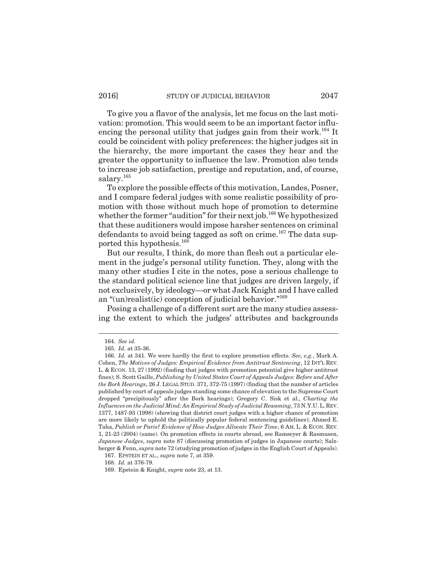To give you a flavor of the analysis, let me focus on the last motivation: promotion. This would seem to be an important factor influencing the personal utility that judges gain from their work.<sup>164</sup> It could be coincident with policy preferences: the higher judges sit in the hierarchy, the more important the cases they hear and the greater the opportunity to influence the law. Promotion also tends to increase job satisfaction, prestige and reputation, and, of course, salary.<sup>165</sup>

To explore the possible effects of this motivation, Landes, Posner, and I compare federal judges with some realistic possibility of promotion with those without much hope of promotion to determine whether the former "audition" for their next job.<sup>166</sup> We hypothesized that these auditioners would impose harsher sentences on criminal defendants to avoid being tagged as soft on crime.<sup>167</sup> The data supported this hypothesis.168

But our results, I think, do more than flesh out a particular element in the judge's personal utility function. They, along with the many other studies I cite in the notes, pose a serious challenge to the standard political science line that judges are driven largely, if not exclusively, by ideology—or what Jack Knight and I have called an "(un)realist(ic) conception of judicial behavior."<sup>169</sup>

Posing a challenge of a different sort are the many studies assessing the extent to which the judges' attributes and backgrounds

<sup>164.</sup> *See id.*

<sup>165.</sup> *Id.* at 35-36.

<sup>166.</sup> *Id.* at 341. We were hardly the first to explore promotion effects. *See, e.g.*, Mark A. Cohen, *The Motives of Judges: Empirical Evidence from Antitrust Sentencing*, 12 INT'L REV. L. & ECON. 13, 27 (1992) (finding that judges with promotion potential give higher antitrust fines); S. Scott Gaille, *Publishing by United States Court of Appeals Judges: Before and After the Bork Hearings*, 26 J. LEGAL STUD. 371, 372-75 (1997) (finding that the number of articles published by court of appeals judges standing some chance of elevation to the Supreme Court dropped "precipitously" after the Bork hearings); Gregory C. Sisk et al., *Charting the Influences on the Judicial Mind: An Empirical Study of Judicial Reasoning*, 73 N.Y.U.L.REV. 1377, 1487-93 (1998) (showing that district court judges with a higher chance of promotion are more likely to uphold the politically popular federal sentencing guidelines); Ahmed E. Taha, *Publish or Paris? Evidence of How Judges Allocate Their Time*, 6 AM. L. & ECON. REV. 1, 21-23 (2004) (same). On promotion effects in courts abroad, see Ramseyer & Rasmusen, *Japanese Judges*, *supra* note 87 (discussing promotion of judges in Japanese courts); Salzberger & Fenn, *supra* note 72 (studying promotion of judges in the English Court of Appeals).

<sup>167.</sup> EPSTEIN ET AL., *supra* note 7, at 359.

<sup>168.</sup> *Id.* at 376-79.

<sup>169.</sup> Epstein & Knight, *supra* note 23, at 13.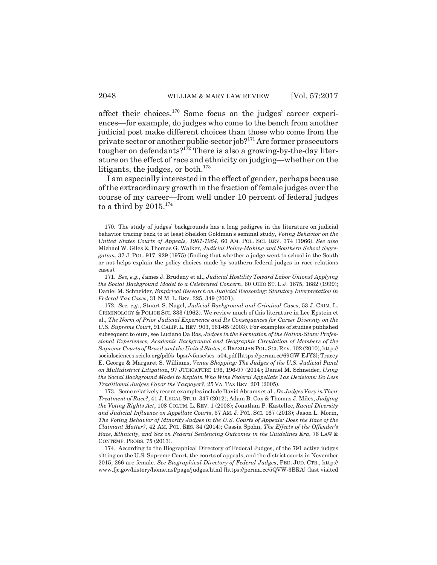affect their choices.170 Some focus on the judges' career experiences—for example, do judges who come to the bench from another judicial post make different choices than those who come from the private sector or another public-sector job?171 Are former prosecutors tougher on defendants? $1^{72}$  There is also a growing-by-the-day literature on the effect of race and ethnicity on judging—whether on the litigants, the judges, or both.<sup>173</sup>

I am especially interested in the effect of gender, perhaps because of the extraordinary growth in the fraction of female judges over the course of my career—from well under 10 percent of federal judges to a third by 2015. $^{174}$ 

<sup>170.</sup> The study of judges' backgrounds has a long pedigree in the literature on judicial behavior tracing back to at least Sheldon Goldman's seminal study, *Voting Behavior on the United States Courts of Appeals, 1961-1964*, 60 AM. POL. SCI. REV. 374 (1966). *See also* Michael W. Giles & Thomas G. Walker, *Judicial Policy-Making and Southern School Segregation*, 37 J. POL. 917, 929 (1975) (finding that whether a judge went to school in the South or not helps explain the policy choices made by southern federal judges in race relations cases).

<sup>171.</sup> *See, e.g.*, James J. Brudeny et al., *Judicial Hostility Toward Labor Unions? Applying the Social Background Model to a Celebrated Concern*, 60 OHIO ST. L.J. 1675, 1682 (1999); Daniel M. Schneider, *Empirical Research on Judicial Reasoning: Statutory Interpretation in Federal Tax Cases*, 31 N.M. L. REV. 325, 349 (2001).

<sup>172.</sup> *See, e.g.*, Stuart S. Nagel, *Judicial Background and Criminal Cases*, 53 J. CRIM. L. CRIMINOLOGY & POLICE SCI. 333 (1962). We review much of this literature in Lee Epstein et al., *The Norm of Prior Judicial Experience and Its Consequences for Career Diversity on the U.S. Supreme Court*, 91 CALIF.L. REV. 903, 961-65 (2003). For examples of studies published subsequent to ours, see Luciano Da Ros, *Judges in the Formation of the Nation-State: Professional Experiences, Academic Background and Geographic Circulation of Members of the Supreme Courts of Brazil and the United States*, 4 BRAZILIAN POL.SCI.REV. 102 (2010), http:// socialsciences.scielo.org/pdf/s\_bpsr/v5nse/scs\_a04.pdf [https://perma.cc/69GW-EJY3]; Tracey E. George & Margaret S. Williams, *Venue Shopping: The Judges of the U.S. Judicial Panel on Multidistrict Litigatio*n, 97 JUDICATURE 196, 196-97 (2014); Daniel M. Schneider, *Using the Social Background Model to Explain Who Wins Federal Appellate Tax Decisions: Do Less Traditional Judges Favor the Taxpayer?*, 25 VA. TAX REV. 201 (2005).

<sup>173.</sup> Some relatively recent examples include David Abrams et al., *Do Judges Vary in Their Treatment of Race?*, 41 J. LEGAL STUD. 347 (2012); Adam B. Cox & Thomas J. Miles, *Judging the Voting Rights Act*, 108 COLUM. L. REV. 1 (2008); Jonathan P. Kastellec, *Racial Diversity and Judicial Influence on Appellate Courts*, 57 AM. J. POL. SCI. 167 (2013); Jason L. Morin, *The Voting Behavior of Minority Judges in the U.S. Courts of Appeals: Does the Race of the Claimant Matter?*, 42 AM. POL. RES. 34 (2014); Cassia Spohn, *The Effects of the Offender's Race, Ethnicity, and Sex on Federal Sentencing Outcomes in the Guidelines Era*, 76 LAW & CONTEMP. PROBS. 75 (2013).

<sup>174.</sup> According to the Biographical Directory of Federal Judges, of the 791 active judges sitting on the U.S. Supreme Court, the courts of appeals, and the district courts in November 2015, 266 are female. *See Biographical Directory of Federal Judges*, FED. JUD. CTR., http:// www.fjc.gov/history/home.nsf/page/judges.html [https://perma.cc/5QVW-3BRA] (last visited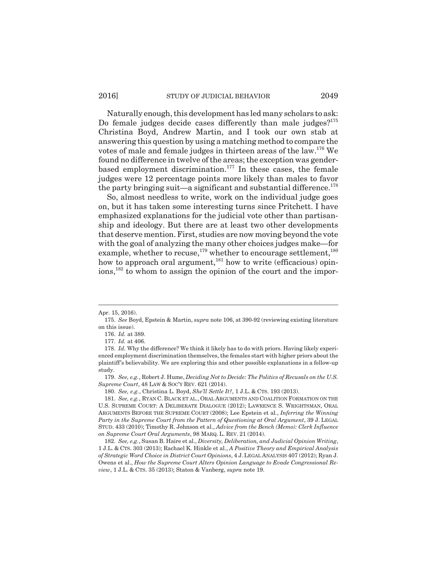## 2016] STUDY OF JUDICIAL BEHAVIOR 2049

Naturally enough, this development has led many scholars to ask: Do female judges decide cases differently than male judges? $175$ Christina Boyd, Andrew Martin, and I took our own stab at answering this question by using a matching method to compare the votes of male and female judges in thirteen areas of the law.176 We found no difference in twelve of the areas; the exception was genderbased employment discrimination.<sup>177</sup> In these cases, the female judges were 12 percentage points more likely than males to favor the party bringing suit—a significant and substantial difference. $^{178}$ 

So, almost needless to write, work on the individual judge goes on, but it has taken some interesting turns since Pritchett. I have emphasized explanations for the judicial vote other than partisanship and ideology. But there are at least two other developments that deserve mention. First, studies are now moving beyond the vote with the goal of analyzing the many other choices judges make—for example, whether to recuse,<sup>179</sup> whether to encourage settlement,<sup>180</sup> how to approach oral argument, $181$  how to write (efficacious) opinions,182 to whom to assign the opinion of the court and the impor-

Apr. 15, 2016).

<sup>175.</sup> *See* Boyd, Epstein & Martin, *supra* note 106, at 390-92 (reviewing existing literature on this issue).

<sup>176.</sup> *Id.* at 389.

<sup>177.</sup> *Id.* at 406.

<sup>178.</sup> *Id.* Why the difference? We think it likely has to do with priors. Having likely experienced employment discrimination themselves, the females start with higher priors about the plaintiff's believability. We are exploring this and other possible explanations in a follow-up study.

<sup>179.</sup> *See, e.g.*, Robert J. Hume, *Deciding Not to Decide: The Politics of Recusals on the U.S. Supreme Court*, 48 LAW & SOC'Y REV. 621 (2014).

<sup>180.</sup> *See, e.g.*, Christina L. Boyd, *She'll Settle It?*, 1 J.L. & CTS. 193 (2013).

<sup>181.</sup> *See, e.g.*, RYAN C. BLACK ET AL., ORAL ARGUMENTS AND COALITION FORMATION ON THE U.S. SUPREME COURT: A DELIBERATE DIALOGUE (2012); LAWRENCE S. WRIGHTSMAN, ORAL ARGUMENTS BEFORE THE SUPREME COURT (2008); Lee Epstein et al., *Inferring the Winning Party in the Supreme Court from the Pattern of Questioning at Oral Argument*, 39 J. LEGAL STUD. 433 (2010); Timothy R. Johnson et al., *Advice from the Bench (Memo): Clerk Influence on Supreme Court Oral Arguments*, 98 MARQ. L. REV. 21 (2014).

<sup>182.</sup> *See, e.g.*, Susan B. Haire et al., *Diversity, Deliberation, and Judicial Opinion Writing*, 1 J.L. & CTS. 303 (2013); Rachael K. Hinkle et al., *A Positive Theory and Empirical Analysis of Strategic Word Choice in District Court Opinions*, 4 J.LEGAL ANALYSIS 407 (2012); Ryan J. Owens et al., *How the Supreme Court Alters Opinion Language to Evade Congressional Review*, 1 J.L. & CTS. 35 (2013); Staton & Vanberg, *supra* note 19.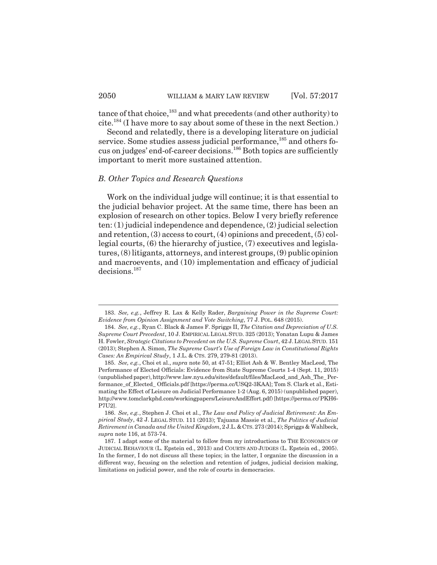tance of that choice,<sup>183</sup> and what precedents (and other authority) to cite.184 (I have more to say about some of these in the next Section.)

Second and relatedly, there is a developing literature on judicial service. Some studies assess judicial performance,<sup>185</sup> and others focus on judges' end-of-career decisions.186 Both topics are sufficiently important to merit more sustained attention.

#### *B. Other Topics and Research Questions*

Work on the individual judge will continue; it is that essential to the judicial behavior project. At the same time, there has been an explosion of research on other topics. Below I very briefly reference ten: (1) judicial independence and dependence, (2) judicial selection and retention, (3) access to court, (4) opinions and precedent, (5) collegial courts, (6) the hierarchy of justice, (7) executives and legislatures, (8) litigants, attorneys, and interest groups, (9) public opinion and macroevents, and (10) implementation and efficacy of judicial decisions.187

<sup>183.</sup> *See, e.g.*, Jeffrey R. Lax & Kelly Rader, *Bargaining Power in the Supreme Court: Evidence from Opinion Assignment and Vote Switching*, 77 J. POL. 648 (2015).

<sup>184.</sup> *See, e.g.*, Ryan C. Black & James F. Spriggs II, *The Citation and Depreciation of U.S. Supreme Court Precedent*, 10 J. EMPIRICAL LEGAL STUD. 325 (2013); Yonatan Lupu & James H. Fowler, *Strategic Citations to Precedent on the U.S. Supreme Court*, 42 J.LEGAL STUD. 151 (2013); Stephen A. Simon, *The Supreme Court's Use of Foreign Law in Constitutional Rights Cases: An Empirical Study*, 1 J.L. & CTS. 279, 279-81 (2013).

<sup>185.</sup> *See, e.g.*, Choi et al., *supra* note 50, at 47-51; Elliot Ash & W. Bentley MacLeod, The Performance of Elected Officials: Evidence from State Supreme Courts 1-4 (Sept. 11, 2015) (unpublished paper), http://www.law.nyu.edu/sites/default/files/MacLeod\_and\_Ash\_The\_ Performance\_of\_Elected\_ Officials.pdf [https://perma.cc/USQ2-3KAA]; Tom S. Clark et al., Estimating the Effect of Leisure on Judicial Performance 1-2 (Aug. 6, 2015) (unpublished paper), http://www.tomclarkphd.com/workingpapers/LeisureAndEffort.pdf) [https://perma.cc/ PKH6- P7U2].

<sup>186.</sup> *See, e.g.*, Stephen J. Choi et al., *The Law and Policy of Judicial Retirement: An Empirical Study*, 42 J. LEGAL STUD. 111 (2013); Tajuana Massie et al., *The Politics of Judicial Retirement in Canada and the United Kingdom*, 2 J.L.&CTS. 273 (2014); Spriggs & Wahlbeck, *supra* note 116, at 573-74.

<sup>187.</sup> I adapt some of the material to follow from my introductions to THE ECONOMICS OF JUDICIAL BEHAVIOUR (L. Epstein ed., 2013) and COURTS AND JUDGES (L. Epstein ed., 2005). In the former, I do not discuss all these topics; in the latter, I organize the discussion in a different way, focusing on the selection and retention of judges, judicial decision making, limitations on judicial power, and the role of courts in democracies.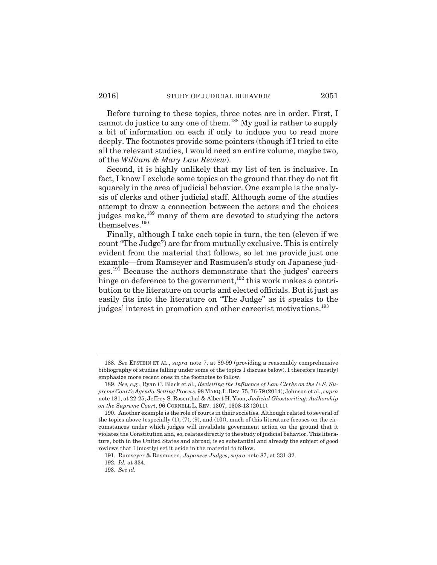Before turning to these topics, three notes are in order. First, I cannot do justice to any one of them.<sup>188</sup> My goal is rather to supply a bit of information on each if only to induce you to read more deeply. The footnotes provide some pointers (though if I tried to cite all the relevant studies, I would need an entire volume, maybe two, of the *William & Mary Law Review*).

Second, it is highly unlikely that my list of ten is inclusive. In fact, I know I exclude some topics on the ground that they do not fit squarely in the area of judicial behavior. One example is the analysis of clerks and other judicial staff. Although some of the studies attempt to draw a connection between the actors and the choices judges make,<sup>189</sup> many of them are devoted to studying the actors themselves.190

Finally, although I take each topic in turn, the ten (eleven if we count "The Judge") are far from mutually exclusive. This is entirely evident from the material that follows, so let me provide just one example—from Ramseyer and Rasmusen's study on Japanese judges.191 Because the authors demonstrate that the judges' careers hinge on deference to the government,  $192$  this work makes a contribution to the literature on courts and elected officials. But it just as easily fits into the literature on "The Judge" as it speaks to the judges' interest in promotion and other careerist motivations.<sup>193</sup>

<sup>188.</sup> *See* EPSTEIN ET AL., *supra* note 7, at 89-99 (providing a reasonably comprehensive bibliography of studies falling under some of the topics I discuss below). I therefore (mostly) emphasize more recent ones in the footnotes to follow.

<sup>189.</sup> *See, e.g.*, Ryan C. Black et al., *Revisiting the Influence of Law Clerks on the U.S. Supreme Court's Agenda-Setting Process*, 98 MARQ.L.REV.75, 76-79 (2014); Johnson et al., *supra* note 181, at 22-25; Jeffrey S. Rosenthal & Albert H. Yoon, *Judicial Ghostwriting: Authorship on the Supreme Court*, 96 CORNELL L. REV. 1307, 1308-13 (2011).

<sup>190.</sup> Another example is the role of courts in their societies. Although related to several of the topics above (especially (1), (7), (9), and (10)), much of this literature focuses on the circumstances under which judges will invalidate government action on the ground that it violates the Constitution and, so, relates directly to the study of judicial behavior. This literature, both in the United States and abroad, is so substantial and already the subject of good reviews that I (mostly) set it aside in the material to follow.

<sup>191.</sup> Ramseyer & Rasmusen, *Japanese Judges*, *supra* note 87, at 331-32.

<sup>192.</sup> *Id.* at 334.

<sup>193.</sup> *See id.*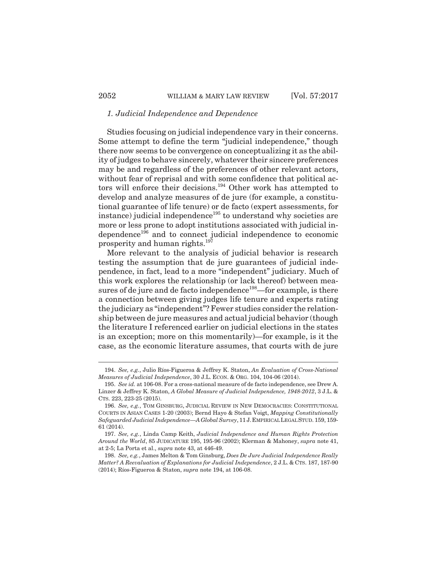## *1. Judicial Independence and Dependence*

Studies focusing on judicial independence vary in their concerns. Some attempt to define the term "judicial independence," though there now seems to be convergence on conceptualizing it as the ability of judges to behave sincerely, whatever their sincere preferences may be and regardless of the preferences of other relevant actors, without fear of reprisal and with some confidence that political actors will enforce their decisions.194 Other work has attempted to develop and analyze measures of de jure (for example, a constitutional guarantee of life tenure) or de facto (expert assessments, for instance) judicial independence<sup>195</sup> to understand why societies are more or less prone to adopt institutions associated with judicial independence<sup>196</sup> and to connect judicial independence to economic prosperity and human rights.197

More relevant to the analysis of judicial behavior is research testing the assumption that de jure guarantees of judicial independence, in fact, lead to a more "independent" judiciary. Much of this work explores the relationship (or lack thereof) between measures of de jure and de facto independence<sup>198</sup>—for example, is there a connection between giving judges life tenure and experts rating the judiciary as "independent"? Fewer studies consider the relationship between de jure measures and actual judicial behavior (though the literature I referenced earlier on judicial elections in the states is an exception; more on this momentarily)—for example, is it the case, as the economic literature assumes, that courts with de jure

<sup>194.</sup> *See, e.g.*, Julio Ríos-Figueroa & Jeffrey K. Staton, *An Evaluation of Cross-National Measures of Judicial Independence*, 30 J.L. ECON. & ORG. 104, 104-06 (2014).

<sup>195.</sup> *See id.* at 106-08. For a cross-national measure of de facto independence, see Drew A. Linzer & Jeffrey K. Staton, *A Global Measure of Judicial Independence, 1948-2012*, 3 J.L. & CTS. 223, 223-25 (2015).

<sup>196.</sup> *See, e.g.*, TOM GINSBURG, JUDICIAL REVIEW IN NEW DEMOCRACIES: CONSTITUTIONAL COURTS IN ASIAN CASES 1-20 (2003); Bernd Hayo & Stefan Voigt, *Mapping Constitutionally Safeguarded Judicial Independence—A Global Survey*, 11 J.EMPIRICAL LEGAL STUD. 159, 159- 61 (2014).

<sup>197.</sup> *See, e.g.*, Linda Camp Keith, *Judicial Independence and Human Rights Protection Around the World*, 85 JUDICATURE 195, 195-96 (2002); Klerman & Mahoney, *supra* note 41, at 2-5; La Porta et al., *supra* note 43, at 446-49.

<sup>198.</sup> *See, e.g.*, James Melton & Tom Ginsburg, *Does De Jure Judicial Independence Really Matter? A Reevaluation of Explanations for Judicial Independence*, 2 J.L. & CTS. 187, 187-90 (2014); Ríos-Figueroa & Staton, *supra* note 194, at 106-08.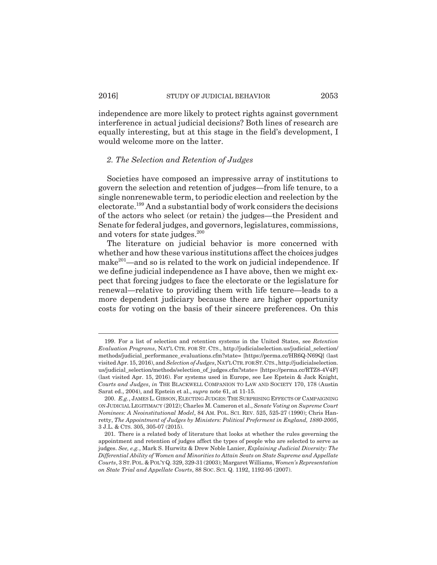independence are more likely to protect rights against government interference in actual judicial decisions? Both lines of research are equally interesting, but at this stage in the field's development, I would welcome more on the latter.

## *2. The Selection and Retention of Judges*

Societies have composed an impressive array of institutions to govern the selection and retention of judges—from life tenure, to a single nonrenewable term, to periodic election and reelection by the electorate.199 And a substantial body of work considers the decisions of the actors who select (or retain) the judges—the President and Senate for federal judges, and governors, legislatures, commissions, and voters for state judges. $200$ 

The literature on judicial behavior is more concerned with whether and how these various institutions affect the choices judges make<sup>201</sup>—and so is related to the work on judicial independence. If we define judicial independence as I have above, then we might expect that forcing judges to face the electorate or the legislature for renewal—relative to providing them with life tenure—leads to a more dependent judiciary because there are higher opportunity costs for voting on the basis of their sincere preferences. On this

<sup>199.</sup> For a list of selection and retention systems in the United States, see *Retention Evaluation Programs*, NAT'L CTR. FOR ST. CTS., http://judicialselection.us/judicial\_selection/ methods/judicial\_performance\_evaluations.cfm?state= [https://perma.cc/HR6Q-N69Q] (last visited Apr. 15, 2016), and *Selection of Judges*, NAT'L CTR. FOR ST.CTS.,http://judicialselection. us/judicial\_selection/methods/selection\_of\_judges.cfm?state= [https://perma.cc/RTZ8-4V4F] (last visited Apr. 15, 2016). For systems used in Europe, see Lee Epstein & Jack Knight, *Courts and Judges*, *in* THE BLACKWELL COMPANION TO LAW AND SOCIETY 170, 178 (Austin Sarat ed., 2004), and Epstein et al., *supra* note 61, at 11-15.

<sup>200.</sup> *E.g.*, JAMES L. GIBSON, ELECTING JUDGES:THE SURPRISING EFFECTS OF CAMPAIGNING ON JUDICIAL LEGITIMACY (2012); Charles M. Cameron et al., *Senate Voting on Supreme Court Nominees: A Neoinstitutional Model*, 84 AM. POL. SCI. REV. 525, 525-27 (1990); Chris Hanretty, *The Appointment of Judges by Ministers: Political Preferment in England, 1880-2005*, 3 J.L. & CTS. 305, 305-07 (2015).

<sup>201.</sup> There is a related body of literature that looks at whether the rules governing the appointment and retention of judges affect the types of people who are selected to serve as judges. *See, e.g.*, Mark S. Hurwitz & Drew Noble Lanier, *Explaining Judicial Diversity: The Differential Ability of Women and Minorities to Attain Seats on State Supreme and Appellate Courts*, 3 ST.POL.&POL'Y Q. 329, 329-31 (2003); Margaret Williams, *Women's Representation on State Trial and Appellate Courts*, 88 SOC. SCI. Q. 1192, 1192-95 (2007).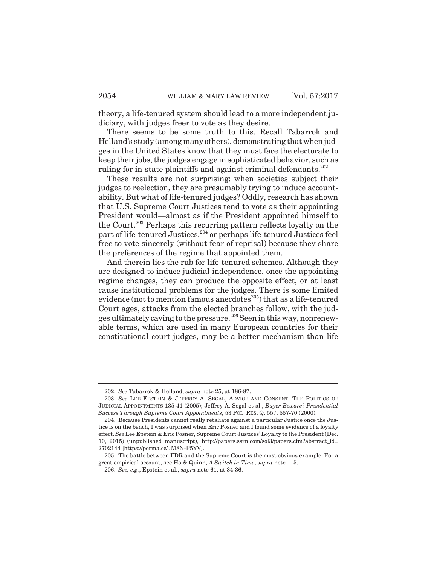theory, a life-tenured system should lead to a more independent judiciary, with judges freer to vote as they desire.

There seems to be some truth to this. Recall Tabarrok and Helland's study (among many others), demonstrating that when judges in the United States know that they must face the electorate to keep their jobs, the judges engage in sophisticated behavior, such as ruling for in-state plaintiffs and against criminal defendants.<sup>202</sup>

These results are not surprising: when societies subject their judges to reelection, they are presumably trying to induce accountability. But what of life-tenured judges? Oddly, research has shown that U.S. Supreme Court Justices tend to vote as their appointing President would—almost as if the President appointed himself to the Court.203 Perhaps this recurring pattern reflects loyalty on the part of life-tenured Justices,<sup>204</sup> or perhaps life-tenured Justices feel free to vote sincerely (without fear of reprisal) because they share the preferences of the regime that appointed them.

And therein lies the rub for life-tenured schemes. Although they are designed to induce judicial independence, once the appointing regime changes, they can produce the opposite effect, or at least cause institutional problems for the judges. There is some limited evidence (not to mention famous anecdotes $^{205}$ ) that as a life-tenured Court ages, attacks from the elected branches follow, with the judges ultimately caving to the pressure.206 Seen in this way, nonrenewable terms, which are used in many European countries for their constitutional court judges, may be a better mechanism than life

<sup>202.</sup> *See* Tabarrok & Helland, *supra* note 25, at 186-87.

<sup>203.</sup> *See* LEE EPSTEIN & JEFFREY A. SEGAL, ADVICE AND CONSENT: THE POLITICS OF JUDICIAL APPOINTMENTS 135-41 (2005); Jeffrey A. Segal et al., *Buyer Beware? Presidential Success Through Supreme Court Appointments*, 53 POL. RES. Q. 557, 557-70 (2000).

<sup>204.</sup> Because Presidents cannot really retaliate against a particular Justice once the Justice is on the bench, I was surprised when Eric Posner and I found some evidence of a loyalty effect. *See* Lee Epstein & Eric Posner, Supreme Court Justices' Loyalty to the President (Dec. 10, 2015) (unpublished manuscript), http://papers.ssrn.com/sol3/papers.cfm?abstract\_id= 2702144 [https://perma.cc/JM8N-P5YV].

<sup>205.</sup> The battle between FDR and the Supreme Court is the most obvious example. For a great empirical account, see Ho & Quinn, *A Switch in Time*, *supra* note 115.

<sup>206.</sup> *See, e.g.*, Epstein et al., *supra* note 61, at 34-36.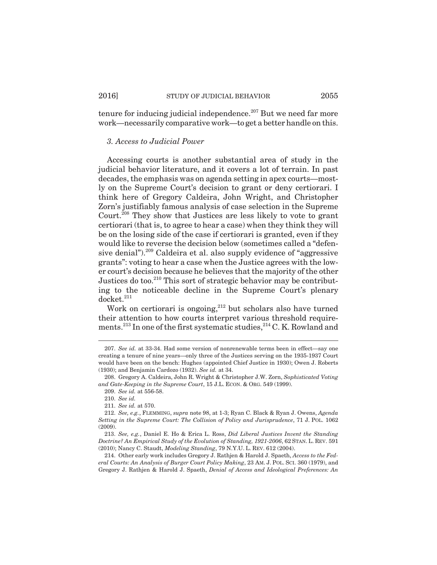tenure for inducing judicial independence. $207$  But we need far more work—necessarily comparative work—to get a better handle on this.

## *3. Access to Judicial Power*

Accessing courts is another substantial area of study in the judicial behavior literature, and it covers a lot of terrain. In past decades, the emphasis was on agenda setting in apex courts—mostly on the Supreme Court's decision to grant or deny certiorari. I think here of Gregory Caldeira, John Wright, and Christopher Zorn's justifiably famous analysis of case selection in the Supreme Court.208 They show that Justices are less likely to vote to grant certiorari (that is, to agree to hear a case) when they think they will be on the losing side of the case if certiorari is granted, even if they would like to reverse the decision below (sometimes called a "defensive denial").<sup>209</sup> Caldeira et al. also supply evidence of "aggressive" grants": voting to hear a case when the Justice agrees with the lower court's decision because he believes that the majority of the other Justices do too.<sup>210</sup> This sort of strategic behavior may be contributing to the noticeable decline in the Supreme Court's plenary  $d$ ocket. $211$ 

Work on certiorari is ongoing, $212$  but scholars also have turned their attention to how courts interpret various threshold requirements.<sup>213</sup> In one of the first systematic studies,<sup>214</sup> C. K. Rowland and

<sup>207.</sup> *See id.* at 33-34. Had some version of nonrenewable terms been in effect—say one creating a tenure of nine years—only three of the Justices serving on the 1935-1937 Court would have been on the bench: Hughes (appointed Chief Justice in 1930); Owen J. Roberts (1930); and Benjamin Cardozo (1932). *See id.* at 34.

<sup>208.</sup> Gregory A. Caldeira, John R. Wright & Christopher J.W. Zorn, *Sophisticated Voting and Gate-Keeping in the Supreme Court*, 15 J.L. ECON. & ORG. 549 (1999).

<sup>209.</sup> *See id.* at 556-58.

<sup>210.</sup> *See id.*

<sup>211.</sup> *See id.* at 570.

<sup>212.</sup> *See, e.g.*, FLEMMING, *supra* note 98, at 1-3; Ryan C. Black & Ryan J. Owens, *Agenda Setting in the Supreme Court: The Collision of Policy and Jurisprudence*, 71 J. POL. 1062 (2009).

<sup>213.</sup> *See, e.g.*, Daniel E. Ho & Erica L. Ross, *Did Liberal Justices Invent the Standing Doctrine? An Empirical Study of the Evolution of Standing, 1921-2006*, 62 STAN. L. REV. 591 (2010); Nancy C. Staudt, *Modeling Standing*, 79 N.Y.U. L. REV. 612 (2004).

<sup>214.</sup> Other early work includes Gregory J. Rathjen & Harold J. Spaeth, *Access to the Federal Courts: An Analysis of Burger Court Policy Making*, 23 AM. J. POL. SCI. 360 (1979), and Gregory J. Rathjen & Harold J. Spaeth, *Denial of Access and Ideological Preferences: An*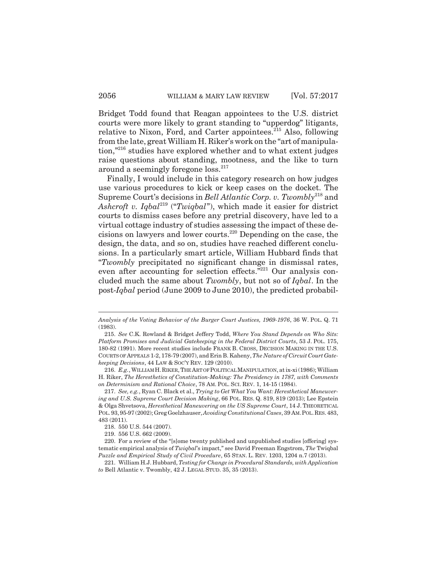Bridget Todd found that Reagan appointees to the U.S. district courts were more likely to grant standing to "upperdog" litigants, relative to Nixon, Ford, and Carter appointees.<sup>215</sup> Also, following from the late, great William H. Riker's work on the "art of manipulation,"216 studies have explored whether and to what extent judges raise questions about standing, mootness, and the like to turn around a seemingly foregone loss.<sup>217</sup>

Finally, I would include in this category research on how judges use various procedures to kick or keep cases on the docket. The Supreme Court's decisions in *Bell Atlantic Corp. v. Twombly*<sup>218</sup> and *Ashcroft v. Iqbal*219 ("*Twiqbal*"), which made it easier for district courts to dismiss cases before any pretrial discovery, have led to a virtual cottage industry of studies assessing the impact of these decisions on lawyers and lower courts.220 Depending on the case, the design, the data, and so on, studies have reached different conclusions. In a particularly smart article, William Hubbard finds that "*Twombly* precipitated no significant change in dismissal rates, even after accounting for selection effects."<sup>221</sup> Our analysis concluded much the same about *Twombly*, but not so of *Iqbal*. In the post-*Iqbal* period (June 2009 to June 2010), the predicted probabil-

*Analysis of the Voting Behavior of the Burger Court Justices, 1969-1976*, 36 W. POL. Q. 71 (1983).

<sup>215.</sup> *See* C.K. Rowland & Bridget Jeffery Todd, *Where You Stand Depends on Who Sits: Platform Promises and Judicial Gatekeeping in the Federal District Courts*, 53 J. POL. 175, 180-82 (1991). More recent studies include FRANK B. CROSS, DECISION MAKING IN THE U.S. COURTS OF APPEALS 1-2, 178-79 (2007), and Erin B. Kaheny, *The Nature of Circuit Court Gatekeeping Decisions*, 44 LAW & SOC'Y REV. 129 (2010).

<sup>216.</sup> *E.g.*, WILLIAM H.RIKER, THE ART OF POLITICAL MANIPULATION, at ix-xi (1986); William H. Riker, *The Heresthetics of Constitution-Making: The Presidency in 1787, with Comments on Determinism and Rational Choice*, 78 AM. POL. SCI. REV. 1, 14-15 (1984).

<sup>217.</sup> *See, e.g.*, Ryan C. Black et al., *Trying to Get What You Want: Heresthetical Maneuvering and U.S. Supreme Court Decision Making*, 66 POL. RES. Q. 819, 819 (2013); Lee Epstein & Olga Shvetsova, *Heresthetical Maneuvering on the US Supreme Court*, 14 J. THEORETICAL POL. 93, 95-97 (2002); Greg Goelzhauser, *Avoiding Constitutional Cases*, 39 AM.POL.RES. 483, 483 (2011).

<sup>218. 550</sup> U.S. 544 (2007).

<sup>219. 556</sup> U.S. 662 (2009).

<sup>220.</sup> For a review of the "[s]ome twenty published and unpublished studies [offering] systematic empirical analysis of *Twiqbal*'s impact," see David Freeman Engstrom, *The* Twiqbal *Puzzle and Empirical Study of Civil Procedure*, 65 STAN. L. REV. 1203, 1204 n.7 (2013).

<sup>221.</sup> William H.J. Hubbard, *Testing for Change in Procedural Standards, with Application to* Bell Atlantic v. Twombly, 42 J. LEGAL STUD. 35, 35 (2013).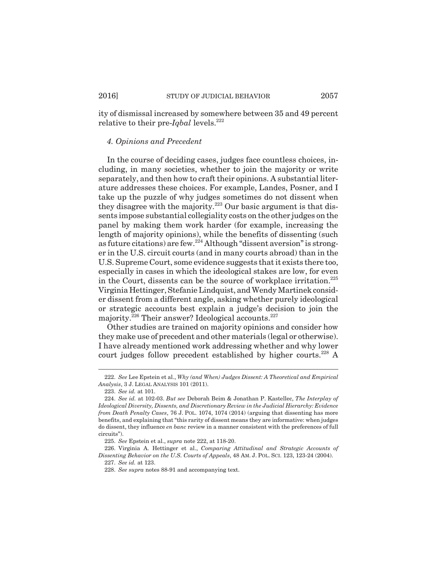ity of dismissal increased by somewhere between 35 and 49 percent relative to their pre-*Iqbal* levels.<sup>222</sup>

#### *4. Opinions and Precedent*

In the course of deciding cases, judges face countless choices, including, in many societies, whether to join the majority or write separately, and then how to craft their opinions. A substantial literature addresses these choices. For example, Landes, Posner, and I take up the puzzle of why judges sometimes do not dissent when they disagree with the majority.<sup>223</sup> Our basic argument is that dissents impose substantial collegiality costs on the other judges on the panel by making them work harder (for example, increasing the length of majority opinions), while the benefits of dissenting (such as future citations) are few.<sup>224</sup> Although "dissent aversion" is stronger in the U.S. circuit courts (and in many courts abroad) than in the U.S. Supreme Court, some evidence suggests that it exists there too, especially in cases in which the ideological stakes are low, for even in the Court, dissents can be the source of workplace irritation.<sup>225</sup> Virginia Hettinger, Stefanie Lindquist, and Wendy Martinek consider dissent from a different angle, asking whether purely ideological or strategic accounts best explain a judge's decision to join the majority.<sup>226</sup> Their answer? Ideological accounts.<sup>227</sup>

Other studies are trained on majority opinions and consider how they make use of precedent and other materials (legal or otherwise). I have already mentioned work addressing whether and why lower court judges follow precedent established by higher courts.<sup>228</sup> A

<sup>222.</sup> *See* Lee Epstein et al., *Why (and When) Judges Dissent: A Theoretical and Empirical Analysis*, 3 J. LEGAL ANALYSIS 101 (2011).

<sup>223.</sup> *See id.* at 101.

<sup>224.</sup> *See id.* at 102-03. *But see* Deborah Beim & Jonathan P. Kastellec, *The Interplay of Ideological Diversity, Dissents, and Discretionary Review in the Judicial Hierarchy: Evidence from Death Penalty Cases*, 76 J. POL. 1074, 1074 (2014) (arguing that dissenting has more benefits, and explaining that "this rarity of dissent means they are informative: when judges do dissent, they influence *en banc* review in a manner consistent with the preferences of full circuits").

<sup>225.</sup> *See* Epstein et al., *supra* note 222, at 118-20.

<sup>226.</sup> Virginia A. Hettinger et al., *Comparing Attitudinal and Strategic Accounts of Dissenting Behavior on the U.S. Courts of Appeals*, 48 AM. J. POL. SCI. 123, 123-24 (2004).

<sup>227.</sup> *See id.* at 123.

<sup>228.</sup> *See supra* notes 88-91 and accompanying text.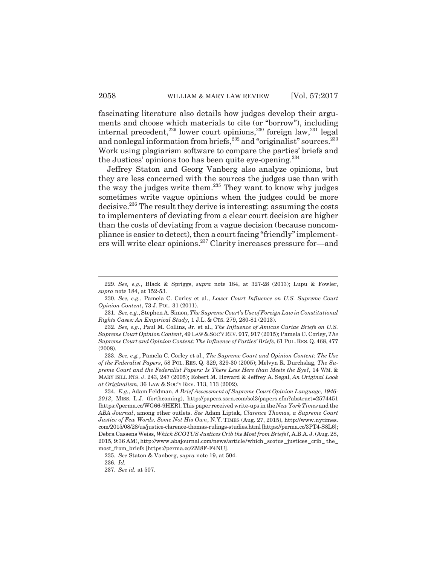fascinating literature also details how judges develop their arguments and choose which materials to cite (or "borrow"), including internal precedent,<sup>229</sup> lower court opinions,<sup>230</sup> foreign law,<sup>231</sup> legal and nonlegal information from briefs,  $^{232}$  and "originalist" sources.  $^{233}$ Work using plagiarism software to compare the parties' briefs and the Justices' opinions too has been quite eye-opening.<sup>234</sup>

Jeffrey Staton and Georg Vanberg also analyze opinions, but they are less concerned with the sources the judges use than with the way the judges write them.235 They want to know why judges sometimes write vague opinions when the judges could be more decisive.236 The result they derive is interesting: assuming the costs to implementers of deviating from a clear court decision are higher than the costs of deviating from a vague decision (because noncompliance is easier to detect), then a court facing "friendly" implementers will write clear opinions.237 Clarity increases pressure for—and

233. *See, e.g.*, Pamela C. Corley et al., *The Supreme Court and Opinion Content: The Use of the Federalist Papers*, 58 POL. RES. Q. 329, 329-30 (2005); Melvyn R. Durchslag, *The Supreme Court and the Federalist Papers: Is There Less Here than Meets the Eye?*, 14 WM. & MARY BILL RTS. J. 243, 247 (2005); Robert M. Howard & Jeffrey A. Segal, *An Original Look at Originalism*, 36 LAW & SOC'Y REV. 113, 113 (2002).

<sup>229.</sup> *See, e.g.*, Black & Spriggs, *supra* note 184, at 327-28 (2013); Lupu & Fowler, *supra* note 184, at 152-53.

<sup>230.</sup> *See, e.g.*, Pamela C. Corley et al., *Lower Court Influence on U.S. Supreme Court Opinion Content*, 73 J. POL. 31 (2011).

<sup>231.</sup> *See, e.g.*, Stephen A. Simon, *The Supreme Court's Use of Foreign Law in Constitutional Rights Cases: An Empirical Study*, 1 J.L. & CTS. 279, 280-81 (2013).

<sup>232.</sup> *See, e.g.*, Paul M. Collins, Jr. et al., *The Influence of Amicus Curiae Briefs on U.S. Supreme Court Opinion Content*, 49 LAW &SOC'Y REV. 917, 917 (2015); Pamela C. Corley, *The Supreme Court and Opinion Content: The Influence of Parties' Briefs*, 61 POL.RES.Q. 468, 477 (2008).

<sup>234.</sup> *E.g.*, Adam Feldman, *A Brief Assessment of Supreme Court Opinion Language, 1946- 2013*, MISS. L.J. (forthcoming), http://papers.ssrn.com/sol3/papers.cfm?abstract=2574451 [https://perma.cc/WG66-9HER]. This paper received write-ups in the *New York Times* and the *ABA Journal*, among other outlets. *See* Adam Liptak, *Clarence Thomas, a Supreme Court Justice of Few Words, Some Not His Own*, N.Y. TIMES (Aug. 27, 2015), http://www.nytimes. com/2015/08/28/us/justice-clarence-thomas-rulings-studies.html [https://perma.cc/3PT4-S8L6]; Debra Cassens Weiss, *Which SCOTUS Justices Crib the Most from Briefs?*, A.B.A.J. (Aug. 28, 2015, 9:36 AM), http://www.abajournal.com/news/article/which\_scotus\_justices\_crib\_ the\_ most\_from\_briefs [https://perma.cc/ZM8F-F4NU].

<sup>235.</sup> *See* Staton & Vanberg, *supra* note 19, at 504.

<sup>236.</sup> *Id.*

<sup>237.</sup> *See id.* at 507.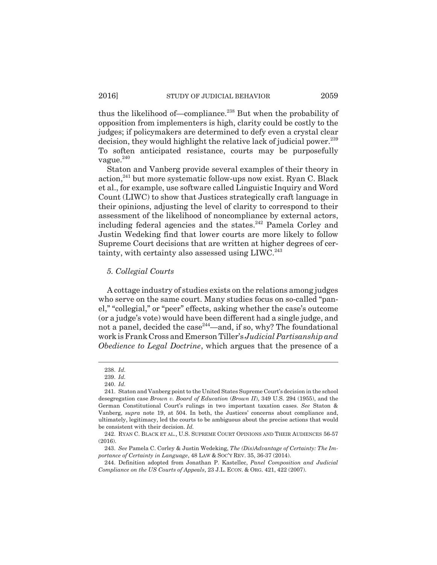thus the likelihood of—compliance.<sup>238</sup> But when the probability of opposition from implementers is high, clarity could be costly to the judges; if policymakers are determined to defy even a crystal clear decision, they would highlight the relative lack of judicial power.<sup>239</sup> To soften anticipated resistance, courts may be purposefully vague. $^{240}$ 

Staton and Vanberg provide several examples of their theory in action,<sup>241</sup> but more systematic follow-ups now exist. Ryan C. Black et al., for example, use software called Linguistic Inquiry and Word Count (LIWC) to show that Justices strategically craft language in their opinions, adjusting the level of clarity to correspond to their assessment of the likelihood of noncompliance by external actors, including federal agencies and the states.<sup>242</sup> Pamela Corley and Justin Wedeking find that lower courts are more likely to follow Supreme Court decisions that are written at higher degrees of certainty, with certainty also assessed using LIWC.<sup>243</sup>

## *5. Collegial Courts*

A cottage industry of studies exists on the relations among judges who serve on the same court. Many studies focus on so-called "panel," "collegial," or "peer" effects, asking whether the case's outcome (or a judge's vote) would have been different had a single judge, and not a panel, decided the case  $244$ —and, if so, why? The foundational work is Frank Cross and Emerson Tiller's *Judicial Partisanship and Obedience to Legal Doctrine*, which argues that the presence of a

<sup>238.</sup> *Id.*

<sup>239.</sup> *Id.*

<sup>240.</sup> *Id.*

<sup>241.</sup> Staton and Vanberg point to the United States Supreme Court's decision in the school desegregation case *Brown v. Board of Education* (*Brown II*), 349 U.S. 294 (1955), and the German Constitutional Court's rulings in two important taxation cases. *See* Staton & Vanberg, *supra* note 19, at 504. In both, the Justices' concerns about compliance and, ultimately, legitimacy, led the courts to be ambiguous about the precise actions that would be consistent with their decision. *Id.*

<sup>242.</sup> RYAN C. BLACK ET AL., U.S. SUPREME COURT OPINIONS AND THEIR AUDIENCES 56-57 (2016).

<sup>243.</sup> *See* Pamela C. Corley & Justin Wedeking, *The (Dis)Advantage of Certainty: The Importance of Certainty in Language*, 48 LAW & SOC'Y REV. 35, 36-37 (2014).

<sup>244.</sup> Definition adopted from Jonathan P. Kastellec, *Panel Composition and Judicial Compliance on the US Courts of Appeals*, 23 J.L. ECON. & ORG. 421, 422 (2007).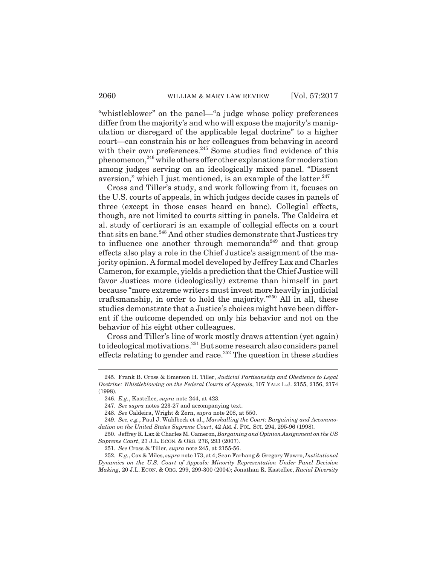"whistleblower" on the panel—"a judge whose policy preferences differ from the majority's and who will expose the majority's manipulation or disregard of the applicable legal doctrine" to a higher court—can constrain his or her colleagues from behaving in accord with their own preferences.<sup>245</sup> Some studies find evidence of this phenomenon,246 while others offer other explanations for moderation among judges serving on an ideologically mixed panel. "Dissent aversion," which I just mentioned, is an example of the latter. $247$ 

Cross and Tiller's study, and work following from it, focuses on the U.S. courts of appeals, in which judges decide cases in panels of three (except in those cases heard en banc). Collegial effects, though, are not limited to courts sitting in panels. The Caldeira et al. study of certiorari is an example of collegial effects on a court that sits en banc.<sup>248</sup> And other studies demonstrate that Justices try to influence one another through memoranda<sup>249</sup> and that group effects also play a role in the Chief Justice's assignment of the majority opinion. A formal model developed by Jeffrey Lax and Charles Cameron, for example, yields a prediction that the Chief Justice will favor Justices more (ideologically) extreme than himself in part because "more extreme writers must invest more heavily in judicial craftsmanship, in order to hold the majority. $^{250}$  All in all, these studies demonstrate that a Justice's choices might have been different if the outcome depended on only his behavior and not on the behavior of his eight other colleagues.

Cross and Tiller's line of work mostly draws attention (yet again) to ideological motivations.251 But some research also considers panel effects relating to gender and race.<sup>252</sup> The question in these studies

<sup>245.</sup> Frank B. Cross & Emerson H. Tiller, *Judicial Partisanship and Obedience to Legal Doctrine: Whistleblowing on the Federal Courts of Appeals*, 107 YALE L.J. 2155, 2156, 2174 (1998).

<sup>246.</sup> *E.g.*, Kastellec, *supra* note 244, at 423.

<sup>247.</sup> *See supra* notes 223-27 and accompanying text.

<sup>248.</sup> *See* Caldeira, Wright & Zorn, *supra* note 208, at 550.

<sup>249.</sup> *See, e.g.*, Paul J. Wahlbeck et al., *Marshalling the Court: Bargaining and Accommodation on the United States Supreme Court*, 42 AM. J. POL. SCI. 294, 295-96 (1998).

<sup>250.</sup> Jeffrey R. Lax & Charles M. Cameron, *Bargaining and Opinion Assignment on the US Supreme Court*, 23 J.L. ECON. & ORG. 276, 293 (2007).

<sup>251.</sup> *See* Cross & Tiller, *supra* note 245, at 2155-56.

<sup>252.</sup> *E.g.*, Cox & Miles, *supra* note 173, at 4; Sean Farhang & Gregory Wawro, *Institutional Dynamics on the U.S. Court of Appeals: Minority Representation Under Panel Decision Making*, 20 J.L. ECON. & ORG. 299, 299-300 (2004); Jonathan R. Kastellec, *Racial Diversity*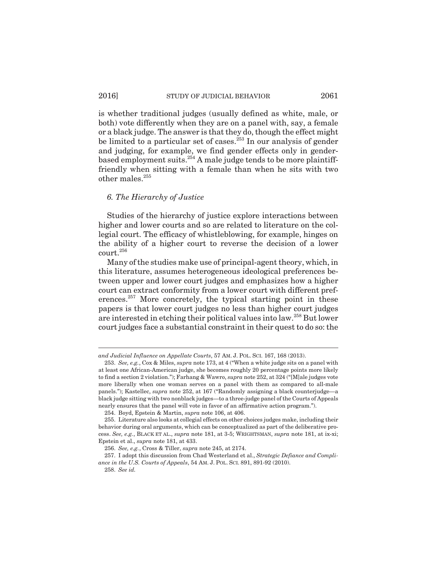is whether traditional judges (usually defined as white, male, or both) vote differently when they are on a panel with, say, a female or a black judge. The answer is that they do, though the effect might be limited to a particular set of cases.<sup>253</sup> In our analysis of gender and judging, for example, we find gender effects only in genderbased employment suits.<sup>254</sup> A male judge tends to be more plaintifffriendly when sitting with a female than when he sits with two other males.<sup>255</sup>

## *6. The Hierarchy of Justice*

Studies of the hierarchy of justice explore interactions between higher and lower courts and so are related to literature on the collegial court. The efficacy of whistleblowing, for example, hinges on the ability of a higher court to reverse the decision of a lower court.256

Many of the studies make use of principal-agent theory, which, in this literature, assumes heterogeneous ideological preferences between upper and lower court judges and emphasizes how a higher court can extract conformity from a lower court with different preferences.<sup>257</sup> More concretely, the typical starting point in these papers is that lower court judges no less than higher court judges are interested in etching their political values into law.258 But lower court judges face a substantial constraint in their quest to do so: the

*and Judicial Influence on Appellate Courts*, 57 AM. J. POL. SCI. 167, 168 (2013).

<sup>253.</sup> *See, e.g.*, Cox & Miles, *supra* note 173, at 4 ("When a white judge sits on a panel with at least one African-American judge, she becomes roughly 20 percentage points more likely to find a section 2 violation."); Farhang & Wawro, *supra* note 252, at 324 ("[M]ale judges vote more liberally when one woman serves on a panel with them as compared to all-male panels."); Kastellec, *supra* note 252, at 167 ("Randomly assigning a black counterjudge—a black judge sitting with two nonblack judges—to a three-judge panel of the Courts of Appeals nearly ensures that the panel will vote in favor of an affirmative action program.").

<sup>254.</sup> Boyd, Epstein & Martin, *supra* note 106, at 406.

<sup>255.</sup> Literature also looks at collegial effects on other choices judges make, including their behavior during oral arguments, which can be conceptualized as part of the deliberative process. *See, e.g.*, BLACK ET AL., *supra* note 181, at 3-5; WRIGHTSMAN, *supra* note 181, at ix-xi; Epstein et al., *supra* note 181, at 433.

<sup>256.</sup> *See, e.g.*, Cross & Tiller, *supra* note 245, at 2174.

<sup>257.</sup> I adopt this discussion from Chad Westerland et al., *Strategic Defiance and Compliance in the U.S. Courts of Appeals*, 54 AM. J. POL. SCI. 891, 891-92 (2010).

<sup>258.</sup> *See id.*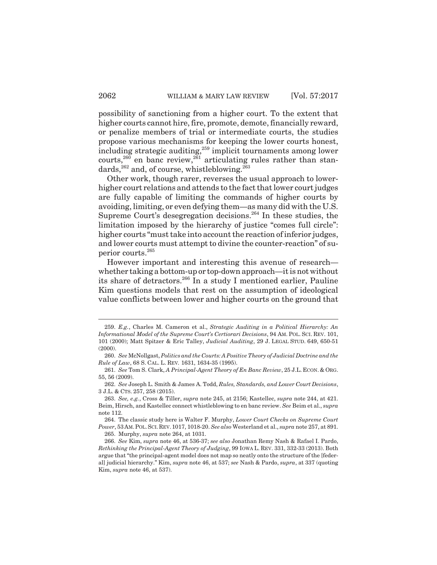possibility of sanctioning from a higher court. To the extent that higher courts cannot hire, fire, promote, demote, financially reward, or penalize members of trial or intermediate courts, the studies propose various mechanisms for keeping the lower courts honest, including strategic auditing,<sup>259</sup> implicit tournaments among lower courts,<sup>260</sup> en banc review,<sup>261</sup> articulating rules rather than standards,<sup>262</sup> and, of course, whistleblowing.<sup>263</sup>

Other work, though rarer, reverses the usual approach to lowerhigher court relations and attends to the fact that lower court judges are fully capable of limiting the commands of higher courts by avoiding, limiting, or even defying them—as many did with the U.S. Supreme Court's desegregation decisions.<sup>264</sup> In these studies, the limitation imposed by the hierarchy of justice "comes full circle": higher courts "must take into account the reaction of inferior judges, and lower courts must attempt to divine the counter-reaction" of superior courts.265

However important and interesting this avenue of research whether taking a bottom-up or top-down approach—it is not without its share of detractors.266 In a study I mentioned earlier, Pauline Kim questions models that rest on the assumption of ideological value conflicts between lower and higher courts on the ground that

264. The classic study here is Walter F. Murphy, *Lower Court Checks on Supreme Court Power*, 53AM.POL.SCI.REV.1017, 1018-20. *See also* Westerland et al., *supra* note 257, at 891.

265. Murphy, *supra* note 264, at 1031.

<sup>259.</sup> *E.g.*, Charles M. Cameron et al., *Strategic Auditing in a Political Hierarchy: An Informational Model of the Supreme Court's Certiorari Decisions*, 94 AM. POL. SCI. REV. 101, 101 (2000); Matt Spitzer & Eric Talley, *Judicial Auditing*, 29 J. LEGAL STUD. 649, 650-51  $(2000)$ .

<sup>260.</sup> *See* McNollgast, *Politics and the Courts: A Positive Theory of Judicial Doctrine and the Rule of Law*, 68 S. CAL. L. REV*.* 1631, 1634-35 (1995).

<sup>261.</sup> *See* Tom S. Clark, *A Principal-Agent Theory of En Banc Review*, 25 J.L. ECON. & ORG. 55, 56 (2009).

<sup>262.</sup> *See* Joseph L. Smith & James A. Todd, *Rules, Standards, and Lower Court Decisions*, 3 J.L. & CTS. 257, 258 (2015).

<sup>263.</sup> *See, e.g.*, Cross & Tiller, *supra* note 245, at 2156; Kastellec, *supra* note 244, at 421. Beim, Hirsch, and Kastellec connect whistleblowing to en banc review. *See* Beim et al., *supra* note 112.

<sup>266.</sup> *See* Kim, *supra* note 46, at 536-37; *see also* Jonathan Remy Nash & Rafael I. Pardo, *Rethinking the Principal-Agent Theory of Judging*, 99 IOWA L. REV. 331, 332-33 (2013). Both argue that "the principal-agent model does not map so neatly onto the structure of the [federal] judicial hierarchy." Kim, *supra* note 46, at 537; *see* Nash & Pardo, *supra*, at 337 (quoting Kim, *supra* note 46, at 537).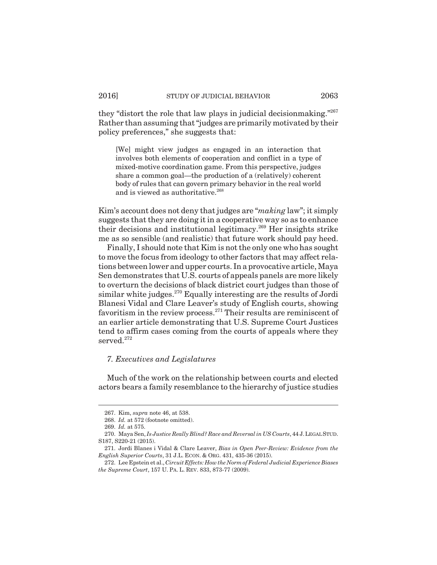they "distort the role that law plays in judicial decisionmaking."267 Rather than assuming that "judges are primarily motivated by their policy preferences," she suggests that:

[We] might view judges as engaged in an interaction that involves both elements of cooperation and conflict in a type of mixed-motive coordination game. From this perspective, judges share a common goal—the production of a (relatively) coherent body of rules that can govern primary behavior in the real world and is viewed as authoritative.<sup>268</sup>

Kim's account does not deny that judges are "*making* law"; it simply suggests that they are doing it in a cooperative way so as to enhance their decisions and institutional legitimacy.269 Her insights strike me as so sensible (and realistic) that future work should pay heed.

Finally, I should note that Kim is not the only one who has sought to move the focus from ideology to other factors that may affect relations between lower and upper courts. In a provocative article, Maya Sen demonstrates that U.S. courts of appeals panels are more likely to overturn the decisions of black district court judges than those of similar white judges. $270$  Equally interesting are the results of Jordi Blanesi Vidal and Clare Leaver's study of English courts, showing favoritism in the review process.271 Their results are reminiscent of an earlier article demonstrating that U.S. Supreme Court Justices tend to affirm cases coming from the courts of appeals where they served.<sup>272</sup>

## *7. Executives and Legislatures*

Much of the work on the relationship between courts and elected actors bears a family resemblance to the hierarchy of justice studies

<sup>267.</sup> Kim, *supra* note 46, at 538.

<sup>268.</sup> *Id.* at 572 (footnote omitted).

<sup>269.</sup> *Id.* at 575.

<sup>270.</sup> Maya Sen, *Is Justice Really Blind? Race and Reversal in US Courts*, 44 J.LEGAL STUD. S187, S220-21 (2015).

<sup>271.</sup> Jordi Blanes i Vidal & Clare Leaver, *Bias in Open Peer-Review: Evidence from the English Superior Courts*, 31 J.L. ECON. & ORG. 431, 435-36 (2015).

<sup>272.</sup> Lee Epstein et al., *Circuit Effects: How the Norm of Federal Judicial Experience Biases the Supreme Court*, 157 U. PA. L. REV. 833, 873-77 (2009).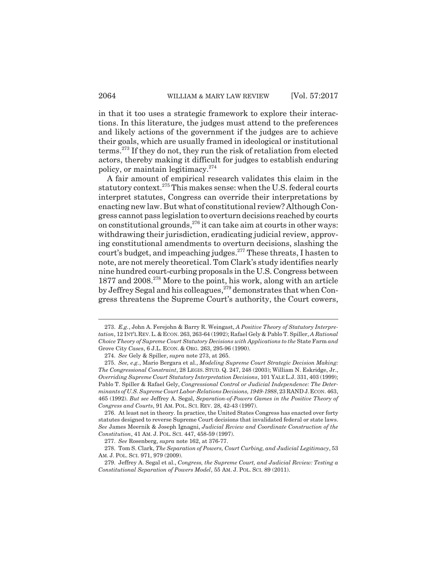in that it too uses a strategic framework to explore their interactions. In this literature, the judges must attend to the preferences and likely actions of the government if the judges are to achieve their goals, which are usually framed in ideological or institutional terms.273 If they do not, they run the risk of retaliation from elected actors, thereby making it difficult for judges to establish enduring policy, or maintain legitimacy.274

A fair amount of empirical research validates this claim in the statutory context.<sup>275</sup> This makes sense: when the U.S. federal courts interpret statutes, Congress can override their interpretations by enacting new law. But what of constitutional review? Although Congress cannot pass legislation to overturn decisions reached by courts on constitutional grounds,  $276$  it can take aim at courts in other ways: withdrawing their jurisdiction, eradicating judicial review, approving constitutional amendments to overturn decisions, slashing the court's budget, and impeaching judges.<sup>277</sup> These threats, I hasten to note, are not merely theoretical. Tom Clark's study identifies nearly nine hundred court-curbing proposals in the U.S. Congress between 1877 and 2008.<sup>278</sup> More to the point, his work, along with an article by Jeffrey Segal and his colleagues,<sup>279</sup> demonstrates that when Congress threatens the Supreme Court's authority, the Court cowers,

277. *See* Rosenberg, *supra* note 162, at 376-77.

278. Tom S. Clark, *The Separation of Powers, Court Curbing, and Judicial Legitimacy*, 53 AM. J. POL. SCI. 971, 979 (2009).

<sup>273.</sup> *E.g.*, John A. Ferejohn & Barry R. Weingast, *A Positive Theory of Statutory Interpretation*, 12 INT'L REV.L.&ECON. 263, 263-64 (1992); Rafael Gely & Pablo T. Spiller, *A Rational Choice Theory of Supreme Court Statutory Decisions with Applications to the* State Farm *and* Grove City *Case*s, 6 J.L. ECON. & ORG. 263, 295-96 (1990).

<sup>274.</sup> *See* Gely & Spiller, *supra* note 273, at 265.

<sup>275.</sup> *See, e.g.*, Mario Bergara et al., *Modeling Supreme Court Strategic Decision Making: The Congressional Constraint*, 28 LEGIS. STUD. Q. 247, 248 (2003); William N. Eskridge, Jr., *Overriding Supreme Court Statutory Interpretation Decisions*, 101 YALE L.J. 331, 403 (1999); Pablo T. Spiller & Rafael Gely, *Congressional Control or Judicial Independence: The Determinants of U.S. Supreme Court Labor-Relations Decisions, 1949-1988*, 23 RAND J.ECON. 463, 465 (1992). *But see* Jeffrey A. Segal, *Separation-of-Powers Games in the Positive Theory of Congress and Courts*, 91 AM. POL. SCI. REV. 28, 42-43 (1997).

<sup>276.</sup> At least not in theory. In practice, the United States Congress has enacted over forty statutes designed to reverse Supreme Court decisions that invalidated federal or state laws. *See* James Meernik & Joseph Ignagni, *Judicial Review and Coordinate Construction of the Constitution*, 41 AM. J. POL. SCI. 447, 458-59 (1997).

<sup>279.</sup> Jeffrey A. Segal et al., *Congress, the Supreme Court, and Judicial Review: Testing a Constitutional Separation of Powers Model*, 55 AM. J. POL. SCI. 89 (2011).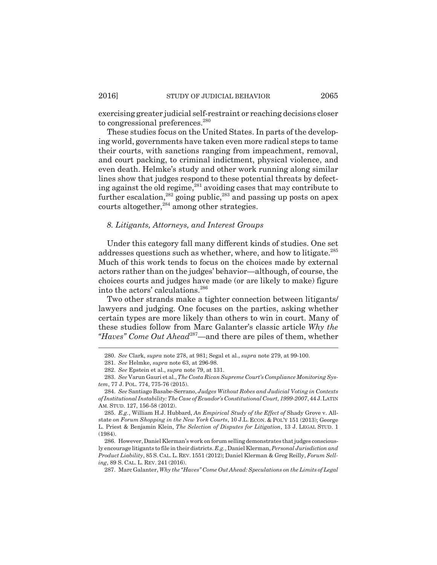exercising greater judicial self-restraint or reaching decisions closer to congressional preferences.<sup>280</sup>

These studies focus on the United States. In parts of the developing world, governments have taken even more radical steps to tame their courts, with sanctions ranging from impeachment, removal, and court packing, to criminal indictment, physical violence, and even death. Helmke's study and other work running along similar lines show that judges respond to these potential threats by defecting against the old regime,<sup>281</sup> avoiding cases that may contribute to further escalation, <sup>282</sup> going public, <sup>283</sup> and passing up posts on apex courts altogether,  $284$  among other strategies.

## *8. Litigants, Attorneys, and Interest Groups*

Under this category fall many different kinds of studies. One set addresses questions such as whether, where, and how to litigate.<sup>285</sup> Much of this work tends to focus on the choices made by external actors rather than on the judges' behavior—although, of course, the choices courts and judges have made (or are likely to make) figure into the actors' calculations.<sup>286</sup>

Two other strands make a tighter connection between litigants/ lawyers and judging. One focuses on the parties, asking whether certain types are more likely than others to win in court. Many of these studies follow from Marc Galanter's classic article *Why the "Haves" Come Out Ahead*287—and there are piles of them, whether

<sup>280.</sup> *See* Clark, *supra* note 278, at 981; Segal et al., *supra* note 279, at 99-100.

<sup>281.</sup> *See* Helmke, *supra* note 63, at 296-98.

<sup>282.</sup> *See* Epstein et al., *supra* note 79, at 131.

<sup>283.</sup> *See* Varun Gauri et al., *The Costa Rican Supreme Court's Compliance Monitoring System*, 77 J. POL. 774, 775-76 (2015).

<sup>284.</sup> *See* Santiago Basabe-Serrano, *Judges Without Robes and Judicial Voting in Contexts of Institutional Instability: The Case of Ecuador's Constitutional Court, 1999-2007*, 44 J.LATIN AM. STUD. 127, 156-58 (2012).

<sup>285.</sup> *E.g.*, William H.J. Hubbard, *An Empirical Study of the Effect of* Shady Grove v. Allstate *on Forum Shopping in the New York Courts*, 10 J.L. ECON. & POL'Y 151 (2013); George L. Priest & Benjamin Klein, *The Selection of Disputes for Litigation*, 13 J. LEGAL STUD. 1 (1984).

<sup>286.</sup> However, Daniel Klerman's work on forum selling demonstrates that judges consciously encourage litigants to file in their districts. *E.g.*, Daniel Klerman, *Personal Jurisdiction and Product Liability*, 85 S. CAL.L. REV. 1551 (2012); Daniel Klerman & Greg Reilly, *Forum Selling*, 89 S. CAL. L. REV. 241 (2016).

<sup>287.</sup> Marc Galanter, *Why the "Haves" Come Out Ahead: Speculations on the Limits of Legal*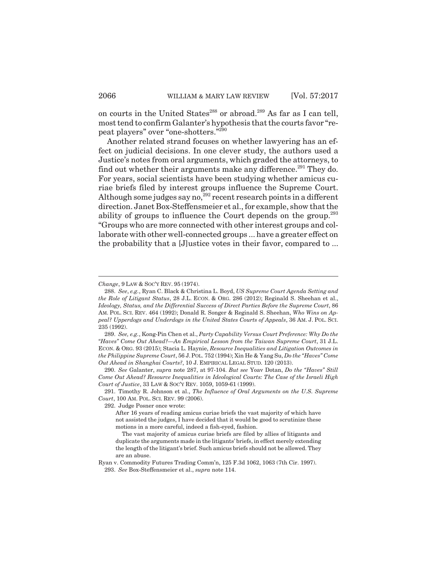on courts in the United States<sup>288</sup> or abroad.<sup>289</sup> As far as I can tell, most tend to confirm Galanter's hypothesis that the courts favor "repeat players" over "one-shotters."290

Another related strand focuses on whether lawyering has an effect on judicial decisions. In one clever study, the authors used a Justice's notes from oral arguments, which graded the attorneys, to find out whether their arguments make any difference.<sup>291</sup> They do. For years, social scientists have been studying whether amicus curiae briefs filed by interest groups influence the Supreme Court. Although some judges say no,<sup>292</sup> recent research points in a different direction. Janet Box-Steffensmeier et al., for example, show that the ability of groups to influence the Court depends on the group.<sup>293</sup> "Groups who are more connected with other interest groups and collaborate with other well-connected groups ... have a greater effect on the probability that a [J]ustice votes in their favor, compared to ...

292. Judge Posner once wrote:

*Change*, 9 LAW & SOC'Y REV. 95 (1974).

<sup>288.</sup> *See*, *e.g.*, Ryan C. Black & Christina L. Boyd, *US Supreme Court Agenda Setting and the Role of Litigant Status*, 28 J.L. ECON. & ORG. 286 (2012); Reginald S. Sheehan et al., *Ideology, Status, and the Differential Success of Direct Parties Before the Supreme Court*, 86 AM. POL. SCI. REV. 464 (1992); Donald R. Songer & Reginald S. Sheehan, *Who Wins on Appeal? Upperdogs and Underdogs in the United States Courts of Appeals*, 36 AM. J. POL. SCI. 235 (1992).

<sup>289.</sup> *See, e.g.*, Kong-Pin Chen et al., *Party Capability Versus Court Preference: Why Do the "Haves" Come Out Ahead?—An Empirical Lesson from the Taiwan Supreme Court*, 31 J.L. ECON. & ORG. 93 (2015); Stacia L. Haynie, *Resource Inequalities and Litigation Outcomes in the Philippine Supreme Court*, 56 J.POL. 752 (1994); Xin He & Yang Su, *Do the "Haves" Come Out Ahead in Shanghai Courts?*, 10 J. EMPIRICAL LEGAL STUD. 120 (2013).

<sup>290.</sup> *See* Galanter, *supra* note 287, at 97-104. *But see* Yoav Dotan, *Do the "Haves" Still Come Out Ahead? Resource Inequalities in Ideological Courts: The Case of the Israeli High Court of Justice*, 33 LAW & SOC'Y REV. 1059, 1059-61 (1999).

<sup>291.</sup> Timothy R. Johnson et al., *The Influence of Oral Arguments on the U.S. Supreme Court*, 100 AM. POL. SCI. REV. 99 (2006).

After 16 years of reading amicus curiae briefs the vast majority of which have not assisted the judges, I have decided that it would be good to scrutinize these motions in a more careful, indeed a fish-eyed, fashion.

The vast majority of amicus curiae briefs are filed by allies of litigants and duplicate the arguments made in the litigants' briefs, in effect merely extending the length of the litigant's brief. Such amicus briefs should not be allowed. They are an abuse.

Ryan v. Commodity Futures Trading Comm'n, 125 F.3d 1062, 1063 (7th Cir. 1997). 293. *See* Box-Steffensmeier et al., *supra* note 114.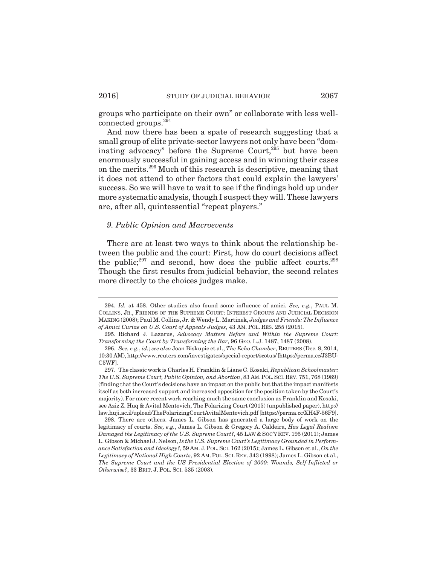groups who participate on their own" or collaborate with less wellconnected groups.294

And now there has been a spate of research suggesting that a small group of elite private-sector lawyers not only have been "dominating advocacy" before the Supreme Court,<sup>295</sup> but have been enormously successful in gaining access and in winning their cases on the merits.296 Much of this research is descriptive, meaning that it does not attend to other factors that could explain the lawyers' success. So we will have to wait to see if the findings hold up under more systematic analysis, though I suspect they will. These lawyers are, after all, quintessential "repeat players."

## *9. Public Opinion and Macroevents*

There are at least two ways to think about the relationship between the public and the court: First, how do court decisions affect the public; $297$  and second, how does the public affect courts. $298$ Though the first results from judicial behavior, the second relates more directly to the choices judges make.

<sup>294.</sup> *Id.* at 458. Other studies also found some influence of amici. *See, e.g.*, PAUL M. COLLINS, JR., FRIENDS OF THE SUPREME COURT: INTEREST GROUPS AND JUDICIAL DECISION MAKING (2008); Paul M. Collins, Jr. & Wendy L. Martinek, *Judges and Friends: The Influence of Amici Curiae on U.S. Court of Appeals Judges*, 43 AM. POL. RES. 255 (2015).

<sup>295.</sup> Richard J. Lazarus, *Advocacy Matters Before and Within the Supreme Court: Transforming the Court by Transforming the Bar*, 96 GEO. L.J. 1487, 1487 (2008).

<sup>296.</sup> *See, e.g.*, *id.*; *see also* Joan Biskupic et al., *The Echo Chamber*, REUTERS (Dec. 8, 2014, 10:30 AM), http://www.reuters.com/investigates/special-report/scotus/ [https://perma.cc/J3BU-C5WF].

<sup>297.</sup> The classic work is Charles H. Franklin & Liane C. Kosaki, *Republican Schoolmaster: The U.S. Supreme Court, Public Opinion, and Abortion*, 83 AM.POL.SCI.REV. 751, 768 (1989) (finding that the Court's decisions have an impact on the public but that the impact manifests itself as both increased support and increased opposition for the position taken by the Court's majority). For more recent work reaching much the same conclusion as Franklin and Kosaki, see Aziz Z. Huq & Avital Mentovich, The Polarizing Court (2015) (unpublished paper), http:// law.huji.ac.il/upload/ThePolarizingCourtAvitalMentovich.pdf [https://perma.cc/XH4F-56F9].

<sup>298.</sup> There are others. James L. Gibson has generated a large body of work on the legitimacy of courts. *See, e.g.*, James L. Gibson & Gregory A. Caldeira, *Has Legal Realism Damaged the Legitimacy of the U.S. Supreme Court?*, 45 LAW & SOC'Y REV. 195 (2011); James L. Gibson & Michael J. Nelson, *Is the U.S. Supreme Court's Legitimacy Grounded in Performance Satisfaction and Ideology?,* 59 AM. J.POL. SCI. 162 (2015); James L. Gibson et al., *On the Legitimacy of National High Courts*, 92 AM.POL.SCI. REV. 343 (1998); James L. Gibson et al., *The Supreme Court and the US Presidential Election of 2000: Wounds, Self-Inflicted or Otherwise?*, 33 BRIT. J. POL. SCI. 535 (2003).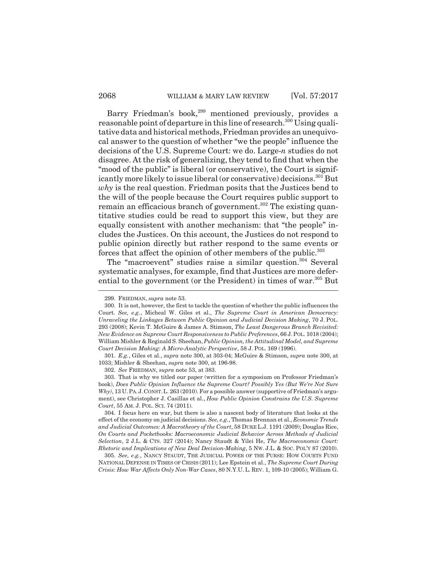Barry Friedman's book,<sup>299</sup> mentioned previously, provides a reasonable point of departure in this line of research.<sup>300</sup> Using qualitative data and historical methods, Friedman provides an unequivocal answer to the question of whether "we the people" influence the decisions of the U.S. Supreme Court: we do. Large-*n* studies do not disagree. At the risk of generalizing, they tend to find that when the "mood of the public" is liberal (or conservative), the Court is significantly more likely to issue liberal (or conservative) decisions.<sup>301</sup> But *why* is the real question. Friedman posits that the Justices bend to the will of the people because the Court requires public support to remain an efficacious branch of government.<sup>302</sup> The existing quantitative studies could be read to support this view, but they are equally consistent with another mechanism: that "the people" includes the Justices. On this account, the Justices do not respond to public opinion directly but rather respond to the same events or forces that affect the opinion of other members of the public.<sup>303</sup>

The "macroevent" studies raise a similar question.<sup>304</sup> Several systematic analyses, for example, find that Justices are more deferential to the government (or the President) in times of war.<sup>305</sup> But

<sup>299.</sup> FRIEDMAN, *supra* note 53.

<sup>300.</sup> It is not, however, the first to tackle the question of whether the public influences the Court. *See, e.g.*, Micheal W. Giles et al., *The Supreme Court in American Democracy: Unraveling the Linkages Between Public Opinion and Judicial Decision Making*, 70 J. POL. 293 (2008); Kevin T. McGuire & James A. Stimson, *The Least Dangerous Branch Revisited: New Evidence on Supreme Court Responsiveness to Public Preferences*, 66 J.POL. 1018 (2004); William Mishler & Reginald S. Sheehan, *Public Opinion, the Attitudinal Model, and Supreme Court Decision Making: A Micro-Analytic Perspective*, 58 J. POL. 169 (1996).

<sup>301.</sup> *E.g.*, Giles et al., *supra* note 300, at 303-04; McGuire & Stimson, *supra* note 300, at 1033; Mishler & Sheehan, *supra* note 300, at 196-98.

<sup>302.</sup> *See* FRIEDMAN, *supra* note 53, at 383.

<sup>303.</sup> That is why we titled our paper (written for a symposium on Professor Friedman's book), *Does Public Opinion Influence the Supreme Court? Possibly Yes (But We're Not Sure Why)*, 13 U.PA.J.CONST.L. 263 (2010). For a possible answer (supportive of Friedman's argument), see Christopher J. Casillas et al., *How Public Opinion Constrains the U.S. Supreme Court*, 55 AM. J. POL. SCI. 74 (2011).

<sup>304.</sup> I focus here on war, but there is also a nascent body of literature that looks at the effect of the economy on judicial decisions. *See, e.g.*, Thomas Brennan et al., *Economic Trends and Judicial Outcomes: A Macrotheory of the Court*, 58 DUKE L.J. 1191 (2009); Douglas Rice, *On Courts and Pocketbooks: Macroeconomic Judicial Behavior Across Methods of Judicial Selection*, 2 J.L. & CTS. 327 (2014); Nancy Staudt & Yilei He, *The Macroeconomic Court: Rhetoric and Implications of New Deal Decision-Making*, 5 NW. J.L. & SOC. POL'Y 87 (2010).

<sup>305.</sup> *See, e.g.*, NANCY STAUDT, THE JUDICIAL POWER OF THE PURSE: HOW COURTS FUND NATIONAL DEFENSE IN TIMES OF CRISIS (2011); Lee Epstein et al., *The Supreme Court During Crisis: How War Affects Only Non-War Cases*, 80 N.Y.U. L. REV. 1, 109-10 (2005); William G.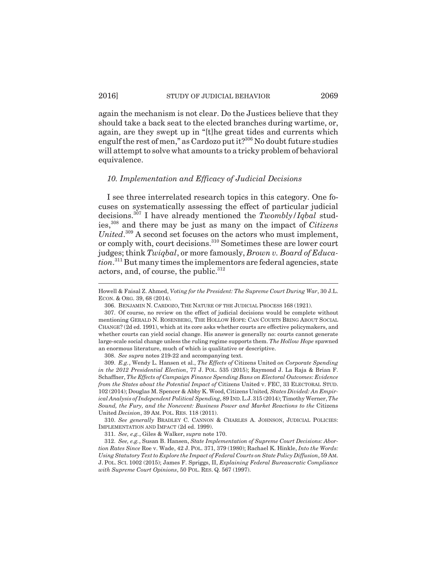again the mechanism is not clear. Do the Justices believe that they should take a back seat to the elected branches during wartime, or, again, are they swept up in "[t]he great tides and currents which engulf the rest of men," as Cardozo put it? $306$  No doubt future studies will attempt to solve what amounts to a tricky problem of behavioral equivalence.

## *10. Implementation and Efficacy of Judicial Decisions*

I see three interrelated research topics in this category. One focuses on systematically assessing the effect of particular judicial decisions.307 I have already mentioned the *Twombly/Iqbal* studies,308 and there may be just as many on the impact of *Citizens* United.<sup>309</sup> A second set focuses on the actors who must implement, or comply with, court decisions.310 Sometimes these are lower court judges; think *Twiqbal*, or more famously, *Brown v. Board of Education*. 311 But many times the implementors are federal agencies, state actors, and, of course, the public.<sup>312</sup>

308. *See supra* notes 219-22 and accompanying text.

309. *E.g.*, Wendy L. Hansen et al., *The Effects of* Citizens United *on Corporate Spending in the 2012 Presidential Election*, 77 J. POL. 535 (2015); Raymond J. La Raja & Brian F. Schaffner, *The Effects of Campaign Finance Spending Bans on Electoral Outcomes: Evidence from the States about the Potential Impact of* Citizens United v. FEC, 33 ELECTORAL STUD. 102 (2014); Douglas M. Spencer & Abby K. Wood, Citizens United*, States Divided: An Empirical Analysis of Independent Political Spending*, 89 IND.L.J.315 (2014); Timothy Werner, *The Sound, the Fury, and the Nonevent: Business Power and Market Reactions to the* Citizens United *Decision*, 39 AM. POL. RES. 118 (2011).

310. *See generally* BRADLEY C. CANNON & CHARLES A. JOHNSON, JUDICIAL POLICIES: IMPLEMENTATION AND IMPACT (2d ed. 1999).

311. *See, e.g.*, Giles & Walker, *supra* note 170.

312. *See, e.g.*, Susan B. Hansen, *State Implementation of Supreme Court Decisions: Abortion Rates Since* Roe v. Wade, 42 J. POL. 371, 379 (1980); Rachael K. Hinkle, *Into the Words: Using Statutory Text to Explore the Impact of Federal Courts on State Policy Diffusion*, 59 AM. J. POL. SCI. 1002 (2015); James F. Spriggs, II, *Explaining Federal Bureaucratic Compliance with Supreme Court Opinions*, 50 POL. RES. Q. 567 (1997).

Howell & Faisal Z. Ahmed, *Voting for the President: The Supreme Court During War*, 30 J.L. ECON. & ORG. 39, 68 (2014).

<sup>306.</sup> BENJAMIN N. CARDOZO, THE NATURE OF THE JUDICIAL PROCESS 168 (1921).

<sup>307.</sup> Of course, no review on the effect of judicial decisions would be complete without mentioning GERALD N. ROSENBERG, THE HOLLOW HOPE: CAN COURTS BRING ABOUT SOCIAL CHANGE? (2d ed. 1991), which at its core asks whether courts are effective policymakers, and whether courts can yield social change. His answer is generally no: courts cannot generate large-scale social change unless the ruling regime supports them. *The Hollow Hope* spawned an enormous literature, much of which is qualitative or descriptive.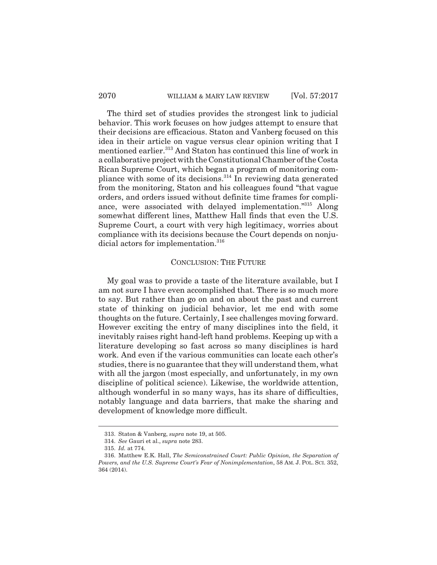The third set of studies provides the strongest link to judicial behavior. This work focuses on how judges attempt to ensure that their decisions are efficacious. Staton and Vanberg focused on this idea in their article on vague versus clear opinion writing that I mentioned earlier.<sup>313</sup> And Staton has continued this line of work in a collaborative project with the Constitutional Chamber of the Costa Rican Supreme Court, which began a program of monitoring compliance with some of its decisions.314 In reviewing data generated from the monitoring, Staton and his colleagues found "that vague orders, and orders issued without definite time frames for compliance, were associated with delayed implementation."<sup>315</sup> Along somewhat different lines, Matthew Hall finds that even the U.S. Supreme Court, a court with very high legitimacy, worries about compliance with its decisions because the Court depends on nonjudicial actors for implementation.<sup>316</sup>

#### CONCLUSION: THE FUTURE

My goal was to provide a taste of the literature available, but I am not sure I have even accomplished that. There is so much more to say. But rather than go on and on about the past and current state of thinking on judicial behavior, let me end with some thoughts on the future. Certainly, I see challenges moving forward. However exciting the entry of many disciplines into the field, it inevitably raises right hand-left hand problems. Keeping up with a literature developing so fast across so many disciplines is hard work. And even if the various communities can locate each other's studies, there is no guarantee that they will understand them, what with all the jargon (most especially, and unfortunately, in my own discipline of political science). Likewise, the worldwide attention, although wonderful in so many ways, has its share of difficulties, notably language and data barriers, that make the sharing and development of knowledge more difficult.

<sup>313.</sup> Staton & Vanberg, *supra* note 19, at 505.

<sup>314.</sup> *See* Gauri et al., *supra* note 283.

<sup>315.</sup> *Id.* at 774.

<sup>316.</sup> Matthew E.K. Hall, *The Semiconstrained Court: Public Opinion, the Separation of Powers, and the U.S. Supreme Court's Fear of Nonimplementation*, 58 AM. J. POL. SCI. 352, 364 (2014).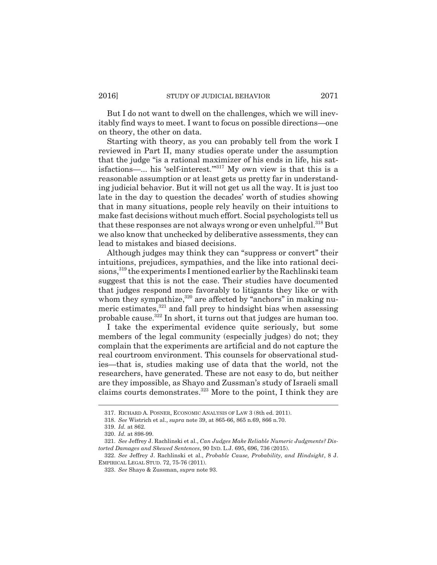But I do not want to dwell on the challenges, which we will inevitably find ways to meet. I want to focus on possible directions—one on theory, the other on data.

Starting with theory, as you can probably tell from the work I reviewed in Part II, many studies operate under the assumption that the judge "is a rational maximizer of his ends in life, his satisfactions—... his 'self-interest."<sup>317</sup> My own view is that this is a reasonable assumption or at least gets us pretty far in understanding judicial behavior. But it will not get us all the way. It is just too late in the day to question the decades' worth of studies showing that in many situations, people rely heavily on their intuitions to make fast decisions without much effort. Social psychologists tell us that these responses are not always wrong or even unhelpful.<sup>318</sup> But we also know that unchecked by deliberative assessments, they can lead to mistakes and biased decisions.

Although judges may think they can "suppress or convert" their intuitions, prejudices, sympathies, and the like into rational decisions,<sup>319</sup> the experiments I mentioned earlier by the Rachlinski team suggest that this is not the case. Their studies have documented that judges respond more favorably to litigants they like or with whom they sympathize,<sup>320</sup> are affected by "anchors" in making numeric estimates,<sup>321</sup> and fall prey to hindsight bias when assessing probable cause.322 In short, it turns out that judges are human too.

I take the experimental evidence quite seriously, but some members of the legal community (especially judges) do not; they complain that the experiments are artificial and do not capture the real courtroom environment. This counsels for observational studies—that is, studies making use of data that the world, not the researchers, have generated. These are not easy to do, but neither are they impossible, as Shayo and Zussman's study of Israeli small claims courts demonstrates. $323$  More to the point, I think they are

322. *See* Jeffrey J. Rachlinski et al., *Probable Cause, Probability, and Hindsight*, 8 J. EMPIRICAL LEGAL STUD. 72, 75-76 (2011).

<sup>317.</sup> RICHARD A. POSNER, ECONOMIC ANALYSIS OF LAW 3 (8th ed. 2011).

<sup>318.</sup> *See* Wistrich et al., *supra* note 39, at 865-66, 865 n.69, 866 n.70.

<sup>319.</sup> *Id.* at 862.

<sup>320.</sup> *Id.* at 898-99.

<sup>321.</sup> *See* Jeffrey J. Rachlinski et al., *Can Judges Make Reliable Numeric Judgments? Distorted Damages and Skewed Sentences*, 90 IND. L.J. 695, 696, 736 (2015).

<sup>323.</sup> *See* Shayo & Zussman, *supra* note 93.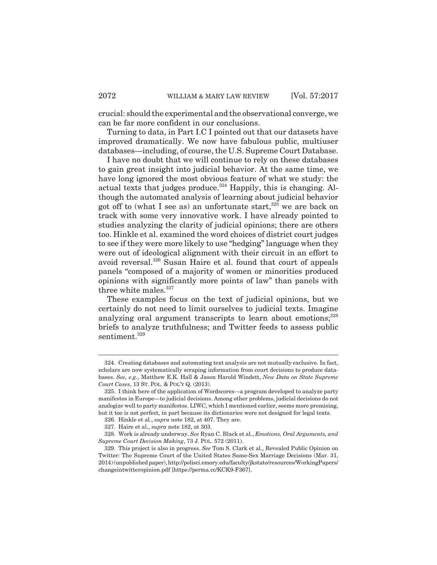crucial: should the experimental and the observational converge, we can be far more confident in our conclusions.

Turning to data, in Part I.C I pointed out that our datasets have improved dramatically. We now have fabulous public, multiuser databases—including, of course, the U.S. Supreme Court Database.

I have no doubt that we will continue to rely on these databases to gain great insight into judicial behavior. At the same time, we have long ignored the most obvious feature of what we study: the actual texts that judges produce. $324$  Happily, this is changing. Although the automated analysis of learning about judicial behavior got off to (what I see as) an unfortunate start,  $325$  we are back on track with some very innovative work. I have already pointed to studies analyzing the clarity of judicial opinions; there are others too. Hinkle et al. examined the word choices of district court judges to see if they were more likely to use "hedging" language when they were out of ideological alignment with their circuit in an effort to avoid reversal.326 Susan Haire et al. found that court of appeals panels "composed of a majority of women or minorities produced opinions with significantly more points of law" than panels with three white males. $327$ 

These examples focus on the text of judicial opinions, but we certainly do not need to limit ourselves to judicial texts. Imagine analyzing oral argument transcripts to learn about emotions;<sup>328</sup> briefs to analyze truthfulness; and Twitter feeds to assess public sentiment.<sup>329</sup>

<sup>324.</sup> Creating databases and automating text analysis are not mutually exclusive. In fact, scholars are now systematically scraping information from court decisions to produce databases. *See, e.g.*, Matthew E.K. Hall & Jason Harold Windett, *New Data on State Supreme Court Cases*, 13 ST. POL. & POL'Y Q. (2013).

<sup>325.</sup> I think here of the application of Wordscores—a program developed to analyze party manifestos in Europe—to judicial decisions. Among other problems, judicial decisions do not analogize well to party manifestos. LIWC, which I mentioned earlier, seems more promising, but it too is not perfect, in part because its dictionaries were not designed for legal texts.

<sup>326.</sup> Hinkle et al., *supra* note 182, at 407. They are.

<sup>327.</sup> Haire et al., *supra* note 182, at 303.

<sup>328.</sup> Work is already underway. *See* Ryan C. Black et al., *Emotions, Oral Arguments, and Supreme Court Decision Making*, 73 J. POL. 572 (2011).

<sup>329.</sup> This project is also in progress. *See* Tom S. Clark et al., Revealed Public Opinion on Twitter: The Supreme Court of the United States Same-Sex Marriage Decisions (Mar. 31, 2014) (unpublished paper), http://polisci.emory.edu/faculty/jkstato/resources/WorkingPapers/ changeintwitteropinion.pdf [https://perma.cc/KCK9-F367].